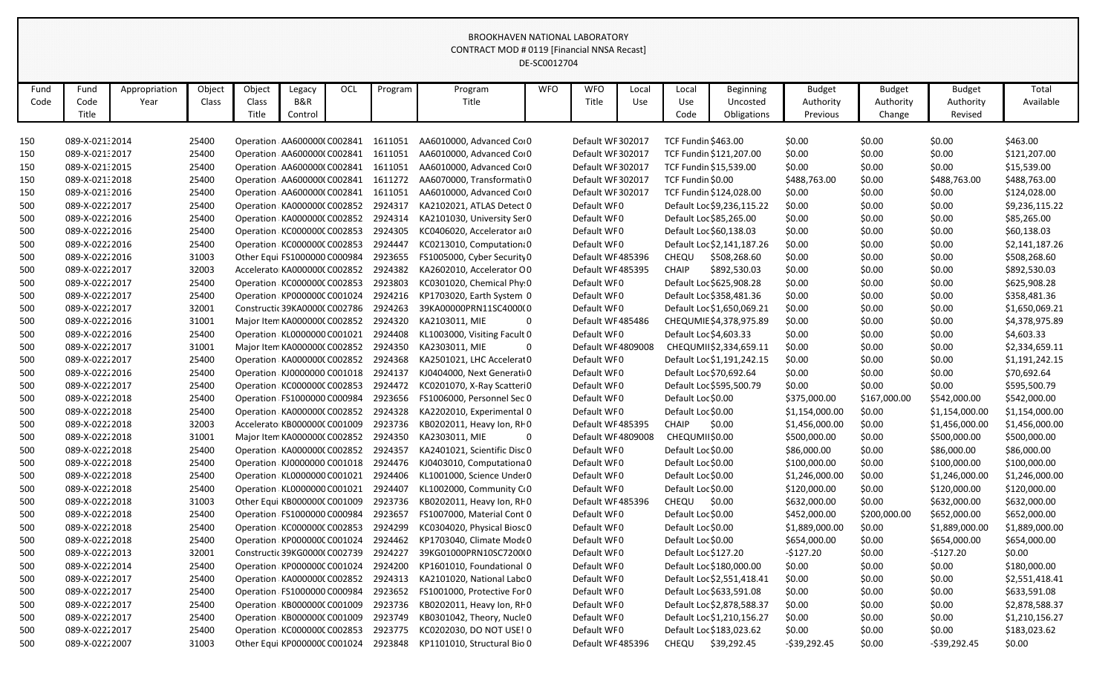|              |                       |                       |                 |                          |                               |     |         |                                      | DE-SC0012704 |                     |              |                        |                                             |                                        |                                      |                                       |                    |
|--------------|-----------------------|-----------------------|-----------------|--------------------------|-------------------------------|-----|---------|--------------------------------------|--------------|---------------------|--------------|------------------------|---------------------------------------------|----------------------------------------|--------------------------------------|---------------------------------------|--------------------|
| Fund<br>Code | Fund<br>Code<br>Title | Appropriation<br>Year | Object<br>Class | Object<br>Class<br>Title | Legacy<br>B&R<br>Control      | OCL | Program | Program<br>Title                     | <b>WFO</b>   | <b>WFO</b><br>Title | Local<br>Use | Local<br>Use<br>Code   | <b>Beginning</b><br>Uncosted<br>Obligations | <b>Budget</b><br>Authority<br>Previous | <b>Budget</b><br>Authority<br>Change | <b>Budget</b><br>Authority<br>Revised | Total<br>Available |
| 150          | 089-X-02132014        |                       | 25400           |                          | Operation AA6000000 C002841   |     | 1611051 | AA6010000, Advanced Cor0             |              | Default WF 302017   |              | TCF Fundin \$463.00    |                                             | \$0.00                                 | \$0.00                               | \$0.00                                | \$463.00           |
| 150          | 089-X-02132017        |                       | 25400           |                          | Operation: AA6000000 C002841  |     | 1611051 | AA6010000, Advanced Cor0             |              | Default WF 302017   |              |                        | TCF Fundin \$121,207.00                     | \$0.00                                 | \$0.00                               | \$0.00                                | \$121,207.00       |
| 150          | 089-X-021:2015        |                       | 25400           |                          | Operation AA6000000 C002841   |     | 1611051 | AA6010000, Advanced Cor0             |              | Default WF 302017   |              |                        | TCF Fundin \$15,539.00                      | \$0.00                                 | \$0.00                               | \$0.00                                | \$15,539.00        |
| 150          | 089-X-02132018        |                       | 25400           |                          | Operation: AA6000000 C002841  |     | 1611272 | AA6070000, Transformati 0            |              | Default WF 302017   |              | TCF Fundin \$0.00      |                                             | \$488,763.00                           | \$0.00                               | \$488,763.00                          | \$488,763.00       |
| 150          | 089-X-02132016        |                       | 25400           |                          | Operation: AA6000000 C002841  |     | 1611051 | AA6010000, Advanced Coi0             |              | Default WF 302017   |              |                        | TCF Fundin \$124,028.00                     | \$0.00                                 | \$0.00                               | \$0.00                                | \$124,028.00       |
| 500          | 089-X-02222017        |                       | 25400           |                          | Operation KA000000CC002852    |     | 2924317 | KA2102021, ATLAS Detect 0            |              | Default WF0         |              |                        | Default Loc \$9,236,115.22                  | \$0.00                                 | \$0.00                               | \$0.00                                | \$9,236,115.22     |
| 500          | 089-X-02222016        |                       | 25400           |                          | Operation KA000000CC002852    |     | 2924314 | KA2101030, University Ser 0          |              | Default WF0         |              |                        | Default Loc \$85,265.00                     | \$0.00                                 | \$0.00                               | \$0.00                                | \$85,265.00        |
| 500          | 089-X-02222016        |                       | 25400           |                          | Operation KC000000CC002853    |     | 2924305 | KC0406020, Accelerator a 0           |              | Default WF0         |              |                        | Default Loc \$60,138.03                     | \$0.00                                 | \$0.00                               | \$0.00                                | \$60,138.03        |
| 500          | 089-X-02222016        |                       | 25400           |                          | Operation KC000000C C002853   |     | 2924447 | KC0213010, Computation 0             |              | Default WF0         |              |                        | Default Loc \$2,141,187.26                  | \$0.00                                 | \$0.00                               | \$0.00                                | \$2,141,187.26     |
| 500          | 089-X-02222016        |                       | 31003           |                          | Other Equi FS1000000 C000984  |     | 2923655 | FS1005000, Cyber Security 0          |              | Default WF485396    |              | <b>CHEQU</b>           | \$508,268.60                                | \$0.00                                 | \$0.00                               | \$0.00                                | \$508,268.60       |
| 500          | 089-X-02222017        |                       | 32003           |                          | Accelerato KA000000C C002852  |     | 2924382 | KA2602010, Accelerator O0            |              | Default WF485395    |              | <b>CHAIP</b>           | \$892,530.03                                | \$0.00                                 | \$0.00                               | \$0.00                                | \$892,530.03       |
| 500          | 089-X-02222017        |                       | 25400           |                          | Operation KC000000C C002853   |     | 2923803 | KC0301020, Chemical Phy 0            |              | Default WF0         |              |                        | Default Loc \$625,908.28                    | \$0.00                                 | \$0.00                               | \$0.00                                | \$625,908.28       |
| 500          | 089-X-02222017        |                       | 25400           |                          | Operation KP000000C C001024   |     | 2924216 | KP1703020, Earth System 0            |              | Default WF0         |              |                        | Default Loc \$358,481.36                    | \$0.00                                 | \$0.00                               | \$0.00                                | \$358,481.36       |
| 500          | 089-X-02222017        |                       | 32001           |                          | Constructic 39KA0000C C002786 |     | 2924263 | 39KA00000PRN11SC4000(0               |              | Default WF0         |              |                        | Default Loc \$1,650,069.21                  | \$0.00                                 | \$0.00                               | \$0.00                                | \$1,650,069.21     |
| 500          | 089-X-02222016        |                       | 31001           |                          | Major Item KA0000000 C002852  |     | 2924320 | KA2103011, MIE                       |              | Default WF485486    |              |                        | CHEQUMIE \$4,378,975.89                     | \$0.00                                 | \$0.00                               | \$0.00                                | \$4,378,975.89     |
| 500          | 089-X-02222016        |                       | 25400           |                          | Operation KL0000000 C001021   |     | 2924408 | KL1003000, Visiting Facult 0         |              | Default WF0         |              | Default Loc \$4,603.33 |                                             | \$0.00                                 | \$0.00                               | \$0.00                                | \$4,603.33         |
| 500          | 089-X-02222017        |                       | 31001           |                          | Major Item KA000000C C002852  |     | 2924350 | KA2303011, MIE                       |              | Default WF 4809008  |              |                        | CHEQUMII\$2,334,659.11                      | \$0.00                                 | \$0.00                               | \$0.00                                | \$2,334,659.11     |
| 500          | 089-X-02222017        |                       | 25400           |                          | Operation KA000000CC002852    |     | 2924368 | KA2501021, LHC Accelerat 0           |              | Default WF0         |              |                        | Default Loc \$1,191,242.15                  | \$0.00                                 | \$0.00                               | \$0.00                                | \$1,191,242.15     |
| 500          | 089-X-02222016        |                       | 25400           |                          | Operation KJ0000000 C001018   |     | 2924137 | KJ0404000, Next Generati 0           |              | Default WF0         |              |                        | Default Loc \$70,692.64                     | \$0.00                                 | \$0.00                               | \$0.00                                | \$70,692.64        |
| 500          | 089-X-02222017        |                       | 25400           |                          | Operation KC000000C C002853   |     | 2924472 | KC0201070, X-Ray Scatteri0           |              | Default WF0         |              |                        | Default Loc \$595,500.79                    | \$0.00                                 | \$0.00                               | \$0.00                                | \$595,500.79       |
| 500          | 089-X-02222018        |                       | 25400           |                          | Operation FS1000000 C000984   |     | 2923656 | FS1006000, Personnel Sec 0           |              | Default WF0         |              | Default Loc \$0.00     |                                             | \$375,000.00                           | \$167,000.00                         | \$542,000.00                          | \$542,000.00       |
| 500          | 089-X-02222018        |                       | 25400           |                          | Operation KA000000CC002852    |     | 2924328 | KA2202010, Experimental 0            |              | Default WF0         |              | Default Loc \$0.00     |                                             | \$1,154,000.00                         | \$0.00                               | \$1,154,000.00                        | \$1,154,000.00     |
| 500          | 089-X-02222018        |                       | 32003           |                          | Accelerato KB000000C C001009  |     | 2923736 | KB0202011, Heavy Ion, RF0            |              | Default WF485395    |              | <b>CHAIP</b>           | \$0.00                                      | \$1,456,000.00                         | \$0.00                               | \$1,456,000.00                        | \$1,456,000.00     |
| 500          | 089-X-02222018        |                       | 31001           |                          | Major Item KA000000C C002852  |     | 2924350 | KA2303011, MIE                       |              | Default WF 4809008  |              | CHEQUMII\$0.00         |                                             | \$500,000.00                           | \$0.00                               | \$500,000.00                          | \$500,000.00       |
| 500          | 089-X-02222018        |                       | 25400           |                          | Operation KA000000CC002852    |     | 2924357 | KA2401021, Scientific Disc 0         |              | Default WF0         |              | Default Loc \$0.00     |                                             | \$86,000.00                            | \$0.00                               | \$86,000.00                           | \$86,000.00        |
| 500          | 089-X-02222018        |                       | 25400           |                          | Operation KJ0000000 C001018   |     | 2924476 | KJ0403010, Computationa 0            |              | Default WF0         |              | Default Loc \$0.00     |                                             | \$100,000.00                           | \$0.00                               | \$100,000.00                          | \$100,000.00       |
| 500          | 089-X-02222018        |                       | 25400           |                          | Operation KL0000000 C001021   |     | 2924406 | KL1001000, Science Under 0           |              | Default WF0         |              | Default Loc \$0.00     |                                             | \$1,246,000.00                         | \$0.00                               | \$1,246,000.00                        | \$1,246,000.00     |
| 500          | 089-X-02222018        |                       | 25400           |                          | Operation KL0000000 C001021   |     | 2924407 | KL1002000, Community C <sub>(0</sub> |              | Default WF0         |              | Default Loc \$0.00     |                                             | \$120,000.00                           | \$0.00                               | \$120,000.00                          | \$120,000.00       |
| 500          | 089-X-02222018        |                       | 31003           |                          | Other Equi KB000000C C001009  |     | 2923736 | KB0202011, Heavy Ion, RFO            |              | Default WF485396    |              | CHEQU \$0.00           |                                             | \$632,000.00                           | \$0.00                               | \$632,000.00                          | \$632,000.00       |
| 500          | 089-X-02222018        |                       | 25400           |                          | Operation FS1000000 C000984   |     | 2923657 | FS1007000, Material Cont 0           |              | Default WF0         |              | Default Loc \$0.00     |                                             | \$452,000.00                           | \$200,000.00                         | \$652,000.00                          | \$652,000.00       |
| 500          | 089-X-02222018        |                       | 25400           |                          | Operation KC000000C C002853   |     | 2924299 | KC0304020, Physical Biosc 0          |              | Default WF0         |              | Default Loc \$0.00     |                                             | \$1,889,000.00                         | \$0.00                               | \$1,889,000.00                        | \$1,889,000.00     |
| 500          | 089-X-02222018        |                       | 25400           |                          | Operation KP000000C C001024   |     | 2924462 | KP1703040, Climate Mode 0            |              | Default WF0         |              | Default Loc \$0.00     |                                             | \$654,000.00                           | \$0.00                               | \$654,000.00                          | \$654,000.00       |
| 500          | 089-X-02222013        |                       | 32001           |                          | Constructic 39KG0000(C002739  |     | 2924227 | 39KG01000PRN10SC7200I0               |              | Default WF0         |              | Default Loc \$127.20   |                                             | $-$127.20$                             | \$0.00                               | $-$127.20$                            | \$0.00             |
| 500          | 089-X-02222014        |                       | 25400           |                          | Operation KP000000C C001024   |     | 2924200 | KP1601010, Foundational 0            |              | Default WF0         |              |                        | Default Loc \$180,000.00                    | \$0.00                                 | \$0.00                               | \$0.00                                | \$180,000.00       |
| 500          | 089-X-02222017        |                       | 25400           |                          | Operation KA000000CC002852    |     | 2924313 | KA2101020, National Labc 0           |              | Default WF0         |              |                        | Default Loc \$2,551,418.41                  | \$0.00                                 | \$0.00                               | \$0.00                                | \$2,551,418.41     |
| 500          | 089-X-02222017        |                       | 25400           |                          | Operation FS1000000 C000984   |     | 2923652 | FS1001000, Protective For 0          |              | Default WF0         |              |                        | Default Loc \$633,591.08                    | \$0.00                                 | \$0.00                               | \$0.00                                | \$633,591.08       |
| 500          | 089-X-02222017        |                       | 25400           |                          | Operation KB000000C C001009   |     | 2923736 | KB0202011, Heavy Ion, RFO            |              | Default WF0         |              |                        | Default Loc \$2,878,588.37                  | \$0.00                                 | \$0.00                               | \$0.00                                | \$2,878,588.37     |
| 500          | 089-X-02222017        |                       | 25400           |                          | Operation KB000000C C001009   |     | 2923749 | KB0301042, Theory, Nucle 0           |              | Default WF0         |              |                        | Default Loc \$1,210,156.27                  | \$0.00                                 | \$0.00                               | \$0.00                                | \$1,210,156.27     |
| 500          | 089-X-02222017        |                       | 25400           |                          | Operation KC000000C C002853   |     | 2923775 | KC0202030, DO NOT USE! 0             |              | Default WF0         |              |                        | Default Loc \$183,023.62                    | \$0.00                                 | \$0.00                               | \$0.00                                | \$183,023.62       |
| 500          | 089-X-02222007        |                       | 31003           |                          | Other Equi KP000000C C001024  |     | 2923848 | KP1101010, Structural Bio 0          |              | Default WF485396    |              | CHEQU                  | \$39,292.45                                 | $-539,292.45$                          | \$0.00                               | $-539,292.45$                         | \$0.00             |
|              |                       |                       |                 |                          |                               |     |         |                                      |              |                     |              |                        |                                             |                                        |                                      |                                       |                    |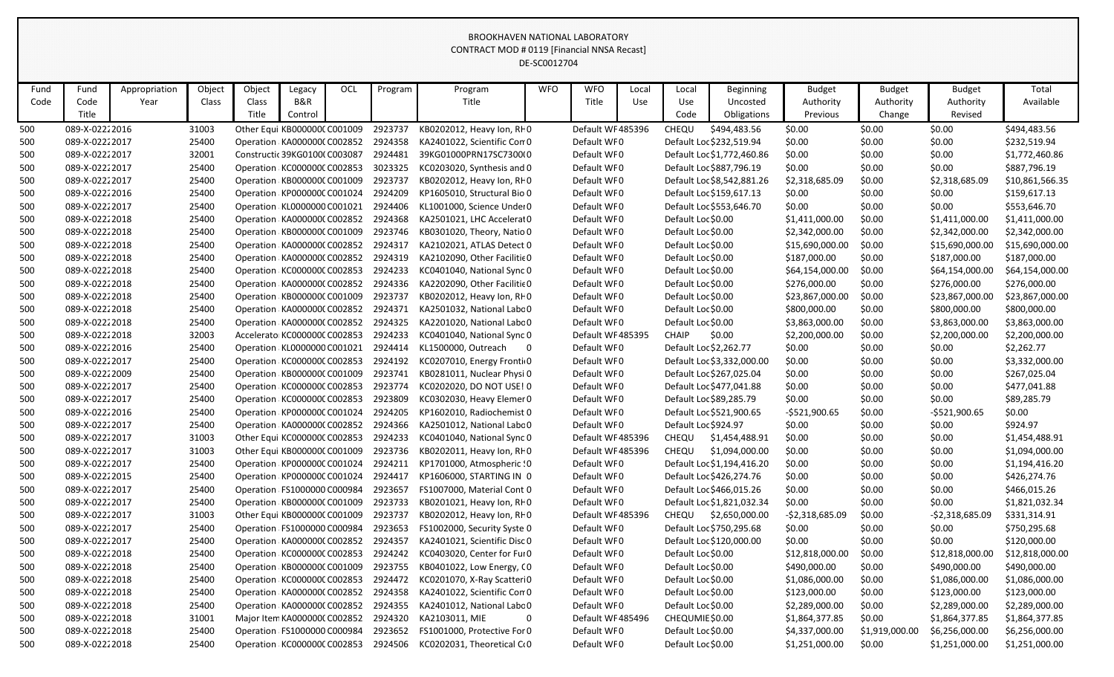|      |                |               |        |        |                              |     |         |                                                | DE-SC0012704 |                   |       |                      |                            |                  |                |                  |                 |
|------|----------------|---------------|--------|--------|------------------------------|-----|---------|------------------------------------------------|--------------|-------------------|-------|----------------------|----------------------------|------------------|----------------|------------------|-----------------|
| Fund | Fund           | Appropriation | Object | Object | Legacy                       | OCL | Program | Program                                        | <b>WFO</b>   | <b>WFO</b>        | Local | Local                | <b>Beginning</b>           | <b>Budget</b>    | <b>Budget</b>  | <b>Budget</b>    | Total           |
| Code | Code           | Year          | Class  | Class  | B&R                          |     |         | Title                                          |              | Title             | Use   | Use                  | Uncosted                   | Authority        | Authority      | Authority        | Available       |
|      | Title          |               |        | Title  | Control                      |     |         |                                                |              |                   |       | Code                 | Obligations                | Previous         | Change         | Revised          |                 |
| 500  | 089-X-02222016 |               | 31003  |        | Other Equi KB000000C C001009 |     | 2923737 | KB0202012, Heavy Ion, RF0                      |              | Default WF 485396 |       | CHEQU                | \$494,483.56               | \$0.00           | \$0.00         | \$0.00           | \$494,483.56    |
| 500  | 089-X-02222017 |               | 25400  |        | Operation KA000000CC002852   |     | 2924358 | KA2401022, Scientific Con 0                    |              | Default WF0       |       |                      | Default Loc \$232,519.94   | \$0.00           | \$0.00         | \$0.00           | \$232,519.94    |
| 500  | 089-X-02222017 |               | 32001  |        | Constructic 39KG0100(C003087 |     | 2924481 | 39KG01000PRN17SC7300I0                         |              | Default WF0       |       |                      | Default Loc \$1,772,460.86 | \$0.00           | \$0.00         | \$0.00           | \$1,772,460.86  |
| 500  | 089-X-02222017 |               | 25400  |        | Operation KC000000CC002853   |     | 3023325 | KC0203020, Synthesis and 0                     |              | Default WF0       |       |                      | Default Loc \$887,796.19   | \$0.00           | \$0.00         | \$0.00           | \$887,796.19    |
| 500  | 089-X-02222017 |               | 25400  |        | Operation KB000000CC001009   |     | 2923737 | KB0202012, Heavy Ion, RF0                      |              | Default WF0       |       |                      | Default Loc \$8,542,881.26 | \$2,318,685.09   | \$0.00         | \$2,318,685.09   | \$10,861,566.35 |
| 500  | 089-X-02222016 |               | 25400  |        | Operation KP000000CC001024   |     | 2924209 | KP1605010, Structural Bio 0                    |              | Default WF0       |       |                      | Default Loc \$159,617.13   | \$0.00           | \$0.00         | \$0.00           | \$159,617.13    |
| 500  | 089-X-02222017 |               | 25400  |        | Operation KL0000000 C001021  |     | 2924406 | KL1001000, Science Under 0                     |              | Default WF0       |       |                      | Default Loc \$553,646.70   | \$0.00           | \$0.00         | \$0.00           | \$553,646.70    |
| 500  | 089-X-02222018 |               | 25400  |        | Operation KA000000CC002852   |     | 2924368 | KA2501021, LHC Accelerat 0                     |              | Default WF0       |       | Default Loc \$0.00   |                            | \$1,411,000.00   | \$0.00         | \$1,411,000.00   | \$1,411,000.00  |
| 500  | 089-X-02222018 |               | 25400  |        | Operation KB000000C C001009  |     | 2923746 | KB0301020, Theory, Natio 0                     |              | Default WF0       |       | Default Loc \$0.00   |                            | \$2,342,000.00   | \$0.00         | \$2,342,000.00   | \$2,342,000.00  |
| 500  | 089-X-02222018 |               | 25400  |        | Operation KA000000CC002852   |     | 2924317 | KA2102021, ATLAS Detect 0                      |              | Default WF0       |       | Default Loc \$0.00   |                            | \$15,690,000.00  | \$0.00         | \$15,690,000.00  | \$15,690,000.00 |
| 500  | 089-X-02222018 |               | 25400  |        | Operation KA000000CC002852   |     | 2924319 | KA2102090, Other Facilitie 0                   |              | Default WF0       |       | Default Loc \$0.00   |                            | \$187,000.00     | \$0.00         | \$187,000.00     | \$187,000.00    |
| 500  | 089-X-02222018 |               | 25400  |        | Operation KC000000CC002853   |     | 2924233 | KC0401040, National Sync 0                     |              | Default WF0       |       | Default Loc \$0.00   |                            | \$64,154,000.00  | \$0.00         | \$64,154,000.00  | \$64,154,000.00 |
| 500  | 089-X-02222018 |               | 25400  |        | Operation KA000000CC002852   |     | 2924336 | KA2202090, Other Facilitie 0                   |              | Default WF0       |       | Default Loc \$0.00   |                            | \$276,000.00     | \$0.00         | \$276,000.00     | \$276,000.00    |
| 500  | 089-X-02222018 |               | 25400  |        | Operation KB000000C C001009  |     | 2923737 | KB0202012, Heavy Ion, RFO                      |              | Default WF0       |       | Default Loc \$0.00   |                            | \$23,867,000.00  | \$0.00         | \$23,867,000.00  | \$23,867,000.00 |
| 500  | 089-X-02222018 |               | 25400  |        | Operation KA000000CC002852   |     | 2924371 | KA2501032, National Labc 0                     |              | Default WF0       |       | Default Loc \$0.00   |                            | \$800,000.00     | \$0.00         | \$800,000.00     | \$800,000.00    |
| 500  | 089-X-02222018 |               | 25400  |        | Operation KA000000CC002852   |     | 2924325 | KA2201020, National Labc 0                     |              | Default WF0       |       | Default Loc \$0.00   |                            | \$3,863,000.00   | \$0.00         | \$3,863,000.00   | \$3,863,000.00  |
| 500  | 089-X-02222018 |               | 32003  |        | Accelerato KC000000C C002853 |     | 2924233 | KC0401040, National Sync 0                     |              | Default WF 485395 |       | <b>CHAIP</b>         | \$0.00                     | \$2,200,000.00   | \$0.00         | \$2,200,000.00   | \$2,200,000.00  |
| 500  | 089-X-02222016 |               | 25400  |        | Operation KL0000000 C001021  |     | 2924414 | KL1500000, Outreach<br>$\overline{\mathbf{0}}$ |              | Default WF0       |       |                      | Default Loc \$2,262.77     | \$0.00           | \$0.00         | \$0.00           | \$2,262.77      |
| 500  | 089-X-02222017 |               | 25400  |        | Operation KC000000C C002853  |     | 2924192 | KC0207010, Energy Fronti 0                     |              | Default WF0       |       |                      | Default Loc \$3,332,000.00 | \$0.00           | \$0.00         | \$0.00           | \$3,332,000.00  |
| 500  | 089-X-02222009 |               | 25400  |        | Operation KB000000C C001009  |     | 2923741 | KB0281011, Nuclear Physi 0                     |              | Default WF0       |       |                      | Default Loc \$267,025.04   | \$0.00           | \$0.00         | \$0.00           | \$267,025.04    |
| 500  | 089-X-02222017 |               | 25400  |        | Operation KC000000CC002853   |     | 2923774 | KC0202020, DO NOT USE! 0                       |              | Default WF0       |       |                      | Default Loc \$477,041.88   | \$0.00           | \$0.00         | \$0.00           | \$477,041.88    |
| 500  | 089-X-02222017 |               | 25400  |        | Operation KC000000C C002853  |     | 2923809 | KC0302030, Heavy Elemer 0                      |              | Default WF0       |       |                      | Default Loc \$89,285.79    | \$0.00           | \$0.00         | \$0.00           | \$89,285.79     |
| 500  | 089-X-02222016 |               | 25400  |        | Operation KP000000CC001024   |     | 2924205 | KP1602010, Radiochemist 0                      |              | Default WF0       |       |                      | Default Loc \$521,900.65   | $-5521,900.65$   | \$0.00         | $-5521,900.65$   | \$0.00          |
| 500  | 089-X-02222017 |               | 25400  |        | Operation KA000000CC002852   |     | 2924366 | KA2501012, National Labc 0                     |              | Default WF0       |       | Default Loc \$924.97 |                            | \$0.00           | \$0.00         | \$0.00           | \$924.97        |
| 500  | 089-X-02222017 |               | 31003  |        | Other Equi KC000000C C002853 |     | 2924233 | KC0401040, National Sync 0                     |              | Default WF 485396 |       | CHEQU                | \$1,454,488.91             | \$0.00           | \$0.00         | \$0.00           | \$1,454,488.91  |
| 500  | 089-X-02222017 |               | 31003  |        | Other Equi KB000000C C001009 |     | 2923736 | KB0202011, Heavy Ion, RF0                      |              | Default WF 485396 |       | CHEQU                | \$1,094,000.00             | \$0.00           | \$0.00         | \$0.00           | \$1,094,000.00  |
| 500  | 089-X-02222017 |               | 25400  |        | Operation KP000000CC001024   |     | 2924211 | KP1701000, Atmospheric ! 0                     |              | Default WF0       |       |                      | Default Loc \$1,194,416.20 | \$0.00           | \$0.00         | \$0.00           | \$1,194,416.20  |
| 500  | 089-X-02222015 |               | 25400  |        | Operation KP000000CC001024   |     | 2924417 | KP1606000, STARTING IN 0                       |              | Default WF0       |       |                      | Default Loc \$426,274.76   | \$0.00           | \$0.00         | \$0.00           | \$426,274.76    |
| 500  | 089-X-02222017 |               | 25400  |        | Operation FS1000000 C000984  |     | 2923657 | FS1007000, Material Cont 0                     |              | Default WF0       |       |                      | Default Loc \$466,015.26   | \$0.00           | \$0.00         | \$0.00           | \$466,015.26    |
| 500  | 089-X-02222017 |               | 25400  |        | Operation KB000000C C001009  |     | 2923733 | KB0201021, Heavy Ion, RF0                      |              | Default WF0       |       |                      | Default Loc \$1,821,032.34 | \$0.00           | \$0.00         | \$0.00           | \$1,821,032.34  |
| 500  | 089-X-02222017 |               | 31003  |        | Other Equi KB000000C C001009 |     | 2923737 | KB0202012, Heavy Ion, RF 0                     |              | Default WF 485396 |       | <b>CHEQU</b>         | \$2,650,000.00             | $-52,318,685.09$ | \$0.00         | $-52,318,685.09$ | \$331,314.91    |
| 500  | 089-X-02222017 |               | 25400  |        | Operation FS1000000 C000984  |     | 2923653 | FS1002000, Security Syste 0                    |              | Default WF0       |       |                      | Default Loc \$750,295.68   | \$0.00           | \$0.00         | \$0.00           | \$750,295.68    |
| 500  | 089-X-02222017 |               | 25400  |        | Operation KA000000CC002852   |     | 2924357 | KA2401021, Scientific Disc 0                   |              | Default WF0       |       |                      | Default Loc \$120,000.00   | \$0.00           | \$0.00         | \$0.00           | \$120,000.00    |
| 500  | 089-X-02222018 |               | 25400  |        | Operation KC000000C C002853  |     | 2924242 | KC0403020, Center for Ful0                     |              | Default WF0       |       | Default Loc \$0.00   |                            | \$12,818,000.00  | \$0.00         | \$12,818,000.00  | \$12,818,000.00 |
| 500  | 089-X-02222018 |               | 25400  |        | Operation KB000000C C001009  |     | 2923755 | KB0401022, Low Energy, CO                      |              | Default WF0       |       | Default Loc \$0.00   |                            | \$490,000.00     | \$0.00         | \$490,000.00     | \$490,000.00    |
| 500  | 089-X-02222018 |               | 25400  |        | Operation KC000000C C002853  |     | 2924472 | KC0201070, X-Ray Scatteri0                     |              | Default WF0       |       | Default Loc \$0.00   |                            | \$1,086,000.00   | \$0.00         | \$1,086,000.00   | \$1,086,000.00  |
| 500  | 089-X-02222018 |               | 25400  |        | Operation KA000000CC002852   |     | 2924358 | KA2401022, Scientific Con 0                    |              | Default WF0       |       | Default Loc \$0.00   |                            | \$123,000.00     | \$0.00         | \$123,000.00     | \$123,000.00    |
| 500  | 089-X-02222018 |               | 25400  |        | Operation KA000000CC002852   |     | 2924355 | KA2401012, National Labc 0                     |              | Default WF0       |       | Default Loc \$0.00   |                            | \$2,289,000.00   | \$0.00         | \$2,289,000.00   | \$2,289,000.00  |
| 500  | 089-X-02222018 |               | 31001  |        | Major Item KA0000000 C002852 |     | 2924320 | KA2103011, MIE                                 | $\bf{0}$     | Default WF 485496 |       | CHEQUMIE \$0.00      |                            | \$1,864,377.85   | \$0.00         | \$1,864,377.85   | \$1,864,377.85  |
| 500  | 089-X-02222018 |               | 25400  |        | Operation FS1000000 C000984  |     | 2923652 | FS1001000, Protective For 0                    |              | Default WF0       |       | Default Loc \$0.00   |                            | \$4,337,000.00   | \$1,919,000.00 | \$6,256,000.00   | \$6,256,000.00  |
| 500  | 089-X-02222018 |               | 25400  |        | Operation KC000000CC002853   |     | 2924506 | KC0202031, Theoretical C(0                     |              | Default WF0       |       | Default Loc \$0.00   |                            | \$1,251,000.00   | \$0.00         | \$1,251,000.00   | \$1,251,000.00  |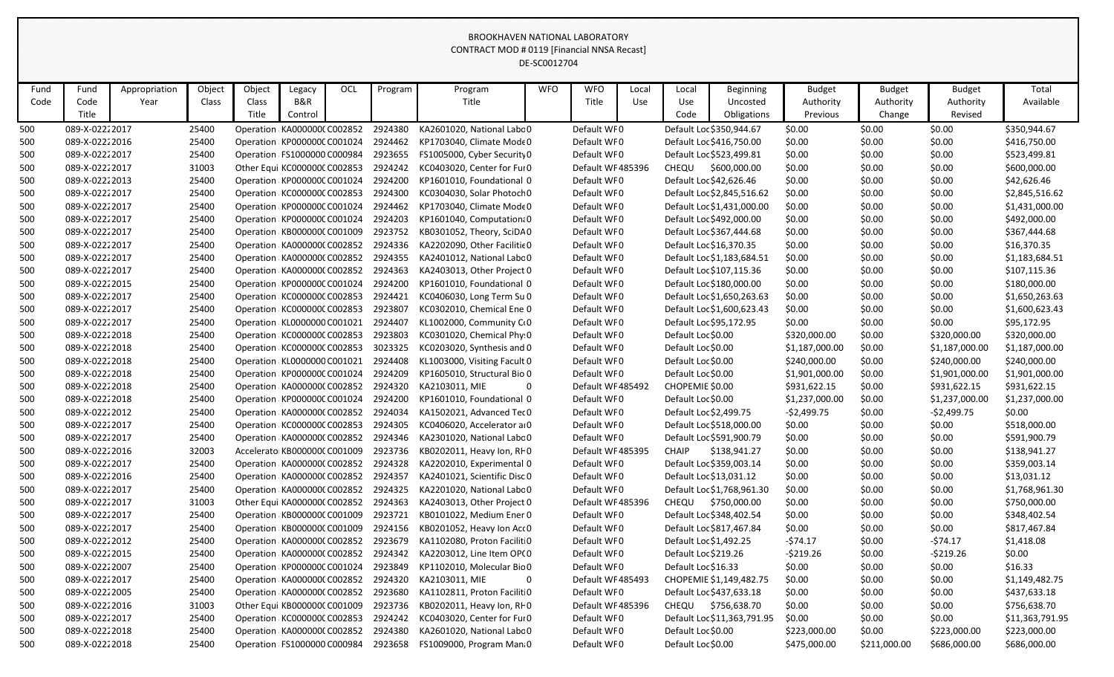|            |                                  |               |                |        |                                                            |            |                    |                                                                   | DE-SC0012704 |                                 |       |                        |                                                     |                  |                  |                  |                             |
|------------|----------------------------------|---------------|----------------|--------|------------------------------------------------------------|------------|--------------------|-------------------------------------------------------------------|--------------|---------------------------------|-------|------------------------|-----------------------------------------------------|------------------|------------------|------------------|-----------------------------|
| Fund       | Fund                             | Appropriation | Object         | Object | Legacy                                                     | <b>OCL</b> | Program            | Program                                                           | <b>WFO</b>   | <b>WFO</b>                      | Local | Local                  | Beginning                                           | <b>Budget</b>    | <b>Budget</b>    | <b>Budget</b>    | Total                       |
| Code       | Code                             | Year          | Class          | Class  | B&R                                                        |            |                    | Title                                                             |              | Title                           | Use   | Use                    | Uncosted                                            | Authority        | Authority        | Authority        | Available                   |
|            | Title                            |               |                | Title  | Control                                                    |            |                    |                                                                   |              |                                 |       | Code                   | Obligations                                         | Previous         | Change           | Revised          |                             |
| 500        | 089-X-02222017                   |               | 25400          |        | Operation KA000000CC002852                                 |            | 2924380            | KA2601020, National Labc 0                                        |              | Default WF0                     |       |                        | Default Loc \$350,944.67                            | \$0.00           | \$0.00           | \$0.00           | \$350,944.67                |
| 500        | 089-X-02222016                   |               | 25400          |        | Operation KP000000C C001024                                |            | 2924462            | KP1703040, Climate Mode 0                                         |              | Default WF0                     |       |                        | Default Loc \$416,750.00                            | \$0.00           | \$0.00           | \$0.00           | \$416,750.00                |
| 500        | 089-X-02222017                   |               | 25400          |        | Operation FS1000000 C000984                                |            | 2923655            | FS1005000, Cyber Security 0                                       |              | Default WF0                     |       |                        | Default Loc \$523,499.81                            | \$0.00           | \$0.00           | \$0.00           | \$523,499.81                |
| 500        | 089-X-02222017                   |               | 31003          |        | Other Equi KC000000C C002853                               |            | 2924242            | KC0403020, Center for Ful 0                                       |              | Default WF 485396               |       | <b>CHEQU</b>           | \$600,000.00                                        | \$0.00           | \$0.00           | \$0.00           | \$600,000.00                |
| 500        | 089-X-02222013                   |               | 25400          |        | Operation KP000000CC001024                                 |            | 2924200            | KP1601010, Foundational 0                                         |              | Default WF0                     |       |                        | Default Loc \$42,626.46                             | \$0.00           | \$0.00           | \$0.00           | \$42,626.46                 |
| 500        | 089-X-02222017                   |               | 25400          |        | Operation KC000000CC002853                                 |            | 2924300            | KC0304030, Solar Photoch 0                                        |              | Default WF0                     |       |                        | Default Loc \$2,845,516.62                          | \$0.00           | \$0.00           | \$0.00           | \$2,845,516.62              |
| 500        | 089-X-02222017                   |               | 25400          |        | Operation KP000000C C001024                                |            | 2924462            | KP1703040, Climate Mode 0                                         |              | Default WF0                     |       |                        | Default Loc \$1,431,000.00                          | \$0.00           | \$0.00           | \$0.00           | \$1,431,000.00              |
| 500        | 089-X-02222017                   |               | 25400          |        | Operation KP000000CC001024                                 |            | 2924203            | KP1601040, Computation: 0                                         |              | Default WF0                     |       |                        | Default Loc \$492,000.00                            | \$0.00           | \$0.00           | \$0.00           | \$492,000.00                |
| 500        | 089-X-02222017                   |               | 25400          |        | Operation KB000000C C001009                                |            | 2923752            | KB0301052, Theory, SciDA0                                         |              | Default WF0                     |       |                        | Default Loc \$367,444.68                            | \$0.00           | \$0.00           | \$0.00           | \$367,444.68                |
| 500        | 089-X-02222017                   |               | 25400          |        | Operation KA000000CC002852                                 |            | 2924336            | KA2202090, Other Facilitie 0                                      |              | Default WF0                     |       |                        | Default Loc \$16,370.35                             | \$0.00           | \$0.00           | \$0.00           | \$16,370.35                 |
| 500        | 089-X-02222017                   |               | 25400          |        | Operation KA000000CC002852                                 |            | 2924355            | KA2401012, National Labc 0                                        |              | Default WF0                     |       |                        | Default Loc \$1,183,684.51                          | \$0.00           | \$0.00           | \$0.00           | \$1,183,684.51              |
| 500        | 089-X-02222017                   |               | 25400          |        | Operation KA000000CC002852                                 |            | 2924363            | KA2403013, Other Project 0                                        |              | Default WF0                     |       |                        | Default Loc \$107,115.36                            | \$0.00           | \$0.00           | \$0.00           | \$107,115.36                |
| 500        | 089-X-02222015                   |               | 25400          |        | Operation KP000000CC001024                                 |            | 2924200            | KP1601010, Foundational 0                                         |              | Default WF0                     |       |                        | Default Loc \$180,000.00                            | \$0.00           | \$0.00           | \$0.00           | \$180,000.00                |
| 500        | 089-X-02222017                   |               | 25400          |        | Operation KC000000CC002853                                 |            | 2924421            | KC0406030, Long Term Su 0                                         |              | Default WF0                     |       |                        | Default Loc \$1,650,263.63                          | \$0.00           | \$0.00           | \$0.00           | \$1,650,263.63              |
| 500        | 089-X-02222017                   |               | 25400          |        | Operation KC000000CC002853                                 |            | 2923807            | KC0302010, Chemical Ene 0                                         |              | Default WF0                     |       |                        | Default Loc \$1,600,623.43                          | \$0.00           | \$0.00           | \$0.00           | \$1,600,623.43              |
| 500        | 089-X-02222017                   |               | 25400          |        | Operation KL0000000 C001021                                |            | 2924407            | KL1002000, Community CO                                           |              | Default WF0                     |       |                        | Default Loc \$95,172.95                             | \$0.00           | \$0.00           | \$0.00           | \$95,172.95                 |
| 500        | 089-X-02222018                   |               | 25400          |        | Operation KC000000CC002853                                 |            | 2923803            | KC0301020, Chemical Phy 0                                         |              | Default WF0                     |       | Default Loc \$0.00     |                                                     | \$320,000.00     | \$0.00           | \$320,000.00     | \$320,000.00                |
| 500        | 089-X-02222018                   |               | 25400          |        | Operation KC000000C C002853                                |            | 3023325            | KC0203020, Synthesis and 0                                        |              | Default WF0                     |       | Default Loc \$0.00     |                                                     | \$1,187,000.00   | \$0.00           | \$1,187,000.00   | \$1,187,000.00              |
| 500        | 089-X-02222018                   |               | 25400          |        | Operation KL0000000 C001021                                |            | 2924408            | KL1003000, Visiting Facult 0                                      |              | Default WF0                     |       | Default Loc \$0.00     |                                                     | \$240,000.00     | \$0.00           | \$240,000.00     | \$240,000.00                |
| 500        | 089-X-02222018                   |               | 25400          |        | Operation KP000000CC001024                                 |            | 2924209            | KP1605010, Structural Bio 0                                       |              | Default WF0                     |       | Default Loc \$0.00     |                                                     | \$1,901,000.00   | \$0.00           | \$1,901,000.00   | \$1,901,000.00              |
| 500        | 089-X-02222018                   |               | 25400          |        | Operation KA000000CC002852                                 |            | 2924320            | KA2103011, MIE                                                    | 0            | Default WF 485492               |       | CHOPEMIE \$0.00        |                                                     | \$931,622.15     | \$0.00           | \$931,622.15     | \$931,622.15                |
| 500        | 089-X-02222018                   |               | 25400          |        | Operation KP000000CC001024                                 |            | 2924200            | KP1601010, Foundational 0                                         |              | Default WF0                     |       | Default Loc \$0.00     |                                                     | \$1,237,000.00   | \$0.00           | \$1,237,000.00   | \$1,237,000.00              |
| 500        | 089-X-02222012                   |               | 25400          |        | Operation KA000000CC002852                                 |            | 2924034            | KA1502021, Advanced Tec 0                                         |              | Default WF0                     |       | Default Loc \$2,499.75 |                                                     | $-52,499.75$     | \$0.00           | $-52,499.75$     | \$0.00                      |
| 500        | 089-X-02222017                   |               | 25400          |        | Operation KC000000C C002853                                |            | 2924305            | KC0406020, Accelerator a 0                                        |              | Default WF0                     |       |                        | Default Loc \$518,000.00                            | \$0.00           | \$0.00           | \$0.00           | \$518,000.00                |
| 500        | 089-X-02222017                   |               | 25400          |        | Operation KA000000CC002852                                 |            | 2924346<br>2923736 | KA2301020, National Labc 0                                        |              | Default WF0<br>Default WF485395 |       | <b>CHAIP</b>           | Default Loc \$591,900.79<br>\$138,941.27            | \$0.00           | \$0.00           | \$0.00<br>\$0.00 | \$591,900.79                |
| 500        | 089-X-02222016<br>089-X-02222017 |               | 32003<br>25400 |        | Accelerato KB000000C C001009<br>Operation KA000000CC002852 |            | 2924328            | KB0202011, Heavy Ion, RF0                                         |              | Default WF0                     |       |                        |                                                     | \$0.00           | \$0.00           |                  | \$138,941.27                |
| 500<br>500 | 089-X-02222016                   |               | 25400          |        | Operation KA0000000 C002852                                |            |                    | KA2202010, Experimental 0<br>2924357 KA2401021, Scientific Disc 0 |              | Default WF0                     |       |                        | Default Loc \$359,003.14<br>Default Loc \$13,031.12 | \$0.00<br>\$0.00 | \$0.00<br>\$0.00 | \$0.00<br>\$0.00 | \$359,003.14<br>\$13,031.12 |
| 500        | 089-X-02222017                   |               | 25400          |        | Operation KA000000CC002852                                 |            | 2924325            | KA2201020, National Labc 0                                        |              | Default WF0                     |       |                        | Default Loc \$1,768,961.30                          | \$0.00           | \$0.00           | \$0.00           | \$1,768,961.30              |
| 500        | 089-X-02222017                   |               | 31003          |        | Other Equi KA0000000 C002852                               |            |                    | 2924363 KA2403013, Other Project 0                                |              | Default WF485396                |       |                        | CHEQU \$750,000.00                                  | \$0.00           | \$0.00           | \$0.00           | \$750,000.00                |
| 500        | 089-X-02222017                   |               | 25400          |        | Operation KB000000C C001009                                |            | 2923721            | KB0101022, Medium Ener 0                                          |              | Default WF0                     |       |                        | Default Loc \$348,402.54                            | \$0.00           | \$0.00           | \$0.00           | \$348,402.54                |
| 500        | 089-X-02222017                   |               | 25400          |        | Operation KB000000C C001009                                |            | 2924156            | KB0201052, Heavy Ion Act 0                                        |              | Default WF0                     |       |                        | Default Loc \$817,467.84                            | \$0.00           | \$0.00           | \$0.00           | \$817,467.84                |
| 500        | 089-X-02222012                   |               | 25400          |        | Operation KA000000CC002852                                 |            |                    | 2923679 KA1102080, Proton Facilit 0                               |              | Default WF0                     |       | Default Loc \$1,492.25 |                                                     | $-574.17$        | \$0.00           | $-574.17$        | \$1,418.08                  |
| 500        | 089-X-02222015                   |               | 25400          |        | Operation KA000000CC002852                                 |            | 2924342            | KA2203012, Line Item OP(0                                         |              | Default WF0                     |       | Default Loc \$219.26   |                                                     | $-5219.26$       | \$0.00           | $-5219.26$       | \$0.00                      |
| 500        | 089-X-02222007                   |               | 25400          |        | Operation KP000000CC001024                                 |            | 2923849            | KP1102010, Molecular Bio 0                                        |              | Default WF0                     |       | Default Loc \$16.33    |                                                     | \$0.00           | \$0.00           | \$0.00           | \$16.33                     |
| 500        | 089-X-02222017                   |               | 25400          |        | Operation KA000000CC002852                                 |            | 2924320            | KA2103011, MIE<br>$\overline{\mathbf{0}}$                         |              | Default WF 485493               |       |                        | CHOPEMIE \$1,149,482.75                             | \$0.00           | \$0.00           | \$0.00           | \$1,149,482.75              |
| 500        | 089-X-02222005                   |               | 25400          |        | Operation KA000000CC002852                                 |            | 2923680            | KA1102811, Proton Facilit 0                                       |              | Default WF0                     |       |                        | Default Loc \$437,633.18                            | \$0.00           | \$0.00           | \$0.00           | \$437,633.18                |
| 500        | 089-X-02222016                   |               | 31003          |        | Other Equi KB000000C C001009                               |            | 2923736            | KB0202011, Heavy Ion, RIO                                         |              | Default WF485396                |       |                        | CHEQU \$756,638.70                                  | \$0.00           | \$0.00           | \$0.00           | \$756,638.70                |
| 500        | 089-X-02222017                   |               | 25400          |        | Operation KC000000C C002853                                |            |                    | 2924242 KC0403020, Center for Ful 0                               |              | Default WF0                     |       |                        | Default Loc \$11,363,791.95                         | \$0.00           | \$0.00           | \$0.00           | \$11,363,791.95             |
| 500        | 089-X-02222018                   |               | 25400          |        | Operation KA000000CC002852                                 |            | 2924380            | KA2601020, National Labc 0                                        |              | Default WF0                     |       | Default Loc \$0.00     |                                                     | \$223,000.00     | \$0.00           | \$223,000.00     | \$223,000.00                |
| 500        | 089-X-02222018                   |               | 25400          |        | Operation FS1000000 C000984                                |            | 2923658            | FS1009000, Program Man 0                                          |              | Default WF0                     |       | Default Loc \$0.00     |                                                     | \$475,000.00     | \$211,000.00     | \$686,000.00     | \$686,000.00                |
|            |                                  |               |                |        |                                                            |            |                    |                                                                   |              |                                 |       |                        |                                                     |                  |                  |                  |                             |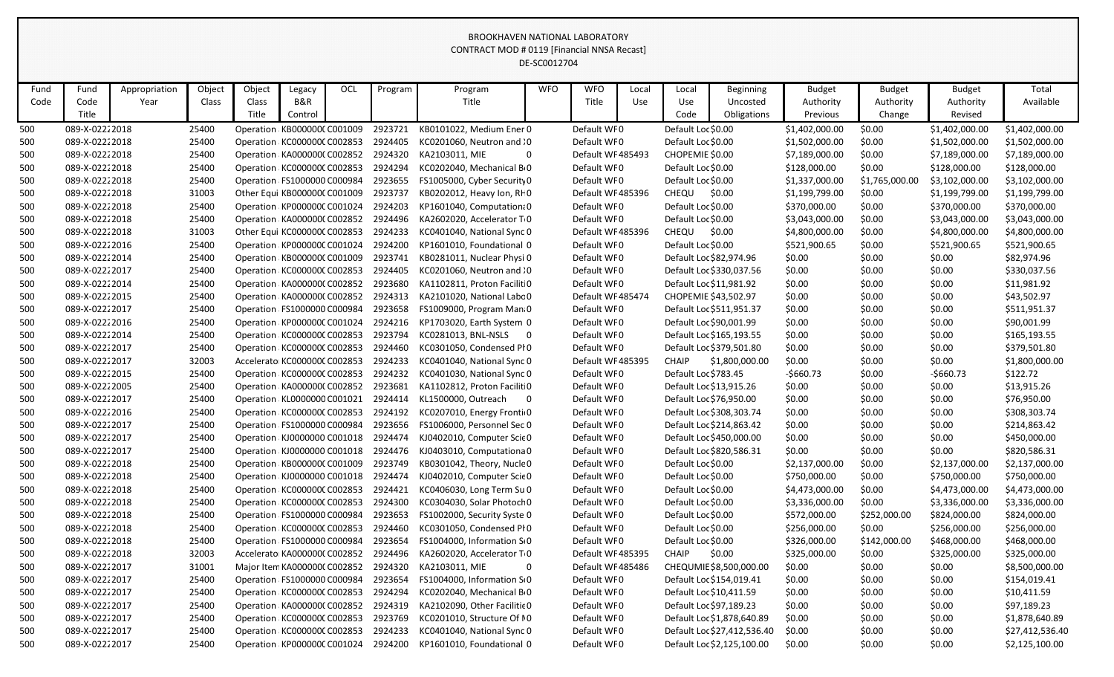|      |                |               |        |        |                               |     |         |                                       | DE-SCOUTZ/04 |                   |       |                         |                             |                |                |                |                 |
|------|----------------|---------------|--------|--------|-------------------------------|-----|---------|---------------------------------------|--------------|-------------------|-------|-------------------------|-----------------------------|----------------|----------------|----------------|-----------------|
| Fund | Fund           | Appropriation | Object | Object | Legacy                        | OCL | Program | Program                               | <b>WFO</b>   | <b>WFO</b>        | Local | Local                   | Beginning                   | <b>Budget</b>  | <b>Budget</b>  | <b>Budget</b>  | Total           |
| Code | Code           | Year          | Class  | Class  | B&R                           |     |         | Title                                 |              | Title             | Use   | Use                     | Uncosted                    | Authority      | Authority      | Authority      | Available       |
|      | Title          |               |        | Title  | Control                       |     |         |                                       |              |                   |       | Code                    | Obligations                 | Previous       | Change         | Revised        |                 |
| 500  | 089-X-02222018 |               | 25400  |        | Operation KB000000C C001009   |     | 2923721 | KB0101022, Medium Ener 0              |              | Default WF0       |       | Default Loc \$0.00      |                             | \$1,402,000.00 | \$0.00         | \$1,402,000.00 | \$1,402,000.00  |
| 500  | 089-X-02222018 |               | 25400  |        | Operation KC000000CC002853    |     | 2924405 | KC0201060, Neutron and : 0            |              | Default WF0       |       | Default Loc \$0.00      |                             | \$1,502,000.00 | \$0.00         | \$1,502,000.00 | \$1,502,000.00  |
| 500  | 089-X-02222018 |               | 25400  |        | Operation KA000000CC002852    |     | 2924320 | KA2103011, MIE                        |              | Default WF 485493 |       | CHOPEMIE \$0.00         |                             | \$7,189,000.00 | \$0.00         | \$7,189,000.00 | \$7,189,000.00  |
| 500  | 089-X-02222018 |               | 25400  |        | Operation KC000000C C002853   |     | 2924294 | KC0202040, Mechanical B 0             |              | Default WF0       |       | Default Loc \$0.00      |                             | \$128,000.00   | \$0.00         | \$128,000.00   | \$128,000.00    |
| 500  | 089-X-02222018 |               | 25400  |        | Operation FS1000000 C000984   |     | 2923655 | FS1005000, Cyber Security 0           |              | Default WF0       |       | Default Loc \$0.00      |                             | \$1,337,000.00 | \$1,765,000.00 | \$3,102,000.00 | \$3,102,000.00  |
| 500  | 089-X-02222018 |               | 31003  |        | Other Equi KB000000C C001009  |     | 2923737 | KB0202012, Heavy Ion, RIO             |              | Default WF485396  |       | CHEQU                   | \$0.00                      | \$1,199,799.00 | \$0.00         | \$1,199,799.00 | \$1,199,799.00  |
| 500  | 089-X-02222018 |               | 25400  |        | Operation KP000000CC001024    |     | 2924203 | KP1601040, Computation 0              |              | Default WF0       |       | Default Loc \$0.00      |                             | \$370,000.00   | \$0.00         | \$370,000.00   | \$370,000.00    |
| 500  | 089-X-02222018 |               | 25400  |        | Operation KA000000CC002852    |     | 2924496 | KA2602020, Accelerator T0             |              | Default WF0       |       | Default Loc \$0.00      |                             | \$3,043,000.00 | \$0.00         | \$3,043,000.00 | \$3,043,000.00  |
| 500  | 089-X-02222018 |               | 31003  |        | Other Equi KC000000C C002853  |     | 2924233 | KC0401040, National Sync 0            |              | Default WF485396  |       | <b>CHEQU</b>            | \$0.00                      | \$4,800,000.00 | \$0.00         | \$4,800,000.00 | \$4,800,000.00  |
| 500  | 089-X-02222016 |               | 25400  |        | Operation KP000000CC001024    |     | 2924200 | KP1601010, Foundational 0             |              | Default WF0       |       | Default Loc \$0.00      |                             | \$521,900.65   | \$0.00         | \$521,900.65   | \$521,900.65    |
| 500  | 089-X-02222014 |               | 25400  |        | Operation KB000000C C001009   |     | 2923741 | KB0281011, Nuclear Physi 0            |              | Default WF0       |       |                         | Default Loc \$82,974.96     | \$0.00         | \$0.00         | \$0.00         | \$82,974.96     |
| 500  | 089-X-02222017 |               | 25400  |        | Operation KC000000CC002853    |     | 2924405 | KC0201060, Neutron and : 0            |              | Default WF0       |       |                         | Default Loc \$330,037.56    | \$0.00         | \$0.00         | \$0.00         | \$330,037.56    |
| 500  | 089-X-02222014 |               | 25400  |        | Operation KA000000CC002852    |     | 2923680 | KA1102811, Proton Facilit 0           |              | Default WF0       |       |                         | Default Loc \$11,981.92     | \$0.00         | \$0.00         | \$0.00         | \$11,981.92     |
| 500  | 089-X-02222015 |               | 25400  |        | Operation KA000000CC002852    |     | 2924313 | KA2101020, National Labc 0            |              | Default WF 485474 |       | CHOPEMIE \$43,502.97    |                             | \$0.00         | \$0.00         | \$0.00         | \$43,502.97     |
| 500  | 089-X-02222017 |               | 25400  |        | Operation FS1000000 C000984   |     | 2923658 | FS1009000, Program Man 0              |              | Default WF0       |       |                         | Default Loc \$511,951.37    | \$0.00         | \$0.00         | \$0.00         | \$511,951.37    |
| 500  | 089-X-02222016 |               | 25400  |        | Operation KP000000CC001024    |     | 2924216 | KP1703020, Earth System 0             |              | Default WF0       |       |                         | Default Loc \$90,001.99     | \$0.00         | \$0.00         | \$0.00         | \$90,001.99     |
| 500  | 089-X-02222014 |               | 25400  |        | Operation KC000000CC002853    |     | 2923794 | KC0281013, BNL-NSLS<br>- 0            |              | Default WF0       |       |                         | Default Loc \$165,193.55    | \$0.00         | \$0.00         | \$0.00         | \$165,193.55    |
| 500  | 089-X-02222017 |               | 25400  |        | Operation KC000000CC002853    |     | 2924460 | KC0301050, Condensed PIO              |              | Default WF0       |       |                         | Default Loc \$379,501.80    | \$0.00         | \$0.00         | \$0.00         | \$379,501.80    |
| 500  | 089-X-02222017 |               | 32003  |        | Accelerato KC000000C C002853  |     | 2924233 | KC0401040, National Sync 0            |              | Default WF485395  |       | <b>CHAIP</b>            | \$1,800,000.00              | \$0.00         | \$0.00         | \$0.00         | \$1,800,000.00  |
| 500  | 089-X-02222015 |               | 25400  |        | Operation KC000000CC002853    |     | 2924232 | KC0401030, National Sync 0            |              | Default WF0       |       | Default Loc \$783.45    |                             | $-$660.73$     | \$0.00         | $-$660.73$     | \$122.72        |
| 500  | 089-X-02222005 |               | 25400  |        | Operation KA000000CC002852    |     | 2923681 | KA1102812, Proton Facilit 0           |              | Default WF0       |       |                         | Default Loc \$13,915.26     | \$0.00         | \$0.00         | \$0.00         | \$13,915.26     |
| 500  | 089-X-02222017 |               | 25400  |        | Operation KL0000000 C001021   |     | 2924414 | KL1500000, Outreach                   | $\mathbf{0}$ | Default WF0       |       | Default Loc \$76,950.00 |                             | \$0.00         | \$0.00         | \$0.00         | \$76,950.00     |
| 500  | 089-X-02222016 |               | 25400  |        | Operation KC000000CC002853    |     | 2924192 | KC0207010, Energy Fronti 0            |              | Default WF0       |       |                         | Default Loc \$308,303.74    | \$0.00         | \$0.00         | \$0.00         | \$308,303.74    |
| 500  | 089-X-02222017 |               | 25400  |        | Operation FS1000000 C000984   |     | 2923656 | FS1006000, Personnel Sec 0            |              | Default WF0       |       |                         | Default Loc \$214,863.42    | \$0.00         | \$0.00         | \$0.00         | \$214,863.42    |
| 500  | 089-X-02222017 |               | 25400  |        | Operation KJ0000000 C001018   |     | 2924474 | KJ0402010, Computer Scie 0            |              | Default WF0       |       |                         | Default Loc \$450,000.00    | \$0.00         | \$0.00         | \$0.00         | \$450,000.00    |
| 500  | 089-X-02222017 |               | 25400  |        | Operation KJ0000000 C001018   |     | 2924476 | KJ0403010, Computationa 0             |              | Default WF0       |       |                         | Default Loc \$820,586.31    | \$0.00         | \$0.00         | \$0.00         | \$820,586.31    |
| 500  | 089-X-02222018 |               | 25400  |        | Operation KB000000C C001009   |     | 2923749 | KB0301042, Theory, Nucle 0            |              | Default WF0       |       | Default Loc \$0.00      |                             | \$2,137,000.00 | \$0.00         | \$2,137,000.00 | \$2,137,000.00  |
| 500  | 089-X-02222018 |               | 25400  |        | Operation KJ0000000 C001018   |     | 2924474 | KJ0402010, Computer Scie 0            |              | Default WF0       |       | Default Loc \$0.00      |                             | \$750,000.00   | \$0.00         | \$750,000.00   | \$750,000.00    |
| 500  | 089-X-02222018 |               | 25400  |        | Operation KC000000CC002853    |     | 2924421 | KC0406030, Long Term Su 0             |              | Default WF0       |       | Default Loc \$0.00      |                             | \$4,473,000.00 | \$0.00         | \$4,473,000.00 | \$4,473,000.00  |
| 500  | 089-X-02222018 |               | 25400  |        | Operation KC000000C C002853   |     | 2924300 | KC0304030, Solar Photoch 0            |              | Default WF0       |       | Default Loc \$0.00      |                             | \$3,336,000.00 | \$0.00         | \$3,336,000.00 | \$3,336,000.00  |
| 500  | 089-X-02222018 |               | 25400  |        | Operation : FS1000000 C000984 |     | 2923653 | FS1002000, Security Syste 0           |              | Default WF0       |       | Default Loc \$0.00      |                             | \$572,000.00   | \$252,000.00   | \$824,000.00   | \$824,000.00    |
| 500  | 089-X-02222018 |               | 25400  |        | Operation KC000000C C002853   |     | 2924460 | KC0301050, Condensed PIO              |              | Default WF0       |       | Default Loc \$0.00      |                             | \$256,000.00   | \$0.00         | \$256,000.00   | \$256,000.00    |
| 500  | 089-X-02222018 |               | 25400  |        | Operation FS1000000 C000984   |     | 2923654 | FS1004000, Information S <sub>0</sub> |              | Default WF0       |       | Default Loc \$0.00      |                             | \$326,000.00   | \$142,000.00   | \$468,000.00   | \$468,000.00    |
| 500  | 089-X-02222018 |               | 32003  |        | Accelerato KA000000C C002852  |     | 2924496 | KA2602020, Accelerator T0             |              | Default WF 485395 |       | <b>CHAIP</b>            | \$0.00                      | \$325,000.00   | \$0.00         | \$325,000.00   | \$325,000.00    |
| 500  | 089-X-02222017 |               | 31001  |        | Major Item KA000000C C002852  |     | 2924320 | KA2103011, MIE                        | $\mathbf 0$  | Default WF 485486 |       |                         | CHEQUMIE \$8,500,000.00     | \$0.00         | \$0.00         | \$0.00         | \$8,500,000.00  |
| 500  | 089-X-02222017 |               | 25400  |        | Operation FS1000000 C000984   |     | 2923654 | FS1004000, Information SO             |              | Default WF0       |       |                         | Default Loc \$154,019.41    | \$0.00         | \$0.00         | \$0.00         | \$154,019.41    |
| 500  | 089-X-02222017 |               | 25400  |        | Operation KC000000CC002853    |     | 2924294 | KC0202040, Mechanical B 0             |              | Default WF0       |       |                         | Default Loc \$10,411.59     | \$0.00         | \$0.00         | \$0.00         | \$10,411.59     |
| 500  | 089-X-02222017 |               | 25400  |        | Operation KA000000CC002852    |     | 2924319 | KA2102090, Other Facilitie 0          |              | Default WF0       |       | Default Loc \$97,189.23 |                             | \$0.00         | \$0.00         | \$0.00         | \$97,189.23     |
| 500  | 089-X-02222017 |               | 25400  |        | Operation KC000000C C002853   |     | 2923769 | KC0201010, Structure Of IO            |              | Default WF0       |       |                         | Default Loc \$1,878,640.89  | \$0.00         | \$0.00         | \$0.00         | \$1,878,640.89  |
| 500  | 089-X-02222017 |               | 25400  |        | Operation KC000000C C002853   |     | 2924233 | KC0401040, National Sync 0            |              | Default WF0       |       |                         | Default Loc \$27,412,536.40 | \$0.00         | \$0.00         | \$0.00         | \$27,412,536.40 |
| 500  | 089-X-02222017 |               | 25400  |        | Operation KP000000CC001024    |     | 2924200 | KP1601010, Foundational 0             |              | Default WF0       |       |                         | Default Loc \$2,125,100.00  | \$0.00         | \$0.00         | \$0.00         | \$2,125,100.00  |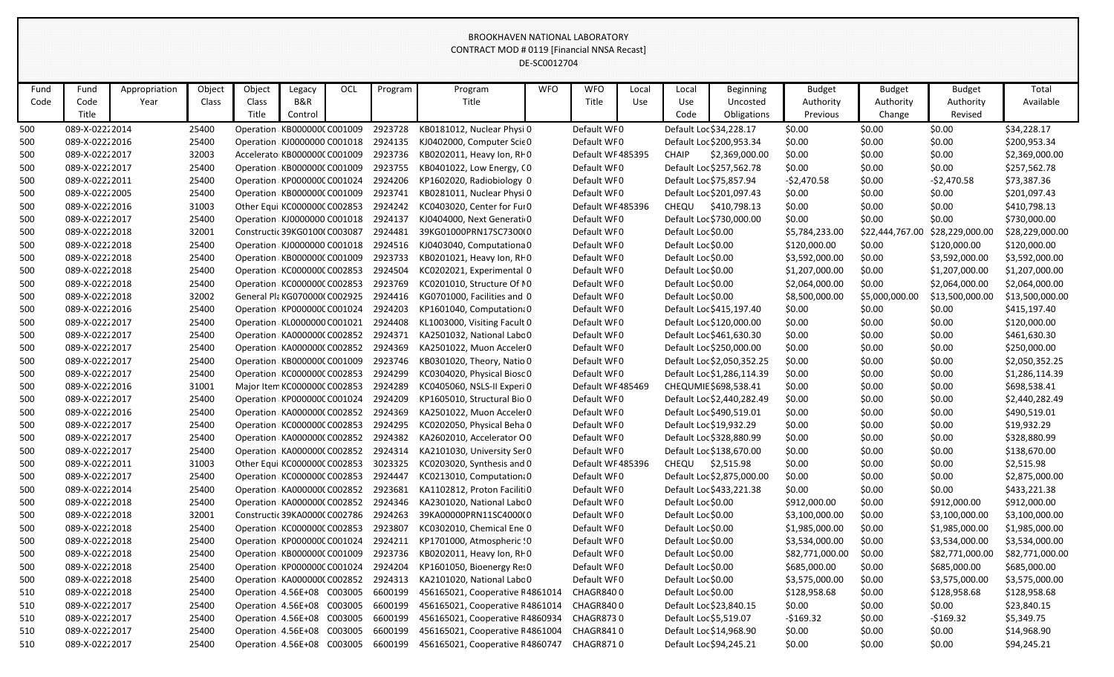|      |                |               |        |        |                               |            |         |                                    | DE-SC0012704 |                   |       |                        |                            |                 |                 |                 |                 |
|------|----------------|---------------|--------|--------|-------------------------------|------------|---------|------------------------------------|--------------|-------------------|-------|------------------------|----------------------------|-----------------|-----------------|-----------------|-----------------|
| Fund | Fund           | Appropriation | Object | Object | Legacy                        | <b>OCL</b> | Program | Program                            | <b>WFO</b>   | <b>WFO</b>        | Local | Local                  | Beginning                  | <b>Budget</b>   | <b>Budget</b>   | <b>Budget</b>   | Total           |
| Code | Code           | Year          | Class  | Class  | B&R                           |            |         | Title                              |              | Title             | Use   | Use                    | Uncosted                   | Authority       | Authority       | Authority       | Available       |
|      | Title          |               |        | Title  | Control                       |            |         |                                    |              |                   |       | Code                   | Obligations                | Previous        | Change          | Revised         |                 |
| 500  | 089-X-02222014 |               | 25400  |        | Operation KB000000CC001009    |            | 2923728 | KB0181012, Nuclear Physi 0         |              | Default WF0       |       |                        | Default Loc \$34,228.17    | \$0.00          | \$0.00          | \$0.00          | \$34,228.17     |
| 500  | 089-X-02222016 |               | 25400  |        | Operation KJ0000000 C001018   |            | 2924135 | KJ0402000, Computer Scie 0         |              | Default WF0       |       |                        | Default Loc \$200,953.34   | \$0.00          | \$0.00          | \$0.00          | \$200,953.34    |
| 500  | 089-X-02222017 |               | 32003  |        | Accelerato KB000000C C001009  |            | 2923736 | KB0202011, Heavy Ion, RFO          |              | Default WF 485395 |       | <b>CHAIP</b>           | \$2,369,000.00             | \$0.00          | \$0.00          | \$0.00          | \$2,369,000.00  |
| 500  | 089-X-02222017 |               | 25400  |        | Operation KB000000C C001009   |            | 2923755 | KB0401022, Low Energy, CO          |              | Default WF0       |       |                        | Default Loc \$257,562.78   | \$0.00          | \$0.00          | \$0.00          | \$257,562.78    |
| 500  | 089-X-02222011 |               | 25400  |        | Operation KP000000CC001024    |            | 2924206 | KP1602020, Radiobiology 0          |              | Default WF0       |       |                        | Default Loc \$75,857.94    | $-52,470.58$    | \$0.00          | $-52,470.58$    | \$73,387.36     |
| 500  | 089-X-02222005 |               | 25400  |        | Operation KB000000C C001009   |            | 2923741 | KB0281011, Nuclear Physi 0         |              | Default WF0       |       |                        | Default Loc \$201,097.43   | \$0.00          | \$0.00          | \$0.00          | \$201,097.43    |
| 500  | 089-X-02222016 |               | 31003  |        | Other Equi KC000000C C002853  |            | 2924242 | KC0403020, Center for Ful0         |              | Default WF485396  |       | <b>CHEQU</b>           | \$410,798.13               | \$0.00          | \$0.00          | \$0.00          | \$410,798.13    |
| 500  | 089-X-02222017 |               | 25400  |        | Operation KJ0000000 C001018   |            | 2924137 | KJ0404000, Next Generati 0         |              | Default WF0       |       |                        | Default Loc \$730,000.00   | \$0.00          | \$0.00          | \$0.00          | \$730,000.00    |
| 500  | 089-X-02222018 |               | 32001  |        | Constructic 39KG01000 C003087 |            | 2924481 | 39KG01000PRN17SC7300I0             |              | Default WF0       |       | Default Loc \$0.00     |                            | \$5,784,233.00  | \$22,444,767.00 | \$28,229,000.00 | \$28,229,000.00 |
| 500  | 089-X-02222018 |               | 25400  |        | Operation KJ0000000 C001018   |            | 2924516 | KJ0403040, Computationa 0          |              | Default WF0       |       | Default Loc \$0.00     |                            | \$120,000.00    | \$0.00          | \$120,000.00    | \$120,000.00    |
| 500  | 089-X-02222018 |               | 25400  |        | Operation KB000000C C001009   |            | 2923733 | KB0201021, Heavy Ion, RF0          |              | Default WF0       |       | Default Loc \$0.00     |                            | \$3,592,000.00  | \$0.00          | \$3,592,000.00  | \$3,592,000.00  |
| 500  | 089-X-02222018 |               | 25400  |        | Operation KC000000C C002853   |            | 2924504 | KC0202021, Experimental 0          |              | Default WF0       |       | Default Loc \$0.00     |                            | \$1,207,000.00  | \$0.00          | \$1,207,000.00  | \$1,207,000.00  |
| 500  | 089-X-02222018 |               | 25400  |        | Operation KC000000CC002853    |            | 2923769 | KC0201010, Structure Of 10         |              | Default WF0       |       | Default Loc \$0.00     |                            | \$2,064,000.00  | \$0.00          | \$2,064,000.00  | \$2,064,000.00  |
| 500  | 089-X-02222018 |               | 32002  |        | General Pla KG070000(C002925  |            | 2924416 | KG0701000, Facilities and 0        |              | Default WF0       |       | Default Loc \$0.00     |                            | \$8,500,000.00  | \$5,000,000.00  | \$13,500,000.00 | \$13,500,000.00 |
| 500  | 089-X-02222016 |               | 25400  |        | Operation KP000000C C001024   |            | 2924203 | KP1601040, Computation. 0          |              | Default WF0       |       |                        | Default Loc \$415,197.40   | \$0.00          | \$0.00          | \$0.00          | \$415,197.40    |
| 500  | 089-X-02222017 |               | 25400  |        | Operation KL0000000 C001021   |            | 2924408 | KL1003000, Visiting Facult 0       |              | Default WF0       |       |                        | Default Loc \$120,000.00   | \$0.00          | \$0.00          | \$0.00          | \$120,000.00    |
| 500  | 089-X-02222017 |               | 25400  |        | Operation KA000000CC002852    |            | 2924371 | KA2501032, National Labc 0         |              | Default WF0       |       |                        | Default Loc \$461,630.30   | \$0.00          | \$0.00          | \$0.00          | \$461,630.30    |
| 500  | 089-X-02222017 |               | 25400  |        | Operation KA000000CC002852    |            | 2924369 | KA2501022, Muon Accelei 0          |              | Default WF0       |       |                        | Default Loc \$250,000.00   | \$0.00          | \$0.00          | \$0.00          | \$250,000.00    |
| 500  | 089-X-02222017 |               | 25400  |        | Operation KB000000C C001009   |            | 2923746 | KB0301020, Theory, Natio 0         |              | Default WF0       |       |                        | Default Loc \$2,050,352.25 | \$0.00          | \$0.00          | \$0.00          | \$2,050,352.25  |
| 500  | 089-X-02222017 |               | 25400  |        | Operation KC000000CC002853    |            | 2924299 | KC0304020, Physical Biosc 0        |              | Default WF0       |       |                        | Default Loc \$1,286,114.39 | \$0.00          | \$0.00          | \$0.00          | \$1,286,114.39  |
| 500  | 089-X-02222016 |               | 31001  |        | Major Item KC000000C C002853  |            | 2924289 | KC0405060, NSLS-II Experi 0        |              | Default WF 485469 |       |                        | CHEQUMIE \$698,538.41      | \$0.00          | \$0.00          | \$0.00          | \$698,538.41    |
| 500  | 089-X-02222017 |               | 25400  |        | Operation KP000000CC001024    |            | 2924209 | KP1605010, Structural Bio 0        |              | Default WF0       |       |                        | Default Loc \$2,440,282.49 | \$0.00          | \$0.00          | \$0.00          | \$2,440,282.49  |
| 500  | 089-X-02222016 |               | 25400  |        | Operation KA000000CC002852    |            | 2924369 | KA2501022, Muon Accelei 0          |              | Default WF0       |       |                        | Default Loc \$490,519.01   | \$0.00          | \$0.00          | \$0.00          | \$490,519.01    |
| 500  | 089-X-02222017 |               | 25400  |        | Operation KC000000C C002853   |            | 2924295 | KC0202050, Physical Beha 0         |              | Default WF0       |       |                        | Default Loc \$19,932.29    | \$0.00          | \$0.00          | \$0.00          | \$19,932.29     |
| 500  | 089-X-02222017 |               | 25400  |        | Operation KA000000CC002852    |            | 2924382 | KA2602010, Accelerator OO          |              | Default WF0       |       |                        | Default Loc \$328,880.99   | \$0.00          | \$0.00          | \$0.00          | \$328,880.99    |
| 500  | 089-X-02222017 |               | 25400  |        | Operation KA000000CC002852    |            | 2924314 | KA2101030, University Ser 0        |              | Default WF0       |       |                        | Default Loc \$138,670.00   | \$0.00          | \$0.00          | \$0.00          | \$138,670.00    |
| 500  | 089-X-02222011 |               | 31003  |        | Other Equi KC000000CC002853   |            | 3023325 | KC0203020, Synthesis and 0         |              | Default WF 485396 |       | <b>CHEQU</b>           | \$2,515.98                 | \$0.00          | \$0.00          | \$0.00          | \$2,515.98      |
| 500  | 089-X-02222017 |               | 25400  |        | Operation KC000000C C002853   |            | 2924447 | KC0213010, Computation. 0          |              | Default WF0       |       |                        | Default Loc \$2,875,000.00 | \$0.00          | \$0.00          | \$0.00          | \$2,875,000.00  |
| 500  | 089-X-02222014 |               | 25400  |        | Operation KA000000CC002852    |            | 2923681 | KA1102812, Proton Facilit 0        |              | Default WF0       |       |                        | Default Loc \$433,221.38   | \$0.00          | \$0.00          | \$0.00          | \$433,221.38    |
| 500  | 089-X-02222018 |               | 25400  |        | Operation KA0000000 C002852   |            | 2924346 | KA2301020, National Labc 0         |              | Default WF0       |       | Default Loc \$0.00     |                            | \$912,000.00    | \$0.00          | \$912,000.00    | \$912,000.00    |
| 500  | 089-X-02222018 |               | 32001  |        | Constructic 39KA0000CC002786  |            | 2924263 | 39KA00000PRN11SC4000(0             |              | Default WF0       |       | Default Loc \$0.00     |                            | \$3,100,000.00  | \$0.00          | \$3,100,000.00  | \$3,100,000.00  |
| 500  | 089-X-02222018 |               | 25400  |        | Operation KC000000C C002853   |            | 2923807 | KC0302010, Chemical Ene 0          |              | Default WF0       |       | Default Loc \$0.00     |                            | \$1,985,000.00  | \$0.00          | \$1,985,000.00  | \$1,985,000.00  |
| 500  | 089-X-02222018 |               | 25400  |        | Operation KP000000C C001024   |            |         | 2924211 KP1701000, Atmospheric ! 0 |              | Default WF0       |       | Default Loc \$0.00     |                            | \$3,534,000.00  | \$0.00          | \$3,534,000.00  | \$3,534,000.00  |
| 500  | 089-X-02222018 |               | 25400  |        | Operation KB000000C C001009   |            | 2923736 | KB0202011, Heavy Ion, RF0          |              | Default WF0       |       | Default Loc \$0.00     |                            | \$82,771,000.00 | \$0.00          | \$82,771,000.00 | \$82,771,000.00 |
| 500  | 089-X-02222018 |               | 25400  |        | Operation KP000000CC001024    |            | 2924204 | KP1601050, Bioenergy Res0          |              | Default WF0       |       | Default Loc \$0.00     |                            | \$685,000.00    | \$0.00          | \$685,000.00    | \$685,000.00    |
| 500  | 089-X-02222018 |               | 25400  |        | Operation KA000000CC002852    |            | 2924313 | KA2101020, National Labc 0         |              | Default WF0       |       | Default Loc \$0.00     |                            | \$3,575,000.00  | \$0.00          | \$3,575,000.00  | \$3,575,000.00  |
| 510  | 089-X-02222018 |               | 25400  |        | Operation: 4.56E+08 C003005   |            | 6600199 | 456165021, Cooperative F4861014    |              | CHAGR8400         |       | Default Loc \$0.00     |                            | \$128,958.68    | \$0.00          | \$128,958.68    | \$128,958.68    |
| 510  | 089-X-02222017 |               | 25400  |        | Operation: 4.56E+08 C003005   |            | 6600199 | 456165021, Cooperative F4861014    |              | CHAGR8400         |       |                        | Default Loc \$23,840.15    | \$0.00          | \$0.00          | \$0.00          | \$23,840.15     |
| 510  | 089-X-02222017 |               | 25400  |        | Operation: 4.56E+08 C003005   |            | 6600199 | 456165021, Cooperative F4860934    |              | CHAGR8730         |       | Default Loc \$5,519.07 |                            | $-5169.32$      | \$0.00          | $-$169.32$      | \$5,349.75      |
| 510  | 089-X-02222017 |               | 25400  |        | Operation: 4.56E+08 C003005   |            | 6600199 | 456165021, Cooperative F4861004    |              | CHAGR8410         |       |                        | Default Loc \$14,968.90    | \$0.00          | \$0.00          | \$0.00          | \$14,968.90     |
| 510  | 089-X-02222017 |               | 25400  |        | Operation 4.56E+08 C003005    |            | 6600199 | 456165021, Cooperative F4860747    |              | CHAGR8710         |       |                        | Default Loc \$94,245.21    | \$0.00          | \$0.00          | \$0.00          | \$94,245.21     |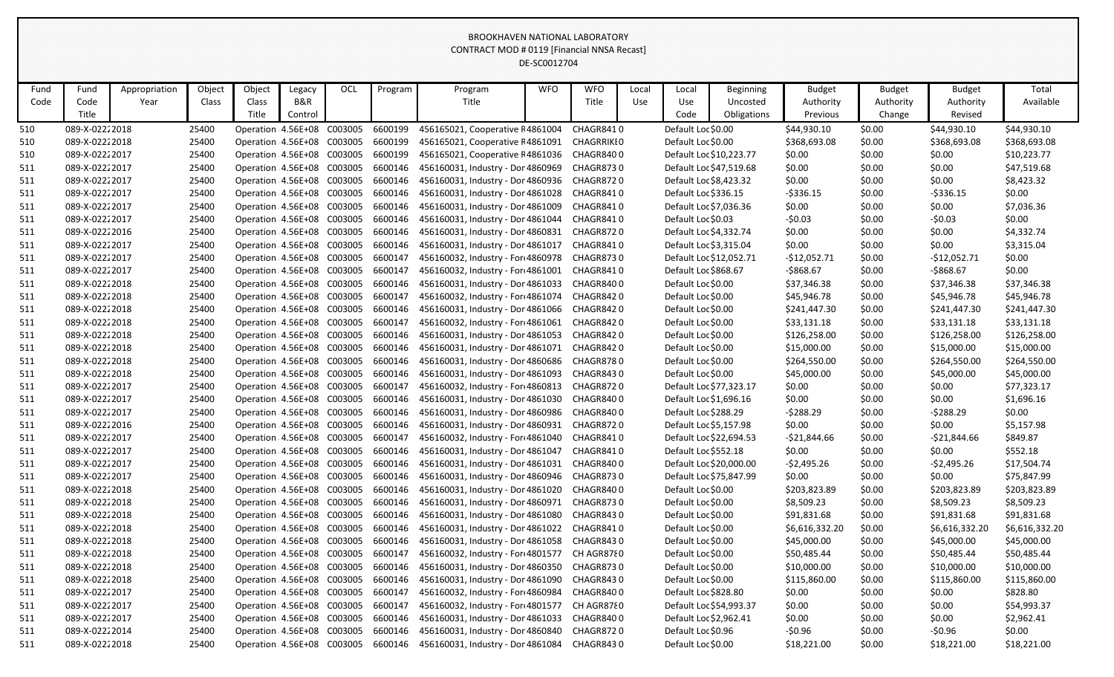|      |                |               |        |                             |         |     |         |                                                                       | DE-SC0012704 |                  |       |                         |                  |                |               |                |                |
|------|----------------|---------------|--------|-----------------------------|---------|-----|---------|-----------------------------------------------------------------------|--------------|------------------|-------|-------------------------|------------------|----------------|---------------|----------------|----------------|
| Fund | Fund           | Appropriation | Object | Object                      | Legacy  | OCL | Program | Program                                                               | <b>WFO</b>   | <b>WFO</b>       | Local | Local                   | <b>Beginning</b> | <b>Budget</b>  | <b>Budget</b> | <b>Budget</b>  | Total          |
| Code | Code           | Year          | Class  | Class                       | B&R     |     |         | Title                                                                 |              | Title            | Use   | Use                     | Uncosted         | Authority      | Authority     | Authority      | Available      |
|      | Title          |               |        | Title                       | Control |     |         |                                                                       |              |                  |       | Code                    | Obligations      | Previous       | Change        | Revised        |                |
| 510  | 089-X-02222018 |               | 25400  | Operation 4.56E+08 C003005  |         |     | 6600199 | 456165021, Cooperative F4861004                                       |              | CHAGR8410        |       | Default Loc \$0.00      |                  | \$44,930.10    | \$0.00        | \$44,930.10    | \$44,930.10    |
| 510  | 089-X-02222018 |               | 25400  | Operation 4.56E+08 C003005  |         |     | 6600199 | 456165021, Cooperative F4861091                                       |              | CHAGRRIKI0       |       | Default Loc \$0.00      |                  | \$368,693.08   | \$0.00        | \$368,693.08   | \$368,693.08   |
| 510  | 089-X-02222017 |               | 25400  | Operation 4.56E+08 C003005  |         |     | 6600199 | 456165021, Cooperative F4861036                                       |              | CHAGR8400        |       | Default Loc \$10,223.77 |                  | \$0.00         | \$0.00        | \$0.00         | \$10,223.77    |
| 511  | 089-X-02222017 |               | 25400  | Operation: 4.56E+08 C003005 |         |     | 6600146 | 456160031, Industry - Dor 4860969                                     |              | <b>CHAGR8730</b> |       | Default Loc \$47,519.68 |                  | \$0.00         | \$0.00        | \$0.00         | \$47,519.68    |
| 511  | 089-X-02222017 |               | 25400  | Operation 4.56E+08 C003005  |         |     | 6600146 | 456160031, Industry - Dor 4860936                                     |              | <b>CHAGR8720</b> |       | Default Loc \$8,423.32  |                  | \$0.00         | \$0.00        | \$0.00         | \$8,423.32     |
| 511  | 089-X-02222017 |               | 25400  | Operation 4.56E+08 C003005  |         |     | 6600146 | 456160031, Industry - Dor 4861028                                     |              | CHAGR8410        |       | Default Loc \$336.15    |                  | $-5336.15$     | \$0.00        | $-5336.15$     | \$0.00         |
| 511  | 089-X-02222017 |               | 25400  | Operation 4.56E+08 C003005  |         |     | 6600146 | 456160031, Industry - Dor 4861009                                     |              | CHAGR8410        |       | Default Loc \$7,036.36  |                  | \$0.00         | \$0.00        | \$0.00         | \$7,036.36     |
| 511  | 089-X-02222017 |               | 25400  | Operation 4.56E+08 C003005  |         |     | 6600146 | 456160031, Industry - Dor 4861044                                     |              | CHAGR8410        |       | Default Loc \$0.03      |                  | $-50.03$       | \$0.00        | $-50.03$       | \$0.00         |
| 511  | 089-X-02222016 |               | 25400  | Operation 4.56E+08 C003005  |         |     | 6600146 | 456160031, Industry - Dor 4860831                                     |              | CHAGR8720        |       | Default Loc \$4,332.74  |                  | \$0.00         | \$0.00        | \$0.00         | \$4,332.74     |
| 511  | 089-X-02222017 |               | 25400  | Operation 4.56E+08 C003005  |         |     | 6600146 | 456160031, Industry - Dor 4861017                                     |              | CHAGR8410        |       | Default Loc \$3,315.04  |                  | \$0.00         | \$0.00        | \$0.00         | \$3,315.04     |
| 511  | 089-X-02222017 |               | 25400  | Operation 4.56E+08 C003005  |         |     | 6600147 | 456160032, Industry - For 4860978                                     |              | <b>CHAGR8730</b> |       | Default Loc \$12,052.71 |                  | $-$12,052.71$  | \$0.00        | -\$12,052.71   | \$0.00         |
| 511  | 089-X-02222017 |               | 25400  | Operation 4.56E+08 C003005  |         |     | 6600147 | 456160032, Industry - For 4861001                                     |              | CHAGR8410        |       | Default Loc \$868.67    |                  | -\$868.67      | \$0.00        | $-5868.67$     | \$0.00         |
| 511  | 089-X-02222018 |               | 25400  | Operation 4.56E+08 C003005  |         |     | 6600146 | 456160031, Industry - Dor 4861033                                     |              | CHAGR8400        |       | Default Loc \$0.00      |                  | \$37,346.38    | \$0.00        | \$37,346.38    | \$37,346.38    |
| 511  | 089-X-02222018 |               | 25400  | Operation 4.56E+08 C003005  |         |     | 6600147 | 456160032, Industry - For 4861074                                     |              | CHAGR8420        |       | Default Loc \$0.00      |                  | \$45,946.78    | \$0.00        | \$45,946.78    | \$45,946.78    |
| 511  | 089-X-02222018 |               | 25400  | Operation: 4.56E+08 C003005 |         |     | 6600146 | 456160031, Industry - Dor 4861066                                     |              | CHAGR8420        |       | Default Loc \$0.00      |                  | \$241,447.30   | \$0.00        | \$241,447.30   | \$241,447.30   |
| 511  | 089-X-02222018 |               | 25400  | Operation 4.56E+08 C003005  |         |     | 6600147 | 456160032, Industry - For 4861061                                     |              | CHAGR8420        |       | Default Loc \$0.00      |                  | \$33,131.18    | \$0.00        | \$33,131.18    | \$33,131.18    |
| 511  | 089-X-02222018 |               | 25400  | Operation 4.56E+08 C003005  |         |     | 6600146 | 456160031, Industry - Dor 4861053                                     |              | CHAGR8420        |       | Default Loc \$0.00      |                  | \$126,258.00   | \$0.00        | \$126,258.00   | \$126,258.00   |
| 511  | 089-X-02222018 |               | 25400  | Operation 4.56E+08 C003005  |         |     | 6600146 | 456160031, Industry - Dor 4861071                                     |              | CHAGR8420        |       | Default Loc \$0.00      |                  | \$15,000.00    | \$0.00        | \$15,000.00    | \$15,000.00    |
| 511  | 089-X-02222018 |               | 25400  | Operation 4.56E+08 C003005  |         |     | 6600146 | 456160031, Industry - Dor 4860686                                     |              | CHAGR8780        |       | Default Loc \$0.00      |                  | \$264,550.00   | \$0.00        | \$264,550.00   | \$264,550.00   |
| 511  | 089-X-02222018 |               | 25400  | Operation 4.56E+08 C003005  |         |     | 6600146 | 456160031, Industry - Dor 4861093                                     |              | CHAGR8430        |       | Default Loc \$0.00      |                  | \$45,000.00    | \$0.00        | \$45,000.00    | \$45,000.00    |
| 511  | 089-X-02222017 |               | 25400  | Operation 4.56E+08 C003005  |         |     | 6600147 | 456160032, Industry - For 4860813                                     |              | <b>CHAGR8720</b> |       | Default Loc \$77,323.17 |                  | \$0.00         | \$0.00        | \$0.00         | \$77,323.17    |
| 511  | 089-X-02222017 |               | 25400  | Operation 4.56E+08 C003005  |         |     | 6600146 | 456160031, Industry - Dor 4861030                                     |              | CHAGR8400        |       | Default Loc \$1,696.16  |                  | \$0.00         | \$0.00        | \$0.00         | \$1,696.16     |
| 511  | 089-X-02222017 |               | 25400  | Operation 4.56E+08 C003005  |         |     | 6600146 | 456160031, Industry - Dor 4860986                                     |              | CHAGR8400        |       | Default Loc \$288.29    |                  | $-5288.29$     | \$0.00        | $-5288.29$     | \$0.00         |
| 511  | 089-X-02222016 |               | 25400  | Operation 4.56E+08 C003005  |         |     | 6600146 | 456160031, Industry - Dor 4860931                                     |              | <b>CHAGR8720</b> |       | Default Loc \$5,157.98  |                  | \$0.00         | \$0.00        | \$0.00         | \$5,157.98     |
| 511  | 089-X-02222017 |               | 25400  | Operation 4.56E+08 C003005  |         |     | 6600147 | 456160032, Industry - For 4861040                                     |              | CHAGR8410        |       | Default Loc \$22,694.53 |                  | $-521,844.66$  | \$0.00        | -\$21,844.66   | \$849.87       |
| 511  | 089-X-02222017 |               | 25400  | Operation: 4.56E+08 C003005 |         |     | 6600146 | 456160031, Industry - Dor 4861047                                     |              | CHAGR8410        |       | Default Loc \$552.18    |                  | \$0.00         | \$0.00        | \$0.00         | \$552.18       |
| 511  | 089-X-02222017 |               | 25400  | Operation 4.56E+08 C003005  |         |     | 6600146 | 456160031, Industry - Dor 4861031                                     |              | CHAGR8400        |       | Default Loc \$20,000.00 |                  | $-52,495.26$   | \$0.00        | $-$ \$2,495.26 | \$17,504.74    |
| 511  | 089-X-02222017 |               | 25400  |                             |         |     |         | Operation 4.56E+08 C003005 6600146 456160031, Industry - Dor 4860946  |              | CHAGR8730        |       | Default Loc \$75,847.99 |                  | \$0.00         | \$0.00        | \$0.00         | \$75,847.99    |
| 511  | 089-X-02222018 |               | 25400  | Operation 4.56E+08 C003005  |         |     | 6600146 | 456160031, Industry - Dor 4861020                                     |              | CHAGR8400        |       | Default Loc \$0.00      |                  | \$203,823.89   | \$0.00        | \$203,823.89   | \$203,823.89   |
| 511  | 089-X-02222018 |               | 25400  | Operation 4.56E+08 C003005  |         |     | 6600146 | 456160031, Industry - Dor 4860971                                     |              | CHAGR8730        |       | Default Loc \$0.00      |                  | \$8,509.23     | \$0.00        | \$8,509.23     | \$8,509.23     |
| 511  | 089-X-02222018 |               | 25400  | Operation: 4.56E+08 C003005 |         |     | 6600146 | 456160031, Industry - Dor 4861080                                     |              | CHAGR8430        |       | Default Loc \$0.00      |                  | \$91,831.68    | \$0.00        | \$91,831.68    | \$91,831.68    |
| 511  | 089-X-02222018 |               | 25400  | Operation: 4.56E+08 C003005 |         |     | 6600146 | 456160031, Industry - Dor 4861022                                     |              | CHAGR8410        |       | Default Loc \$0.00      |                  | \$6,616,332.20 | \$0.00        | \$6,616,332.20 | \$6,616,332.20 |
| 511  | 089-X-02222018 |               | 25400  | Operation: 4.56E+08 C003005 |         |     | 6600146 | 456160031, Industry - Dor 4861058                                     |              | CHAGR8430        |       | Default Loc \$0.00      |                  | \$45,000.00    | \$0.00        | \$45,000.00    | \$45,000.00    |
| 511  | 089-X-02222018 |               | 25400  | Operation 4.56E+08 C003005  |         |     | 6600147 | 456160032, Industry - For 4801577                                     |              | CH AGR8780       |       | Default Loc \$0.00      |                  | \$50,485.44    | \$0.00        | \$50,485.44    | \$50,485.44    |
| 511  | 089-X-02222018 |               | 25400  | Operation 4.56E+08 C003005  |         |     | 6600146 | 456160031, Industry - Dor 4860350                                     |              | CHAGR8730        |       | Default Loc \$0.00      |                  | \$10,000.00    | \$0.00        | \$10,000.00    | \$10,000.00    |
| 511  | 089-X-02222018 |               | 25400  | Operation: 4.56E+08 C003005 |         |     | 6600146 | 456160031, Industry - Dor 4861090                                     |              | CHAGR8430        |       | Default Loc \$0.00      |                  | \$115,860.00   | \$0.00        | \$115,860.00   | \$115,860.00   |
| 511  | 089-X-02222017 |               | 25400  | Operation: 4.56E+08 C003005 |         |     | 6600147 | 456160032, Industry - For 4860984                                     |              | CHAGR8400        |       | Default Loc \$828.80    |                  | \$0.00         | \$0.00        | \$0.00         | \$828.80       |
| 511  | 089-X-02222017 |               | 25400  | Operation: 4.56E+08 C003005 |         |     | 6600147 | 456160032, Industry - For 4801577                                     |              | CH AGR8780       |       | Default Loc \$54,993.37 |                  | \$0.00         | \$0.00        | \$0.00         | \$54,993.37    |
| 511  | 089-X-02222017 |               | 25400  | Operation: 4.56E+08 C003005 |         |     | 6600146 | 456160031, Industry - Dor 4861033                                     |              | CHAGR8400        |       | Default Loc \$2,962.41  |                  | \$0.00         | \$0.00        | \$0.00         | \$2,962.41     |
| 511  | 089-X-02222014 |               | 25400  | Operation: 4.56E+08 C003005 |         |     | 6600146 | 456160031, Industry - Dor 4860840                                     |              | CHAGR8720        |       | Default Loc \$0.96      |                  | $-50.96$       | \$0.00        | $-50.96$       | \$0.00         |
| 511  | 089-X-02222018 |               | 25400  |                             |         |     |         | Operation: 4.56E+08 C003005 6600146 456160031, Industry - Dor 4861084 |              | CHAGR8430        |       | Default Loc \$0.00      |                  | \$18,221.00    | \$0.00        | \$18,221.00    | \$18,221.00    |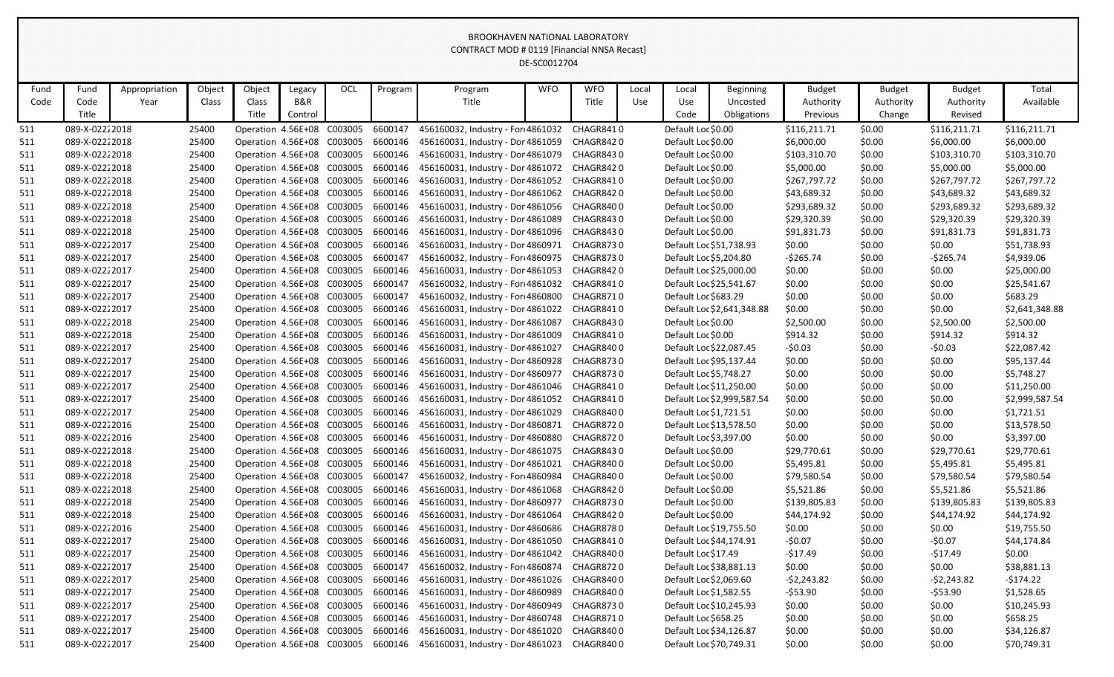|      |                |               |        |                              |         |     |         |                                                                      | DE-SC0012704 |            |       |                         |                            |               |               |               |                |
|------|----------------|---------------|--------|------------------------------|---------|-----|---------|----------------------------------------------------------------------|--------------|------------|-------|-------------------------|----------------------------|---------------|---------------|---------------|----------------|
| Fund | Fund           | Appropriation | Object | Object                       | Legacy  | OCL | Program | Program                                                              | <b>WFO</b>   | <b>WFO</b> | Local | Local                   | Beginning                  | <b>Budget</b> | <b>Budget</b> | <b>Budget</b> | Total          |
| Code | Code           | Year          | Class  | Class                        | B&R     |     |         | Title                                                                |              | Title      | Use   | Use                     | Uncosted                   | Authority     | Authority     | Authority     | Available      |
|      | Title          |               |        | Title                        | Control |     |         |                                                                      |              |            |       | Code                    | Obligations                | Previous      | Change        | Revised       |                |
| 511  | 089-X-02222018 |               | 25400  | Operation 4.56E+08 C003005   |         |     | 6600147 | 456160032, Industry - For 4861032                                    |              | CHAGR8410  |       | Default Loc \$0.00      |                            | \$116,211.71  | \$0.00        | \$116,211.71  | \$116,211.71   |
| 511  | 089-X-02222018 |               | 25400  | Operation 4.56E+08 C003005   |         |     | 6600146 | 456160031, Industry - Dor 4861059                                    |              | CHAGR8420  |       | Default Loc \$0.00      |                            | \$6,000.00    | \$0.00        | \$6,000.00    | \$6,000.00     |
| 511  | 089-X-02222018 |               | 25400  | Operation 4.56E+08 C003005   |         |     | 6600146 | 456160031, Industry - Dor 4861079                                    |              | CHAGR8430  |       | Default Loc \$0.00      |                            | \$103,310.70  | \$0.00        | \$103,310.70  | \$103,310.70   |
| 511  | 089-X-02222018 |               | 25400  | Operation 4.56E+08 C003005   |         |     | 6600146 | 456160031, Industry - Dor 4861072                                    |              | CHAGR8420  |       | Default Loc \$0.00      |                            | \$5,000.00    | \$0.00        | \$5,000.00    | \$5,000.00     |
| 511  | 089-X-02222018 |               | 25400  | Operation 4.56E+08 C003005   |         |     | 6600146 | 456160031, Industry - Dor 4861052                                    |              | CHAGR8410  |       | Default Loc \$0.00      |                            | \$267,797.72  | \$0.00        | \$267,797.72  | \$267,797.72   |
| 511  | 089-X-02222018 |               | 25400  | Operation 4.56E+08 C003005   |         |     | 6600146 | 456160031, Industry - Dor 4861062                                    |              | CHAGR8420  |       | Default Loc \$0.00      |                            | \$43,689.32   | \$0.00        | \$43,689.32   | \$43,689.32    |
| 511  | 089-X-02222018 |               | 25400  | Operation 4.56E+08 C003005   |         |     | 6600146 | 456160031, Industry - Dor 4861056                                    |              | CHAGR8400  |       | Default Loc \$0.00      |                            | \$293,689.32  | \$0.00        | \$293,689.32  | \$293,689.32   |
| 511  | 089-X-02222018 |               | 25400  | Operation 4.56E+08 C003005   |         |     | 6600146 | 456160031, Industry - Dor 4861089                                    |              | CHAGR8430  |       | Default Loc \$0.00      |                            | \$29,320.39   | \$0.00        | \$29,320.39   | \$29,320.39    |
| 511  | 089-X-02222018 |               | 25400  | Operation 4.56E+08 C003005   |         |     | 6600146 | 456160031, Industry - Dor 4861096                                    |              | CHAGR8430  |       | Default Loc \$0.00      |                            | \$91,831.73   | \$0.00        | \$91,831.73   | \$91,831.73    |
| 511  | 089-X-02222017 |               | 25400  | Operation : 4.56E+08 C003005 |         |     | 6600146 | 456160031, Industry - Dor 4860971                                    |              | CHAGR8730  |       | Default Loc \$51,738.93 |                            | \$0.00        | \$0.00        | \$0.00        | \$51,738.93    |
| 511  | 089-X-02222017 |               | 25400  | Operation 4.56E+08 C003005   |         |     | 6600147 | 456160032, Industry - For 4860975                                    |              | CHAGR8730  |       | Default Loc \$5,204.80  |                            | $-5265.74$    | \$0.00        | $-5265.74$    | \$4,939.06     |
| 511  | 089-X-02222017 |               | 25400  | Operation 4.56E+08 C003005   |         |     | 6600146 | 456160031, Industry - Dor 4861053                                    |              | CHAGR8420  |       | Default Loc \$25,000.00 |                            | \$0.00        | \$0.00        | \$0.00        | \$25,000.00    |
| 511  | 089-X-02222017 |               | 25400  | Operation 4.56E+08 C003005   |         |     | 6600147 | 456160032, Industry - For 4861032                                    |              | CHAGR8410  |       | Default Loc \$25,541.67 |                            | \$0.00        | \$0.00        | \$0.00        | \$25,541.67    |
| 511  | 089-X-02222017 |               | 25400  | Operation 4.56E+08 C003005   |         |     | 6600147 | 456160032, Industry - For 4860800                                    |              | CHAGR8710  |       | Default Loc \$683.29    |                            | \$0.00        | \$0.00        | \$0.00        | \$683.29       |
| 511  | 089-X-02222017 |               | 25400  | Operation 4.56E+08 C003005   |         |     | 6600146 | 456160031, Industry - Dor 4861022                                    |              | CHAGR8410  |       |                         | Default Loc \$2,641,348.88 | \$0.00        | \$0.00        | \$0.00        | \$2,641,348.88 |
| 511  | 089-X-02222018 |               | 25400  | Operation 4.56E+08 C003005   |         |     | 6600146 | 456160031, Industry - Dor 4861087                                    |              | CHAGR8430  |       | Default Loc \$0.00      |                            | \$2,500.00    | \$0.00        | \$2,500.00    | \$2,500.00     |
| 511  | 089-X-02222018 |               | 25400  | Operation 4.56E+08 C003005   |         |     | 6600146 | 456160031, Industry - Dor 4861009                                    |              | CHAGR8410  |       | Default Loc \$0.00      |                            | \$914.32      | \$0.00        | \$914.32      | \$914.32       |
| 511  | 089-X-02222017 |               | 25400  | Operation 4.56E+08 C003005   |         |     | 6600146 | 456160031, Industry - Dor 4861027                                    |              | CHAGR8400  |       | Default Loc \$22,087.45 |                            | $-50.03$      | \$0.00        | $-50.03$      | \$22,087.42    |
| 511  | 089-X-02222017 |               | 25400  | Operation 4.56E+08 C003005   |         |     | 6600146 | 456160031, Industry - Dor 4860928                                    |              | CHAGR8730  |       | Default Loc \$95,137.44 |                            | \$0.00        | \$0.00        | \$0.00        | \$95,137.44    |
| 511  | 089-X-02222017 |               | 25400  | Operation 4.56E+08 C003005   |         |     | 6600146 | 456160031, Industry - Dor 4860977                                    |              | CHAGR8730  |       | Default Loc \$5,748.27  |                            | \$0.00        | \$0.00        | \$0.00        | \$5,748.27     |
| 511  | 089-X-02222017 |               | 25400  | Operation 4.56E+08 C003005   |         |     | 6600146 | 456160031, Industry - Dor 4861046                                    |              | CHAGR8410  |       |                         | Default Loc \$11,250.00    | \$0.00        | \$0.00        | \$0.00        | \$11,250.00    |
| 511  | 089-X-02222017 |               | 25400  | Operation 4.56E+08 C003005   |         |     | 6600146 | 456160031, Industry - Dor 4861052                                    |              | CHAGR8410  |       |                         | Default Loc \$2,999,587.54 | \$0.00        | \$0.00        | \$0.00        | \$2,999,587.54 |
| 511  | 089-X-02222017 |               | 25400  | Operation 4.56E+08 C003005   |         |     | 6600146 | 456160031, Industry - Dor 4861029                                    |              | CHAGR8400  |       | Default Loc \$1,721.51  |                            | \$0.00        | \$0.00        | \$0.00        | \$1,721.51     |
| 511  | 089-X-02222016 |               | 25400  | Operation 4.56E+08 C003005   |         |     | 6600146 | 456160031, Industry - Dor 4860871                                    |              | CHAGR8720  |       | Default Loc \$13,578.50 |                            | \$0.00        | \$0.00        | \$0.00        | \$13,578.50    |
| 511  | 089-X-02222016 |               | 25400  | Operation 4.56E+08 C003005   |         |     | 6600146 | 456160031, Industry - Dor 4860880                                    |              | CHAGR8720  |       | Default Loc \$3,397.00  |                            | \$0.00        | \$0.00        | \$0.00        | \$3,397.00     |
| 511  | 089-X-02222018 |               | 25400  | Operation 4.56E+08 C003005   |         |     | 6600146 | 456160031, Industry - Dor 4861075                                    |              | CHAGR8430  |       | Default Loc \$0.00      |                            | \$29,770.61   | \$0.00        | \$29,770.61   | \$29,770.61    |
| 511  | 089-X-02222018 |               | 25400  |                              |         |     |         | Operation 4.56E+08 C003005 6600146 456160031, Industry - Dor 4861021 |              | CHAGR8400  |       | Default Loc \$0.00      |                            | \$5,495.81    | \$0.00        | \$5,495.81    | \$5,495.81     |
| 511  | 089-X-02222018 |               | 25400  | Operation 4.56E+08 C003005   |         |     | 6600147 | 456160032, Industry - For 4860984                                    |              | CHAGR8400  |       | Default Loc \$0.00      |                            | \$79,580.54   | \$0.00        | \$79,580.54   | \$79,580.54    |
| 511  | 089-X-02222018 |               | 25400  | Operation: 4.56E+08 C003005  |         |     | 6600146 | 456160031, Industry - Dor 4861068                                    |              | CHAGR8420  |       | Default Loc \$0.00      |                            | \$5,521.86    | \$0.00        | \$5,521.86    | \$5,521.86     |
| 511  | 089-X-02222018 |               | 25400  | Operation: 4.56E+08 C003005  |         |     | 6600146 | 456160031, Industry - Dor 4860977                                    |              | CHAGR8730  |       | Default Loc \$0.00      |                            | \$139,805.83  | \$0.00        | \$139,805.83  | \$139,805.83   |
| 511  | 089-X-02222018 |               | 25400  | Operation: 4.56E+08 C003005  |         |     | 6600146 | 456160031, Industry - Dor 4861064                                    |              | CHAGR8420  |       | Default Loc \$0.00      |                            | \$44,174.92   | \$0.00        | \$44,174.92   | \$44,174.92    |
| 511  | 089-X-02222016 |               | 25400  | Operation: 4.56E+08 C003005  |         |     | 6600146 | 456160031, Industry - Dor 4860686                                    |              | CHAGR8780  |       | Default Loc \$19,755.50 |                            | \$0.00        | \$0.00        | \$0.00        | \$19,755.50    |
| 511  | 089-X-02222017 |               | 25400  | Operation 4.56E+08 C003005   |         |     | 6600146 | 456160031, Industry - Dor 4861050                                    |              | CHAGR8410  |       | Default Loc \$44,174.91 |                            | $-50.07$      | \$0.00        | $-50.07$      | \$44,174.84    |
| 511  | 089-X-02222017 |               | 25400  | Operation 4.56E+08 C003005   |         |     | 6600146 | 456160031, Industry - Dor 4861042                                    |              | CHAGR8400  |       | Default Loc \$17.49     |                            | -\$17.49      | \$0.00        | $-$17.49$     | \$0.00         |
| 511  | 089-X-02222017 |               | 25400  | Operation: 4.56E+08 C003005  |         |     | 6600147 | 456160032, Industry - For 4860874                                    |              | CHAGR8720  |       | Default Loc \$38,881.13 |                            | \$0.00        | \$0.00        | \$0.00        | \$38,881.13    |
| 511  | 089-X-02222017 |               | 25400  | Operation: 4.56E+08 C003005  |         |     | 6600146 | 456160031, Industry - Dor 4861026                                    |              | CHAGR8400  |       | Default Loc \$2,069.60  |                            | $-52,243.82$  | \$0.00        | $-52,243.82$  | $-5174.22$     |
| 511  | 089-X-02222017 |               | 25400  | Operation: 4.56E+08 C003005  |         |     | 6600146 | 456160031, Industry - Dor 4860989                                    |              | CHAGR8400  |       | Default Loc \$1,582.55  |                            | $-553.90$     | \$0.00        | $-553.90$     | \$1,528.65     |
| 511  | 089-X-02222017 |               | 25400  | Operation: 4.56E+08 C003005  |         |     | 6600146 | 456160031, Industry - Dor 4860949                                    |              | CHAGR8730  |       | Default Loc \$10,245.93 |                            | \$0.00        | \$0.00        | \$0.00        | \$10,245.93    |
| 511  | 089-X-02222017 |               | 25400  | Operation: 4.56E+08 C003005  |         |     | 6600146 | 456160031, Industry - Dor 4860748                                    |              | CHAGR8710  |       | Default Loc \$658.25    |                            | \$0.00        | \$0.00        | \$0.00        | \$658.25       |
| 511  | 089-X-02222017 |               | 25400  | Operation: 4.56E+08 C003005  |         |     | 6600146 | 456160031, Industry - Dor 4861020                                    |              | CHAGR8400  |       | Default Loc \$34,126.87 |                            | \$0.00        | \$0.00        | \$0.00        | \$34,126.87    |
| 511  | 089-X-02222017 |               | 25400  | Operation: 4.56E+08 C003005  |         |     | 6600146 | 456160031, Industry - Dor 4861023                                    |              | CHAGR8400  |       | Default Loc \$70,749.31 |                            | \$0.00        | \$0.00        | \$0.00        | \$70,749.31    |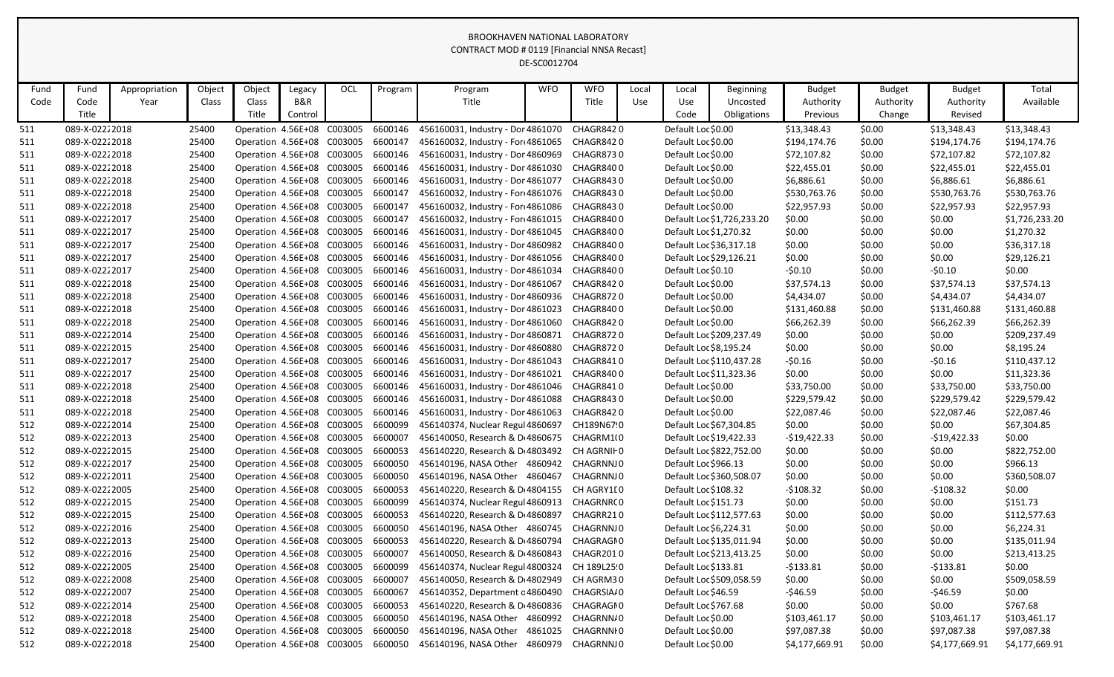|      |                |               |        |                                    |         |     |         |                                       | DE-SC0012704 |             |       |                         |                            |                |               |                |                |
|------|----------------|---------------|--------|------------------------------------|---------|-----|---------|---------------------------------------|--------------|-------------|-------|-------------------------|----------------------------|----------------|---------------|----------------|----------------|
| Fund | Fund           | Appropriation | Object | Object                             | Legacy  | OCL | Program | Program                               | <b>WFO</b>   | <b>WFO</b>  | Local | Local                   | <b>Beginning</b>           | <b>Budget</b>  | <b>Budget</b> | <b>Budget</b>  | Total          |
| Code | Code           | Year          | Class  | Class                              | B&R     |     |         | Title                                 |              | Title       | Use   | Use                     | Uncosted                   | Authority      | Authority     | Authority      | Available      |
|      | Title          |               |        | Title                              | Control |     |         |                                       |              |             |       | Code                    | Obligations                | Previous       | Change        | Revised        |                |
| 511  | 089-X-02222018 |               | 25400  | Operation 4.56E+08 C003005         |         |     | 6600146 | 456160031, Industry - Dor 4861070     |              | CHAGR8420   |       | Default Loc \$0.00      |                            | \$13,348.43    | \$0.00        | \$13,348.43    | \$13,348.43    |
| 511  | 089-X-02222018 |               | 25400  | Operation 4.56E+08 C003005         |         |     | 6600147 | 456160032, Industry - For 4861065     |              | CHAGR8420   |       | Default Loc \$0.00      |                            | \$194,174.76   | \$0.00        | \$194,174.76   | \$194,174.76   |
| 511  | 089-X-02222018 |               | 25400  | Operation 4.56E+08 C003005         |         |     | 6600146 | 456160031, Industry - Dor 4860969     |              | CHAGR8730   |       | Default Loc \$0.00      |                            | \$72,107.82    | \$0.00        | \$72,107.82    | \$72,107.82    |
| 511  | 089-X-02222018 |               | 25400  | Operation: 4.56E+08 C003005        |         |     | 6600146 | 456160031, Industry - Dor 4861030     |              | CHAGR8400   |       | Default Loc \$0.00      |                            | \$22,455.01    | \$0.00        | \$22,455.01    | \$22,455.01    |
| 511  | 089-X-02222018 |               | 25400  | Operation 4.56E+08 C003005         |         |     | 6600146 | 456160031, Industry - Dor 4861077     |              | CHAGR8430   |       | Default Loc \$0.00      |                            | \$6,886.61     | \$0.00        | \$6,886.61     | \$6,886.61     |
| 511  | 089-X-02222018 |               | 25400  | Operation 4.56E+08 C003005         |         |     | 6600147 | 456160032, Industry - For 4861076     |              | CHAGR8430   |       | Default Loc \$0.00      |                            | \$530,763.76   | \$0.00        | \$530,763.76   | \$530,763.76   |
| 511  | 089-X-02222018 |               | 25400  | Operation 4.56E+08 C003005         |         |     | 6600147 | 456160032, Industry - For 4861086     |              | CHAGR8430   |       | Default Loc \$0.00      |                            | \$22,957.93    | \$0.00        | \$22,957.93    | \$22,957.93    |
| 511  | 089-X-02222017 |               | 25400  | Operation 4.56E+08 C003005         |         |     | 6600147 | 456160032, Industry - For 4861015     |              | CHAGR8400   |       |                         | Default Loc \$1,726,233.20 | \$0.00         | \$0.00        | \$0.00         | \$1,726,233.20 |
| 511  | 089-X-02222017 |               | 25400  | Operation 4.56E+08 C003005         |         |     | 6600146 | 456160031, Industry - Dor 4861045     |              | CHAGR8400   |       | Default Loc \$1,270.32  |                            | \$0.00         | \$0.00        | \$0.00         | \$1,270.32     |
| 511  | 089-X-02222017 |               | 25400  | Operation 4.56E+08 C003005         |         |     | 6600146 | 456160031, Industry - Dor 4860982     |              | CHAGR8400   |       | Default Loc \$36,317.18 |                            | \$0.00         | \$0.00        | \$0.00         | \$36,317.18    |
| 511  | 089-X-02222017 |               | 25400  | Operation 4.56E+08 C003005         |         |     | 6600146 | 456160031, Industry - Dor 4861056     |              | CHAGR8400   |       | Default Loc \$29,126.21 |                            | \$0.00         | \$0.00        | \$0.00         | \$29,126.21    |
| 511  | 089-X-02222017 |               | 25400  | Operation 4.56E+08 C003005         |         |     | 6600146 | 456160031, Industry - Dor 4861034     |              | CHAGR8400   |       | Default Loc \$0.10      |                            | $-50.10$       | \$0.00        | $-50.10$       | \$0.00         |
| 511  | 089-X-02222018 |               | 25400  | Operation 4.56E+08 C003005         |         |     | 6600146 | 456160031, Industry - Dor 4861067     |              | CHAGR8420   |       | Default Loc \$0.00      |                            | \$37,574.13    | \$0.00        | \$37,574.13    | \$37,574.13    |
| 511  | 089-X-02222018 |               | 25400  | Operation 4.56E+08 C003005         |         |     | 6600146 | 456160031, Industry - Dor 4860936     |              | CHAGR8720   |       | Default Loc \$0.00      |                            | \$4,434.07     | \$0.00        | \$4,434.07     | \$4,434.07     |
| 511  | 089-X-02222018 |               | 25400  | Operation 4.56E+08 C003005         |         |     | 6600146 | 456160031, Industry - Dor 4861023     |              | CHAGR8400   |       | Default Loc \$0.00      |                            | \$131,460.88   | \$0.00        | \$131,460.88   | \$131,460.88   |
| 511  | 089-X-02222018 |               | 25400  | Operation 4.56E+08 C003005         |         |     | 6600146 | 456160031, Industry - Dor 4861060     |              | CHAGR8420   |       | Default Loc \$0.00      |                            | \$66,262.39    | \$0.00        | \$66,262.39    | \$66,262.39    |
| 511  | 089-X-02222014 |               | 25400  | Operation 4.56E+08 C003005         |         |     | 6600146 | 456160031, Industry - Dor 4860871     |              | CHAGR8720   |       |                         | Default Loc \$209,237.49   | \$0.00         | \$0.00        | \$0.00         | \$209,237.49   |
| 511  | 089-X-02222015 |               | 25400  | Operation 4.56E+08 C003005         |         |     | 6600146 | 456160031, Industry - Dor 4860880     |              | CHAGR8720   |       | Default Loc \$8,195.24  |                            | \$0.00         | \$0.00        | \$0.00         | \$8,195.24     |
| 511  | 089-X-02222017 |               | 25400  | Operation 4.56E+08 C003005         |         |     | 6600146 | 456160031, Industry - Dor 4861043     |              | CHAGR8410   |       |                         | Default Loc \$110,437.28   | $-50.16$       | \$0.00        | $-50.16$       | \$110,437.12   |
| 511  | 089-X-02222017 |               | 25400  | Operation 4.56E+08 C003005         |         |     | 6600146 | 456160031, Industry - Dor 4861021     |              | CHAGR8400   |       | Default Loc \$11,323.36 |                            | \$0.00         | \$0.00        | \$0.00         | \$11,323.36    |
| 511  | 089-X-02222018 |               | 25400  | Operation 4.56E+08 C003005         |         |     | 6600146 | 456160031, Industry - Dor 4861046     |              | CHAGR8410   |       | Default Loc \$0.00      |                            | \$33,750.00    | \$0.00        | \$33,750.00    | \$33,750.00    |
| 511  | 089-X-02222018 |               | 25400  | Operation 4.56E+08 C003005         |         |     | 6600146 | 456160031, Industry - Dor 4861088     |              | CHAGR8430   |       | Default Loc \$0.00      |                            | \$229,579.42   | \$0.00        | \$229,579.42   | \$229,579.42   |
| 511  | 089-X-02222018 |               | 25400  | Operation 4.56E+08 C003005         |         |     | 6600146 | 456160031, Industry - Dor 4861063     |              | CHAGR8420   |       | Default Loc \$0.00      |                            | \$22,087.46    | \$0.00        | \$22,087.46    | \$22,087.46    |
| 512  | 089-X-02222014 |               | 25400  | Operation 4.56E+08 C003005         |         |     | 6600099 | 456140374, Nuclear Regul 4860697      |              | CH189N67!0  |       | Default Loc \$67,304.85 |                            | \$0.00         | \$0.00        | \$0.00         | \$67,304.85    |
| 512  | 089-X-02222013 |               | 25400  | Operation 4.56E+08 C003005         |         |     | 6600007 | 456140050, Research & D 4860675       |              | CHAGRM10    |       | Default Loc \$19,422.33 |                            | $-$19,422.33$  | \$0.00        | $-$19,422.33$  | \$0.00         |
| 512  | 089-X-02222015 |               | 25400  | Operation: 4.56E+08 C003005        |         |     | 6600053 | 456140220, Research & D 4803492       |              | CH AGRNII 0 |       |                         | Default Loc \$822,752.00   | \$0.00         | \$0.00        | \$0.00         | \$822,752.00   |
| 512  | 089-X-02222017 |               | 25400  | Operation 4.56E+08 C003005         |         |     | 6600050 | 456140196, NASA Other 4860942         |              | CHAGRNNJ 0  |       | Default Loc \$966.13    |                            | \$0.00         | \$0.00        | \$0.00         | \$966.13       |
| 512  | 089-X-02222011 |               | 25400  | Operation 4.56E+08 C003005         |         |     |         | 6600050 456140196, NASA Other 4860467 |              | CHAGRNNJ0   |       |                         | Default Loc \$360,508.07   | \$0.00         | \$0.00        | \$0.00         | \$360,508.07   |
| 512  | 089-X-02222005 |               | 25400  | Operation 4.56E+08 C003005         |         |     | 6600053 | 456140220, Research & D 4804155       |              | CH AGRY1[0  |       | Default Loc \$108.32    |                            | $-$108.32$     | \$0.00        | $-5108.32$     | \$0.00         |
| 512  | 089-X-02222015 |               | 25400  | Operation 4.56E+08 C003005         |         |     | 6600099 | 456140374, Nuclear Regul 4860913      |              | CHAGRNR(0   |       | Default Loc \$151.73    |                            | \$0.00         | \$0.00        | \$0.00         | \$151.73       |
| 512  | 089-X-02222015 |               | 25400  | Operation: 4.56E+08 C003005        |         |     | 6600053 | 456140220, Research & D 4860897       |              | CHAGRR210   |       |                         | Default Loc \$112,577.63   | \$0.00         | \$0.00        | \$0.00         | \$112,577.63   |
| 512  | 089-X-02222016 |               | 25400  | Operation: 4.56E+08 C003005        |         |     | 6600050 | 456140196, NASA Other 4860745         |              | CHAGRNNJ0   |       | Default Loc \$6,224.31  |                            | \$0.00         | \$0.00        | \$0.00         | \$6,224.31     |
| 512  | 089-X-02222013 |               | 25400  | Operation: 4.56E+08 C003005        |         |     | 6600053 | 456140220, Research & D 4860794       |              | CHAGRAGN0   |       |                         | Default Loc \$135,011.94   | \$0.00         | \$0.00        | \$0.00         | \$135,011.94   |
| 512  | 089-X-02222016 |               | 25400  | Operation: 4.56E+08 C003005        |         |     | 6600007 | 456140050, Research & D 4860843       |              | CHAGR2010   |       |                         | Default Loc \$213,413.25   | \$0.00         | \$0.00        | \$0.00         | \$213,413.25   |
| 512  | 089-X-02222005 |               | 25400  | Operation: 4.56E+08 C003005        |         |     | 6600099 | 456140374, Nuclear Regul 4800324      |              | CH 189L25:0 |       | Default Loc \$133.81    |                            | $-5133.81$     | \$0.00        | $-5133.81$     | \$0.00         |
| 512  | 089-X-02222008 |               | 25400  | Operation: 4.56E+08 C003005        |         |     | 6600007 | 456140050, Research & D 4802949       |              | CH AGRM30   |       |                         | Default Loc \$509,058.59   | \$0.00         | \$0.00        | \$0.00         | \$509,058.59   |
| 512  | 089-X-02222007 |               | 25400  | Operation: 4.56E+08 C003005        |         |     | 6600067 | 456140352, Department c 4860490       |              | CHAGRSIA/0  |       | Default Loc \$46.59     |                            | $-546.59$      | \$0.00        | $-546.59$      | \$0.00         |
| 512  | 089-X-02222014 |               | 25400  | Operation: 4.56E+08 C003005        |         |     | 6600053 | 456140220, Research & D 4860836       |              | CHAGRAGN0   |       | Default Loc \$767.68    |                            | \$0.00         | \$0.00        | \$0.00         | \$767.68       |
| 512  | 089-X-02222018 |               | 25400  | Operation: 4.56E+08 C003005        |         |     | 6600050 | 456140196, NASA Other 4860992         |              | CHAGRNN/0   |       | Default Loc \$0.00      |                            | \$103,461.17   | \$0.00        | \$103,461.17   | \$103,461.17   |
| 512  | 089-X-02222018 |               | 25400  | Operation: 4.56E+08 C003005        |         |     | 6600050 | 456140196, NASA Other 4861025         |              | CHAGRNNI 0  |       | Default Loc \$0.00      |                            | \$97,087.38    | \$0.00        | \$97,087.38    | \$97,087.38    |
| 512  | 089-X-02222018 |               | 25400  | Operation 4.56E+08 C003005 6600050 |         |     |         | 456140196, NASA Other 4860979         |              | CHAGRNNJ 0  |       | Default Loc \$0.00      |                            | \$4,177,669.91 | \$0.00        | \$4,177,669.91 | \$4,177,669.91 |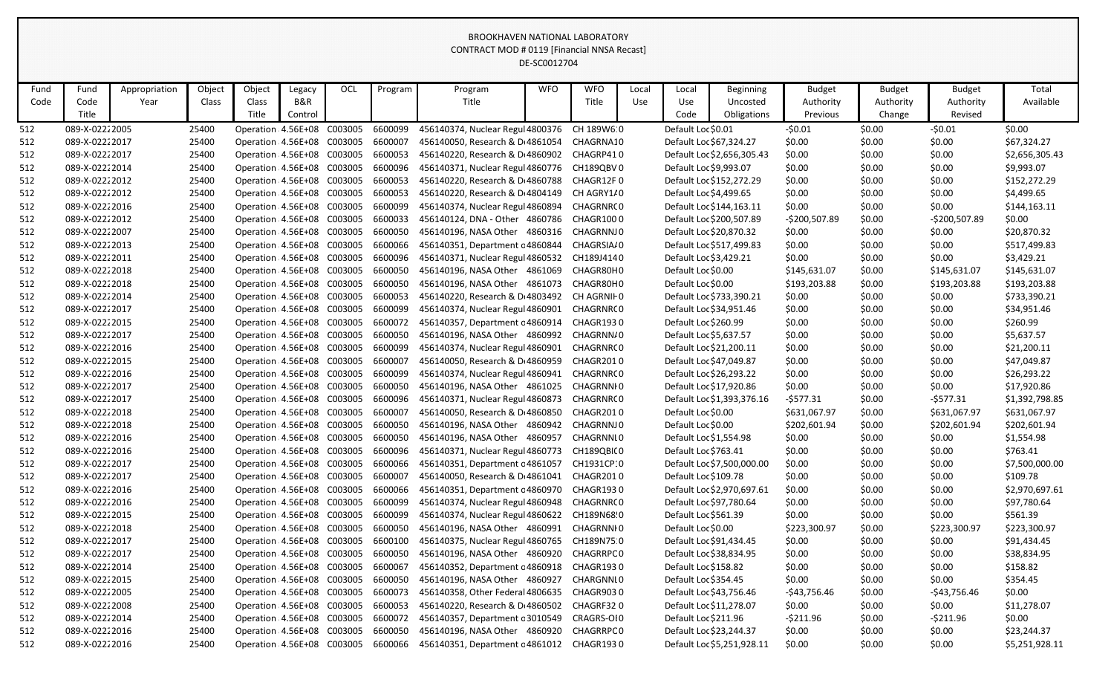|            |                                  |               |                |                                                          |         |                                    |                    |                                                                | DE-SC0012704 |                        |       |                                              |                            |                            |                  |                        |                            |
|------------|----------------------------------|---------------|----------------|----------------------------------------------------------|---------|------------------------------------|--------------------|----------------------------------------------------------------|--------------|------------------------|-------|----------------------------------------------|----------------------------|----------------------------|------------------|------------------------|----------------------------|
| Fund       | Fund                             | Appropriation | Object         | Object                                                   | Legacy  | OCL                                | Program            | Program                                                        | <b>WFO</b>   | <b>WFO</b>             | Local | Local                                        | <b>Beginning</b>           | <b>Budget</b>              | <b>Budget</b>    | <b>Budget</b>          | Total                      |
| Code       | Code                             | Year          | Class          | Class                                                    | B&R     |                                    |                    | Title                                                          |              | Title                  | Use   | Use                                          | Uncosted                   | Authority                  | Authority        | Authority              | Available                  |
|            | Title                            |               |                | Title                                                    | Control |                                    |                    |                                                                |              |                        |       | Code                                         | Obligations                | Previous                   | Change           | Revised                |                            |
| 512        | 089-X-02222005                   |               | 25400          | Operation 4.56E+08 C003005                               |         |                                    | 6600099            | 456140374, Nuclear Regul 4800376                               |              | CH 189W6 0             |       | Default Loc \$0.01                           |                            | $-50.01$                   | \$0.00           | $-50.01$               | \$0.00                     |
| 512        | 089-X-02222017                   |               | 25400          | Operation 4.56E+08 C003005                               |         |                                    | 6600007            | 456140050, Research & D 4861054                                |              | CHAGRNA10              |       | Default Loc \$67,324.27                      |                            | \$0.00                     | \$0.00           | \$0.00                 | \$67,324.27                |
| 512        | 089-X-02222017                   |               | 25400          | Operation 4.56E+08 C003005                               |         |                                    | 6600053            | 456140220, Research & D 4860902                                |              | CHAGRP410              |       |                                              | Default Loc \$2,656,305.43 | \$0.00                     | \$0.00           | \$0.00                 | \$2,656,305.43             |
| 512        | 089-X-02222014                   |               | 25400          | Operation: 4.56E+08 C003005                              |         |                                    | 6600096            | 456140371, Nuclear Regul 4860776                               |              | CH189QBV0              |       | Default Loc \$9,993.07                       |                            | \$0.00                     | \$0.00           | \$0.00                 | \$9,993.07                 |
| 512        | 089-X-02222012                   |               | 25400          | Operation 4.56E+08 C003005                               |         |                                    | 6600053            | 456140220, Research & D 4860788                                |              | CHAGR12F0              |       |                                              | Default Loc \$152,272.29   | \$0.00                     | \$0.00           | \$0.00                 | \$152,272.29               |
| 512        | 089-X-02222012                   |               | 25400          | Operation 4.56E+08 C003005                               |         |                                    | 6600053            | 456140220, Research & D 4804149                                |              | CH AGRY1/0             |       | Default Loc \$4,499.65                       |                            | \$0.00                     | \$0.00           | \$0.00                 | \$4,499.65                 |
| 512        | 089-X-02222016                   |               | 25400          | Operation 4.56E+08 C003005                               |         |                                    | 6600099            | 456140374, Nuclear Regul 4860894                               |              | CHAGRNR(0              |       |                                              | Default Loc \$144,163.11   | \$0.00                     | \$0.00           | \$0.00                 | \$144,163.11               |
| 512        | 089-X-02222012                   |               | 25400          | Operation 4.56E+08 C003005                               |         |                                    | 6600033            | 456140124, DNA - Other 4860786                                 |              | CHAGR1000              |       |                                              | Default Loc \$200,507.89   | $-$200,507.89$             | \$0.00           | -\$200,507.89          | \$0.00                     |
| 512        | 089-X-02222007                   |               | 25400          | Operation 4.56E+08 C003005                               |         |                                    | 6600050            | 456140196, NASA Other 4860316                                  |              | CHAGRNNJ0              |       | Default Loc \$20,870.32                      |                            | \$0.00                     | \$0.00           | \$0.00                 | \$20,870.32                |
| 512        | 089-X-02222013                   |               | 25400          | Operation : 4.56E+08 C003005                             |         |                                    | 6600066            | 456140351, Department c 4860844                                |              | CHAGRSIA/0             |       |                                              | Default Loc \$517,499.83   | \$0.00                     | \$0.00           | \$0.00                 | \$517,499.83               |
| 512        | 089-X-02222011                   |               | 25400          | Operation 4.56E+08 C003005                               |         |                                    | 6600096            | 456140371, Nuclear Regul 4860532                               |              | CH189J4140             |       | Default Loc \$3,429.21                       |                            | \$0.00                     | \$0.00           | \$0.00                 | \$3,429.21                 |
| 512        | 089-X-02222018                   |               | 25400          | Operation 4.56E+08 C003005                               |         |                                    | 6600050            | 456140196, NASA Other 4861069                                  |              | CHAGR80H0              |       | Default Loc \$0.00                           |                            | \$145,631.07               | \$0.00           | \$145,631.07           | \$145,631.07               |
| 512        | 089-X-02222018                   |               | 25400          | Operation 4.56E+08 C003005                               |         |                                    | 6600050            | 456140196, NASA Other 4861073                                  |              | CHAGR80H0              |       | Default Loc \$0.00                           |                            | \$193,203.88               | \$0.00           | \$193,203.88           | \$193,203.88               |
| 512        | 089-X-02222014                   |               | 25400          | Operation 4.56E+08 C003005                               |         |                                    | 6600053            | 456140220, Research & D 4803492                                |              | CH AGRNIF 0            |       |                                              | Default Loc \$733,390.21   | \$0.00                     | \$0.00           | \$0.00                 | \$733,390.21               |
| 512        | 089-X-02222017                   |               | 25400          | Operation: 4.56E+08 C003005                              |         |                                    | 6600099            | 456140374, Nuclear Regul 4860901                               |              | CHAGRNR(0              |       | Default Loc \$34,951.46                      |                            | \$0.00                     | \$0.00           | \$0.00                 | \$34,951.46                |
| 512        | 089-X-02222015                   |               | 25400          | Operation 4.56E+08 C003005                               |         |                                    | 6600072            | 456140357, Department c 4860914                                |              | CHAGR1930              |       | Default Loc \$260.99                         |                            | \$0.00                     | \$0.00           | \$0.00                 | \$260.99                   |
| 512        | 089-X-02222017                   |               | 25400          | Operation 4.56E+08 C003005                               |         |                                    | 6600050            | 456140196, NASA Other 4860992                                  |              | CHAGRNN/0              |       | Default Loc \$5,637.57                       |                            | \$0.00                     | \$0.00           | \$0.00                 | \$5,637.57                 |
| 512        | 089-X-02222016                   |               | 25400          | Operation 4.56E+08 C003005                               |         |                                    | 6600099            | 456140374, Nuclear Regul 4860901                               |              | CHAGRNR(0              |       | Default Loc \$21,200.11                      |                            | \$0.00                     | \$0.00           | \$0.00                 | \$21,200.11                |
| 512        | 089-X-02222015                   |               | 25400          | Operation 4.56E+08 C003005                               |         |                                    | 6600007            | 456140050, Research & D 4860959                                |              | CHAGR2010              |       | Default Loc \$47,049.87                      |                            | \$0.00                     | \$0.00           | \$0.00                 | \$47,049.87                |
| 512        | 089-X-02222016                   |               | 25400          | Operation 4.56E+08 C003005                               |         |                                    | 6600099            | 456140374, Nuclear Regul 4860941                               |              | CHAGRNR(0              |       | Default Loc \$26,293.22                      |                            | \$0.00                     | \$0.00           | \$0.00                 | \$26,293.22                |
| 512        | 089-X-02222017                   |               | 25400          | Operation 4.56E+08 C003005                               |         |                                    | 6600050            | 456140196, NASA Other 4861025                                  |              | CHAGRNNI 0             |       | Default Loc \$17,920.86                      |                            | \$0.00                     | \$0.00           | \$0.00                 | \$17,920.86                |
| 512        | 089-X-02222017                   |               | 25400          | Operation 4.56E+08 C003005                               |         |                                    | 6600096            | 456140371, Nuclear Regul 4860873                               |              | CHAGRNR(0              |       |                                              | Default Loc \$1,393,376.16 | $-5577.31$<br>\$631,067.97 | \$0.00           | $-5577.31$             | \$1,392,798.85             |
| 512        | 089-X-02222018                   |               | 25400          | Operation 4.56E+08 C003005<br>Operation 4.56E+08 C003005 |         |                                    | 6600007<br>6600050 | 456140050, Research & D 4860850                                |              | CHAGR2010<br>CHAGRNNJ0 |       | Default Loc \$0.00                           |                            | \$202,601.94               | \$0.00           | \$631,067.97           | \$631,067.97               |
| 512        | 089-X-02222018<br>089-X-02222016 |               | 25400<br>25400 | Operation 4.56E+08 C003005                               |         |                                    | 6600050            | 456140196, NASA Other 4860942<br>456140196, NASA Other 4860957 |              | CHAGRNNI0              |       | Default Loc \$0.00<br>Default Loc \$1,554.98 |                            | \$0.00                     | \$0.00<br>\$0.00 | \$202,601.94<br>\$0.00 | \$202,601.94<br>\$1,554.98 |
| 512<br>512 | 089-X-02222016                   |               | 25400          | Operation: 4.56E+08 C003005                              |         |                                    | 6600096            | 456140371, Nuclear Regul 4860773                               |              | CH189QBI(0             |       | Default Loc \$763.41                         |                            | \$0.00                     | \$0.00           | \$0.00                 | \$763.41                   |
| 512        | 089-X-02222017                   |               | 25400          | Operation 4.56E+08 C003005                               |         |                                    | 6600066            | 456140351, Department c 4861057                                |              | CH1931CP:0             |       |                                              | Default Loc \$7,500,000.00 | \$0.00                     | \$0.00           | \$0.00                 | \$7,500,000.00             |
| 512        | 089-X-02222017                   |               | 25400          | Operation: 4.56E+08 C003005                              |         |                                    | 6600007            | 456140050, Research & D 4861041                                |              | CHAGR2010              |       | Default Loc \$109.78                         |                            | \$0.00                     | \$0.00           | \$0.00                 | \$109.78                   |
| 512        | 089-X-02222016                   |               | 25400          | Operation 4.56E+08 C003005                               |         |                                    | 6600066            | 456140351, Department c 4860970                                |              | CHAGR1930              |       |                                              | Default Loc \$2,970,697.61 | \$0.00                     | \$0.00           | \$0.00                 | \$2,970,697.61             |
| 512        | 089-X-02222016                   |               | 25400          | Operation 4.56E+08 C003005                               |         |                                    | 6600099            | 456140374, Nuclear Regul 4860948                               |              | CHAGRNR(0              |       | Default Loc \$97,780.64                      |                            | \$0.00                     | \$0.00           | \$0.00                 | \$97,780.64                |
| 512        | 089-X-02222015                   |               | 25400          | Operation: 4.56E+08 C003005                              |         |                                    | 6600099            | 456140374, Nuclear Regul 4860622                               |              | CH189N68 0             |       | Default Loc \$561.39                         |                            | \$0.00                     | \$0.00           | \$0.00                 | \$561.39                   |
| 512        | 089-X-02222018                   |               | 25400          | Operation: 4.56E+08 C003005                              |         |                                    | 6600050            | 456140196, NASA Other 4860991                                  |              | CHAGRNNI 0             |       | Default Loc \$0.00                           |                            | \$223,300.97               | \$0.00           | \$223,300.97           | \$223,300.97               |
| 512        | 089-X-02222017                   |               | 25400          | Operation 4.56E+08 C003005                               |         |                                    | 6600100            | 456140375, Nuclear Regul 4860765                               |              | CH189N75.0             |       | Default Loc \$91,434.45                      |                            | \$0.00                     | \$0.00           | \$0.00                 | \$91,434.45                |
| 512        | 089-X-02222017                   |               | 25400          | Operation: 4.56E+08 C003005                              |         |                                    | 6600050            | 456140196, NASA Other 4860920                                  |              | CHAGRRPC0              |       | Default Loc \$38,834.95                      |                            | \$0.00                     | \$0.00           | \$0.00                 | \$38,834.95                |
| 512        | 089-X-02222014                   |               | 25400          | Operation: 4.56E+08 C003005                              |         |                                    | 6600067            | 456140352, Department c 4860918                                |              | CHAGR1930              |       | Default Loc \$158.82                         |                            | \$0.00                     | \$0.00           | \$0.00                 | \$158.82                   |
| 512        | 089-X-02222015                   |               | 25400          | Operation: 4.56E+08 C003005                              |         |                                    | 6600050            | 456140196, NASA Other 4860927                                  |              | CHARGNNI 0             |       | Default Loc \$354.45                         |                            | \$0.00                     | \$0.00           | \$0.00                 | \$354.45                   |
| 512        | 089-X-02222005                   |               | 25400          | Operation: 4.56E+08 C003005                              |         |                                    | 6600073            | 456140358, Other Federal 4806635                               |              | CHAGR9030              |       | Default Loc \$43,756.46                      |                            | -\$43,756.46               | \$0.00           | $-$43,756.46$          | \$0.00                     |
| 512        | 089-X-02222008                   |               | 25400          | Operation: 4.56E+08 C003005                              |         |                                    | 6600053            | 456140220, Research & D 4860502                                |              | CHAGRF320              |       | Default Loc \$11,278.07                      |                            | \$0.00                     | \$0.00           | \$0.00                 | \$11,278.07                |
| 512        | 089-X-02222014                   |               | 25400          | Operation: 4.56E+08 C003005                              |         |                                    | 6600072            | 456140357, Department c 3010549                                |              | CRAGRS-OI0             |       | Default Loc \$211.96                         |                            | $-5211.96$                 | \$0.00           | $-5211.96$             | \$0.00                     |
| 512        | 089-X-02222016                   |               | 25400          | Operation: 4.56E+08 C003005                              |         |                                    | 6600050            | 456140196, NASA Other 4860920                                  |              | CHAGRRPC 0             |       | Default Loc \$23,244.37                      |                            | \$0.00                     | \$0.00           | \$0.00                 | \$23,244.37                |
| 512        | 089-X-02222016                   |               | 25400          |                                                          |         | Operation 4.56E+08 C003005 6600066 |                    | 456140351, Department c 4861012 CHAGR1930                      |              |                        |       |                                              | Default Loc \$5,251,928.11 | \$0.00                     | \$0.00           | \$0.00                 | \$5,251,928.11             |
|            |                                  |               |                |                                                          |         |                                    |                    |                                                                |              |                        |       |                                              |                            |                            |                  |                        |                            |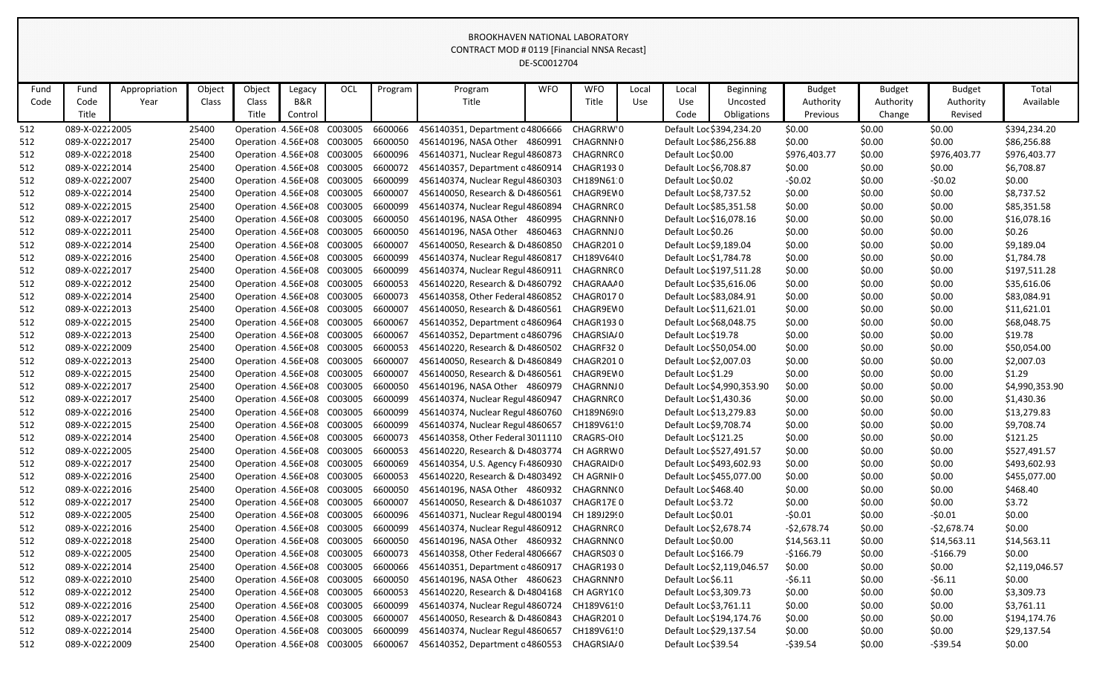|      |                |               |        |                                    |         |     |         |                                                         | DE-SC0012704 |             |       |                         |                            |               |               |               |                |
|------|----------------|---------------|--------|------------------------------------|---------|-----|---------|---------------------------------------------------------|--------------|-------------|-------|-------------------------|----------------------------|---------------|---------------|---------------|----------------|
| Fund | Fund           | Appropriation | Object | Object                             | Legacy  | OCL | Program | Program                                                 | <b>WFO</b>   | <b>WFO</b>  | Local | Local                   | <b>Beginning</b>           | <b>Budget</b> | <b>Budget</b> | <b>Budget</b> | Total          |
| Code | Code           | Year          | Class  | Class                              | B&R     |     |         | Title                                                   |              | Title       | Use   | Use                     | Uncosted                   | Authority     | Authority     | Authority     | Available      |
|      | Title          |               |        | Title                              | Control |     |         |                                                         |              |             |       | Code                    | Obligations                | Previous      | Change        | Revised       |                |
| 512  | 089-X-02222005 |               | 25400  | Operation 4.56E+08 C003005         |         |     | 6600066 | 456140351, Department c 4806666                         |              | CHAGRRW'0   |       |                         | Default Loc \$394,234.20   | \$0.00        | \$0.00        | \$0.00        | \$394,234.20   |
| 512  | 089-X-02222017 |               | 25400  | Operation: 4.56E+08 C003005        |         |     | 6600050 | 456140196, NASA Other 4860991                           |              | CHAGRNNI 0  |       |                         | Default Loc \$86,256.88    | \$0.00        | \$0.00        | \$0.00        | \$86,256.88    |
| 512  | 089-X-02222018 |               | 25400  | Operation 4.56E+08 C003005         |         |     | 6600096 | 456140371, Nuclear Regul 4860873                        |              | CHAGRNR(0   |       | Default Loc \$0.00      |                            | \$976,403.77  | \$0.00        | \$976,403.77  | \$976,403.77   |
| 512  | 089-X-02222014 |               | 25400  | Operation 4.56E+08 C003005         |         |     | 6600072 | 456140357, Department c 4860914                         |              | CHAGR1930   |       | Default Loc \$6,708.87  |                            | \$0.00        | \$0.00        | \$0.00        | \$6,708.87     |
| 512  | 089-X-02222007 |               | 25400  | Operation 4.56E+08 C003005         |         |     | 6600099 | 456140374, Nuclear Regul 4860303                        |              | CH189N610   |       | Default Loc \$0.02      |                            | $-50.02$      | \$0.00        | $-50.02$      | \$0.00         |
| 512  | 089-X-02222014 |               | 25400  | Operation 4.56E+08 C003005         |         |     | 6600007 | 456140050, Research & D 4860561                         |              | CHAGR9EV 0  |       | Default Loc \$8,737.52  |                            | \$0.00        | \$0.00        | \$0.00        | \$8,737.52     |
| 512  | 089-X-02222015 |               | 25400  | Operation 4.56E+08 C003005         |         |     | 6600099 | 456140374, Nuclear Regul 4860894                        |              | CHAGRNR(0   |       |                         | Default Loc \$85,351.58    | \$0.00        | \$0.00        | \$0.00        | \$85,351.58    |
| 512  | 089-X-02222017 |               | 25400  | Operation: 4.56E+08 C003005        |         |     | 6600050 | 456140196, NASA Other 4860995                           |              | CHAGRNNI 0  |       |                         | Default Loc \$16,078.16    | \$0.00        | \$0.00        | \$0.00        | \$16,078.16    |
| 512  | 089-X-02222011 |               | 25400  | Operation 4.56E+08 C003005         |         |     | 6600050 | 456140196, NASA Other 4860463                           |              | CHAGRNNJ0   |       | Default Loc \$0.26      |                            | \$0.00        | \$0.00        | \$0.00        | \$0.26         |
| 512  | 089-X-02222014 |               | 25400  | Operation 4.56E+08 C003005         |         |     | 6600007 | 456140050, Research & D 4860850                         |              | CHAGR2010   |       | Default Loc \$9,189.04  |                            | \$0.00        | \$0.00        | \$0.00        | \$9,189.04     |
| 512  | 089-X-02222016 |               | 25400  | Operation 4.56E+08 C003005         |         |     | 6600099 | 456140374, Nuclear Regul 4860817                        |              | CH189V64(0  |       | Default Loc \$1,784.78  |                            | \$0.00        | \$0.00        | \$0.00        | \$1,784.78     |
| 512  | 089-X-02222017 |               | 25400  | Operation: 4.56E+08 C003005        |         |     | 6600099 | 456140374, Nuclear Regul 4860911                        |              | CHAGRNR(0   |       |                         | Default Loc \$197,511.28   | \$0.00        | \$0.00        | \$0.00        | \$197,511.28   |
| 512  | 089-X-02222012 |               | 25400  | Operation 4.56E+08 C003005         |         |     | 6600053 | 456140220, Research & D 4860792                         |              | CHAGRAAA0   |       |                         | Default Loc \$35,616.06    | \$0.00        | \$0.00        | \$0.00        | \$35,616.06    |
| 512  | 089-X-02222014 |               | 25400  | Operation 4.56E+08 C003005         |         |     | 6600073 | 456140358, Other Federal 4860852                        |              | CHAGR0170   |       | Default Loc \$83,084.91 |                            | \$0.00        | \$0.00        | \$0.00        | \$83,084.91    |
| 512  | 089-X-02222013 |               | 25400  | Operation 4.56E+08 C003005         |         |     | 6600007 | 456140050, Research & D 4860561                         |              | CHAGR9EV0   |       | Default Loc \$11,621.01 |                            | \$0.00        | \$0.00        | \$0.00        | \$11,621.01    |
| 512  | 089-X-02222015 |               | 25400  | Operation 4.56E+08 C003005         |         |     | 6600067 | 456140352, Department c 4860964                         |              | CHAGR1930   |       |                         | Default Loc \$68,048.75    | \$0.00        | \$0.00        | \$0.00        | \$68,048.75    |
| 512  | 089-X-02222013 |               | 25400  | Operation 4.56E+08 C003005         |         |     | 6600067 | 456140352, Department c 4860796                         |              | CHAGRSIA/0  |       | Default Loc \$19.78     |                            | \$0.00        | \$0.00        | \$0.00        | \$19.78        |
| 512  | 089-X-02222009 |               | 25400  | Operation: 4.56E+08 C003005        |         |     | 6600053 | 456140220, Research & D 4860502                         |              | CHAGRF320   |       |                         | Default Loc \$50,054.00    | \$0.00        | \$0.00        | \$0.00        | \$50,054.00    |
| 512  | 089-X-02222013 |               | 25400  | Operation 4.56E+08 C003005         |         |     | 6600007 | 456140050, Research & D 4860849                         |              | CHAGR2010   |       | Default Loc \$2,007.03  |                            | \$0.00        | \$0.00        | \$0.00        | \$2,007.03     |
| 512  | 089-X-02222015 |               | 25400  | Operation 4.56E+08 C003005         |         |     | 6600007 | 456140050, Research & D 4860561                         |              | CHAGR9EV0   |       | Default Loc \$1.29      |                            | \$0.00        | \$0.00        | \$0.00        | \$1.29         |
| 512  | 089-X-02222017 |               | 25400  | Operation 4.56E+08 C003005         |         |     | 6600050 | 456140196, NASA Other 4860979                           |              | CHAGRNNJ0   |       |                         | Default Loc \$4,990,353.90 | \$0.00        | \$0.00        | \$0.00        | \$4,990,353.90 |
| 512  | 089-X-02222017 |               | 25400  | Operation 4.56E+08 C003005         |         |     | 6600099 | 456140374, Nuclear Regul 4860947                        |              | CHAGRNR(0   |       | Default Loc \$1,430.36  |                            | \$0.00        | \$0.00        | \$0.00        | \$1,430.36     |
| 512  | 089-X-02222016 |               | 25400  | Operation: 4.56E+08 C003005        |         |     | 6600099 | 456140374, Nuclear Regul 4860760                        |              | CH189N69 0  |       | Default Loc \$13,279.83 |                            | \$0.00        | \$0.00        | \$0.00        | \$13,279.83    |
| 512  | 089-X-02222015 |               | 25400  | Operation: 4.56E+08 C003005        |         |     | 6600099 | 456140374, Nuclear Regul 4860657                        |              | CH189V61!0  |       | Default Loc \$9,708.74  |                            | \$0.00        | \$0.00        | \$0.00        | \$9,708.74     |
| 512  | 089-X-02222014 |               | 25400  | Operation 4.56E+08 C003005         |         |     | 6600073 | 456140358, Other Federal 3011110                        |              | CRAGRS-OI0  |       | Default Loc \$121.25    |                            | \$0.00        | \$0.00        | \$0.00        | \$121.25       |
| 512  | 089-X-02222005 |               | 25400  | Operation: 4.56E+08 C003005        |         |     | 6600053 | 456140220, Research & D 4803774                         |              | CH AGRRW0   |       |                         | Default Loc \$527,491.57   | \$0.00        | \$0.00        | \$0.00        | \$527,491.57   |
| 512  | 089-X-02222017 |               | 25400  | Operation 4.56E+08 C003005         |         |     | 6600069 | 456140354, U.S. Agency F 4860930                        |              | CHAGRAID 0  |       |                         | Default Loc \$493,602.93   | \$0.00        | \$0.00        | \$0.00        | \$493,602.93   |
| 512  | 089-X-02222016 |               | 25400  | Operation 4.56E+08 C003005         |         |     | 6600053 | 456140220, Research & D <sub>1</sub> 4803492 CH AGRNIF0 |              |             |       |                         | Default Loc \$455,077.00   | \$0.00        | \$0.00        | \$0.00        | \$455,077.00   |
| 512  | 089-X-02222016 |               | 25400  | Operation 4.56E+08 C003005         |         |     | 6600050 | 456140196, NASA Other 4860932 CHAGRNN(0                 |              |             |       | Default Loc \$468.40    |                            | \$0.00        | \$0.00        | \$0.00        | \$468.40       |
| 512  | 089-X-02222017 |               | 25400  | Operation: 4.56E+08 C003005        |         |     | 6600007 | 456140050, Research & D 4861037                         |              | CHAGR17E 0  |       | Default Loc \$3.72      |                            | \$0.00        | \$0.00        | \$0.00        | \$3.72         |
| 512  | 089-X-02222005 |               | 25400  | Operation: 4.56E+08 C003005        |         |     | 6600096 | 456140371, Nuclear Regul 4800194                        |              | CH 189J29!0 |       | Default Loc \$0.01      |                            | $-50.01$      | \$0.00        | $-50.01$      | \$0.00         |
| 512  | 089-X-02222016 |               | 25400  | Operation: 4.56E+08 C003005        |         |     | 6600099 | 456140374, Nuclear Regul 4860912                        |              | CHAGRNR(0   |       | Default Loc \$2,678.74  |                            | $-52,678.74$  | \$0.00        | $-52,678.74$  | \$0.00         |
| 512  | 089-X-02222018 |               | 25400  | Operation: 4.56E+08 C003005        |         |     | 6600050 | 456140196, NASA Other 4860932                           |              | CHAGRNN(0   |       | Default Loc \$0.00      |                            | \$14,563.11   | \$0.00        | \$14,563.11   | \$14,563.11    |
| 512  | 089-X-02222005 |               | 25400  | Operation: 4.56E+08 C003005        |         |     | 6600073 | 456140358, Other Federal 4806667                        |              | CHAGRS030   |       | Default Loc \$166.79    |                            | $-$166.79$    | \$0.00        | $-5166.79$    | \$0.00         |
| 512  | 089-X-02222014 |               | 25400  | Operation: 4.56E+08 C003005        |         |     | 6600066 | 456140351, Department c 4860917                         |              | CHAGR1930   |       |                         | Default Loc \$2,119,046.57 | \$0.00        | \$0.00        | \$0.00        | \$2,119,046.57 |
| 512  | 089-X-02222010 |               | 25400  | Operation: 4.56E+08 C003005        |         |     | 6600050 | 456140196, NASA Other 4860623                           |              | CHAGRNNI 0  |       | Default Loc \$6.11      |                            | $-56.11$      | \$0.00        | $-56.11$      | \$0.00         |
| 512  | 089-X-02222012 |               | 25400  | Operation: 4.56E+08 C003005        |         |     | 6600053 | 456140220, Research & D 4804168                         |              | CH AGRY1(0  |       | Default Loc \$3,309.73  |                            | \$0.00        | \$0.00        | \$0.00        | \$3,309.73     |
| 512  | 089-X-02222016 |               | 25400  | Operation: 4.56E+08 C003005        |         |     | 6600099 | 456140374, Nuclear Regul 4860724                        |              | CH189V61!0  |       | Default Loc \$3,761.11  |                            | \$0.00        | \$0.00        | \$0.00        | \$3,761.11     |
| 512  | 089-X-02222017 |               | 25400  | Operation: 4.56E+08 C003005        |         |     | 6600007 | 456140050, Research & D 4860843                         |              | CHAGR2010   |       |                         | Default Loc \$194,174.76   | \$0.00        | \$0.00        | \$0.00        | \$194,174.76   |
| 512  | 089-X-02222014 |               | 25400  | Operation: 4.56E+08 C003005        |         |     | 6600099 | 456140374, Nuclear Regul 4860657                        |              | CH189V61!0  |       |                         | Default Loc \$29,137.54    | \$0.00        | \$0.00        | \$0.00        | \$29,137.54    |
| 512  | 089-X-02222009 |               | 25400  | Operation 4.56E+08 C003005 6600067 |         |     |         | 456140352, Department c 4860553                         |              | CHAGRSIA/0  |       | Default Loc \$39.54     |                            | -\$39.54      | \$0.00        | $-539.54$     | \$0.00         |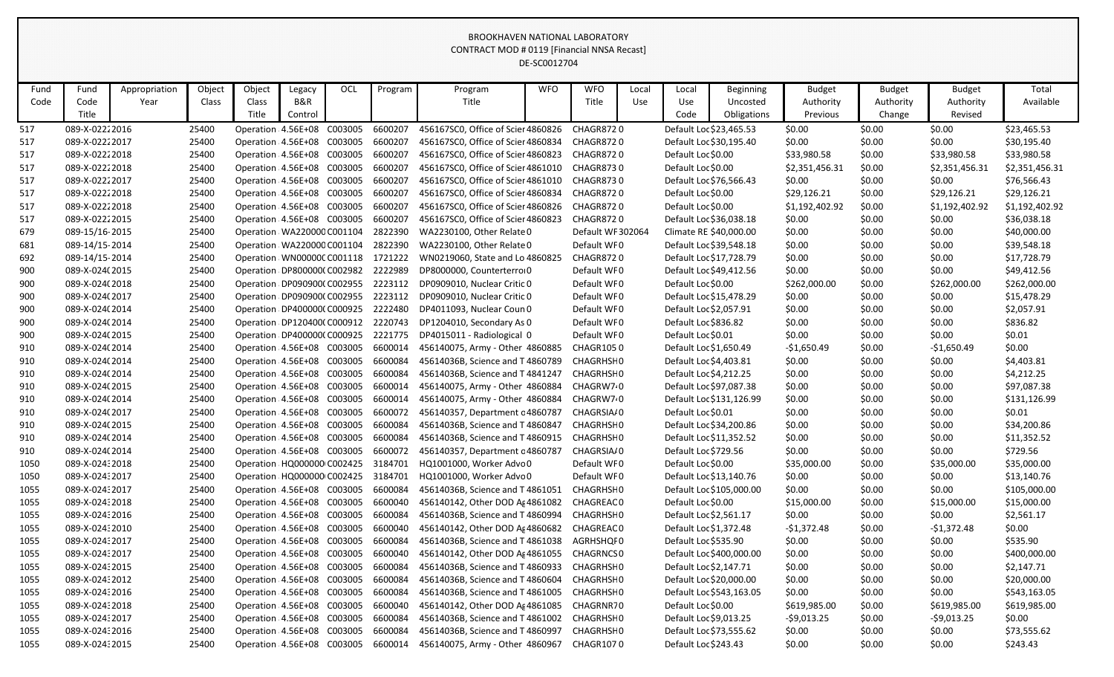|      |                |               |        |                                    |         |     |         |                                    | DE-SC0012704 |                      |       |                         |                          |                |               |                |                |
|------|----------------|---------------|--------|------------------------------------|---------|-----|---------|------------------------------------|--------------|----------------------|-------|-------------------------|--------------------------|----------------|---------------|----------------|----------------|
| Fund | Fund           | Appropriation | Object | Object                             | Legacy  | OCL | Program | Program                            | <b>WFO</b>   | <b>WFO</b>           | Local | Local                   | <b>Beginning</b>         | <b>Budget</b>  | <b>Budget</b> | <b>Budget</b>  | Total          |
| Code | Code           | Year          | Class  | Class                              | B&R     |     |         | Title                              |              | Title                | Use   | Use                     | Uncosted                 | Authority      | Authority     | Authority      | Available      |
|      | Title          |               |        | Title                              | Control |     |         |                                    |              |                      |       | Code                    | Obligations              | Previous       | Change        | Revised        |                |
| 517  | 089-X-02222016 |               | 25400  | Operation 4.56E+08 C003005         |         |     | 6600207 | 456167SC0, Office of Scier 4860826 |              | CHAGR8720            |       | Default Loc \$23,465.53 |                          | \$0.00         | \$0.00        | \$0.00         | \$23,465.53    |
| 517  | 089-X-02222017 |               | 25400  | Operation 4.56E+08 C003005         |         |     | 6600207 | 456167SC0, Office of Scier 4860834 |              | CHAGR8720            |       |                         | Default Loc \$30,195.40  | \$0.00         | \$0.00        | \$0.00         | \$30,195.40    |
| 517  | 089-X-02222018 |               | 25400  | Operation 4.56E+08 C003005         |         |     | 6600207 | 456167SC0, Office of Scier 4860823 |              | CHAGR8720            |       | Default Loc \$0.00      |                          | \$33,980.58    | \$0.00        | \$33,980.58    | \$33,980.58    |
| 517  | 089-X-02222018 |               | 25400  | Operation: 4.56E+08 C003005        |         |     | 6600207 | 456167SC0, Office of Scier 4861010 |              | CHAGR8730            |       | Default Loc \$0.00      |                          | \$2,351,456.31 | \$0.00        | \$2,351,456.31 | \$2,351,456.31 |
| 517  | 089-X-02222017 |               | 25400  | Operation 4.56E+08 C003005         |         |     | 6600207 | 456167SC0, Office of Scier 4861010 |              | CHAGR8730            |       | Default Loc \$76,566.43 |                          | \$0.00         | \$0.00        | \$0.00         | \$76,566.43    |
| 517  | 089-X-02222018 |               | 25400  | Operation 4.56E+08 C003005         |         |     | 6600207 | 456167SC0, Office of Scier 4860834 |              | <b>CHAGR8720</b>     |       | Default Loc \$0.00      |                          | \$29,126.21    | \$0.00        | \$29,126.21    | \$29,126.21    |
| 517  | 089-X-02222018 |               | 25400  | Operation 4.56E+08 C003005         |         |     | 6600207 | 456167SC0, Office of Scier 4860826 |              | <b>CHAGR8720</b>     |       | Default Loc \$0.00      |                          | \$1,192,402.92 | \$0.00        | \$1,192,402.92 | \$1,192,402.92 |
| 517  | 089-X-02222015 |               | 25400  | Operation 4.56E+08 C003005         |         |     | 6600207 | 456167SC0, Office of Scier 4860823 |              | CHAGR8720            |       | Default Loc \$36,038.18 |                          | \$0.00         | \$0.00        | \$0.00         | \$36,038.18    |
| 679  | 089-15/16-2015 |               | 25400  | Operation WA220000 C001104         |         |     | 2822390 | WA2230100, Other Relate 0          |              | Default WF 302064    |       | Climate RE \$40,000.00  |                          | \$0.00         | \$0.00        | \$0.00         | \$40,000.00    |
| 681  | 089-14/15-2014 |               | 25400  | Operation WA220000 C001104         |         |     | 2822390 | WA2230100, Other Relate 0          |              | Default WF0          |       | Default Loc \$39,548.18 |                          | \$0.00         | \$0.00        | \$0.00         | \$39,548.18    |
| 692  | 089-14/15-2014 |               | 25400  | Operation WN00000CC001118          |         |     | 1721222 | WN0219060, State and Lo 4860825    |              | CHAGR8720            |       |                         | Default Loc \$17,728.79  | \$0.00         | \$0.00        | \$0.00         | \$17,728.79    |
| 900  | 089-X-024(2015 |               | 25400  | Operation DP800000(C002982         |         |     | 2222989 | DP8000000, Counterterrol 0         |              | Default WF0          |       |                         | Default Loc \$49,412.56  | \$0.00         | \$0.00        | \$0.00         | \$49,412.56    |
| 900  | 089-X-024(2018 |               | 25400  | Operation DP090900(C002955         |         |     | 2223112 | DP0909010, Nuclear Critic 0        |              | Default WF0          |       | Default Loc \$0.00      |                          | \$262,000.00   | \$0.00        | \$262,000.00   | \$262,000.00   |
| 900  | 089-X-024(2017 |               | 25400  | Operation DP090900(C002955         |         |     | 2223112 | DP0909010, Nuclear Critic 0        |              | Default WF0          |       | Default Loc \$15,478.29 |                          | \$0.00         | \$0.00        | \$0.00         | \$15,478.29    |
| 900  | 089-X-024(2014 |               | 25400  | Operation DP4000000 C000925        |         |     | 2222480 | DP4011093, Nuclear Coun 0          |              | Default WF0          |       | Default Loc \$2,057.91  |                          | \$0.00         | \$0.00        | \$0.00         | \$2,057.91     |
| 900  | 089-X-024(2014 |               | 25400  | Operation DP120400(C000912         |         |     | 2220743 | DP1204010, Secondary As 0          |              | Default WF0          |       | Default Loc \$836.82    |                          | \$0.00         | \$0.00        | \$0.00         | \$836.82       |
| 900  | 089-X-024(2015 |               | 25400  | Operation DP400000(C000925         |         |     | 2221775 | DP4015011 - Radiological 0         |              | Default WF0          |       | Default Loc \$0.01      |                          | \$0.00         | \$0.00        | \$0.00         | \$0.01         |
| 910  | 089-X-024(2014 |               | 25400  | Operation 4.56E+08 C003005         |         |     | 6600014 | 456140075, Army - Other 4860885    |              | <b>CHAGR1050</b>     |       | Default Loc \$1,650.49  |                          | $-$1,650.49$   | \$0.00        | $-$1,650.49$   | \$0.00         |
| 910  | 089-X-024(2014 |               | 25400  | Operation 4.56E+08 C003005         |         |     | 6600084 | 45614036B, Science and T 4860789   |              | CHAGRHSI 0           |       | Default Loc \$4,403.81  |                          | \$0.00         | \$0.00        | \$0.00         | \$4,403.81     |
| 910  | 089-X-024(2014 |               | 25400  | Operation 4.56E+08 C003005         |         |     | 6600084 | 45614036B, Science and T 4841247   |              | CHAGRHSF0            |       | Default Loc \$4,212.25  |                          | \$0.00         | \$0.00        | \$0.00         | \$4,212.25     |
| 910  | 089-X-024(2015 |               | 25400  | Operation 4.56E+08 C003005         |         |     | 6600014 | 456140075, Army - Other 4860884    |              | CHAGRW7.0            |       | Default Loc \$97,087.38 |                          | \$0.00         | \$0.00        | \$0.00         | \$97,087.38    |
| 910  | 089-X-024(2014 |               | 25400  | Operation 4.56E+08 C003005         |         |     | 6600014 | 456140075, Army - Other 4860884    |              | CHAGRW7 <sub>0</sub> |       |                         | Default Loc \$131,126.99 | \$0.00         | \$0.00        | \$0.00         | \$131,126.99   |
| 910  | 089-X-024(2017 |               | 25400  | Operation : 4.56E+08 C003005       |         |     | 6600072 | 456140357, Department c 4860787    |              | CHAGRSIA/0           |       | Default Loc \$0.01      |                          | \$0.00         | \$0.00        | \$0.00         | \$0.01         |
| 910  | 089-X-024(2015 |               | 25400  | Operation 4.56E+08 C003005         |         |     | 6600084 | 45614036B, Science and T 4860847   |              | CHAGRHSF0            |       |                         | Default Loc \$34,200.86  | \$0.00         | \$0.00        | \$0.00         | \$34,200.86    |
| 910  | 089-X-024(2014 |               | 25400  | Operation 4.56E+08 C003005         |         |     | 6600084 | 45614036B, Science and T 4860915   |              | CHAGRHSI 0           |       | Default Loc \$11,352.52 |                          | \$0.00         | \$0.00        | \$0.00         | \$11,352.52    |
| 910  | 089-X-024(2014 |               | 25400  | Operation 4.56E+08 C003005         |         |     | 6600072 | 456140357, Department c 4860787    |              | CHAGRSIA/0           |       | Default Loc \$729.56    |                          | \$0.00         | \$0.00        | \$0.00         | \$729.56       |
| 1050 | 089-X-02432018 |               | 25400  | Operation HQ000000 C002425 3184701 |         |     |         | HQ1001000, Worker Advo 0           |              | Default WF0          |       | Default Loc \$0.00      |                          | \$35,000.00    | \$0.00        | \$35,000.00    | \$35,000.00    |
| 1050 | 089-X-024:2017 |               | 25400  | Operation HQ000000 C002425         |         |     | 3184701 | HQ1001000, Worker Advo 0           |              | Default WF0          |       | Default Loc \$13,140.76 |                          | \$0.00         | \$0.00        | \$0.00         | \$13,140.76    |
| 1055 | 089-X-02432017 |               | 25400  | Operation 4.56E+08 C003005         |         |     | 6600084 | 45614036B, Science and T4861051    |              | CHAGRHSI 0           |       |                         | Default Loc \$105,000.00 | \$0.00         | \$0.00        | \$0.00         | \$105,000.00   |
| 1055 | 089-X-02432018 |               | 25400  | Operation: 4.56E+08 C003005        |         |     | 6600040 | 456140142, Other DOD Ag 4861082    |              | CHAGREAC 0           |       | Default Loc \$0.00      |                          | \$15,000.00    | \$0.00        | \$15,000.00    | \$15,000.00    |
| 1055 | 089-X-024:2016 |               | 25400  | Operation 4.56E+08 C003005         |         |     | 6600084 | 45614036B, Science and T 4860994   |              | CHAGRHSI 0           |       | Default Loc \$2,561.17  |                          | \$0.00         | \$0.00        | \$0.00         | \$2,561.17     |
| 1055 | 089-X-02432010 |               | 25400  | Operation: 4.56E+08 C003005        |         |     | 6600040 | 456140142, Other DOD Af 4860682    |              | CHAGREAC 0           |       | Default Loc \$1,372.48  |                          | $-51,372.48$   | \$0.00        | $-51,372.48$   | \$0.00         |
| 1055 | 089-X-02432017 |               | 25400  | Operation: 4.56E+08 C003005        |         |     | 6600084 | 45614036B, Science and T 4861038   |              | AGRHSHQI0            |       | Default Loc \$535.90    |                          | \$0.00         | \$0.00        | \$0.00         | \$535.90       |
| 1055 | 089-X-02432017 |               | 25400  | Operation 4.56E+08 C003005         |         |     | 6600040 | 456140142, Other DOD Ag 4861055    |              | <b>CHAGRNCS 0</b>    |       |                         | Default Loc \$400,000.00 | \$0.00         | \$0.00        | \$0.00         | \$400,000.00   |
| 1055 | 089-X-02432015 |               | 25400  | Operation: 4.56E+08 C003005        |         |     | 6600084 | 45614036B, Science and T 4860933   |              | CHAGRHSH0            |       | Default Loc \$2,147.71  |                          | \$0.00         | \$0.00        | \$0.00         | \$2,147.71     |
| 1055 | 089-X-02432012 |               | 25400  | Operation: 4.56E+08 C003005        |         |     | 6600084 | 45614036B, Science and T 4860604   |              | CHAGRHSI 0           |       |                         | Default Loc \$20,000.00  | \$0.00         | \$0.00        | \$0.00         | \$20,000.00    |
| 1055 | 089-X-02432016 |               | 25400  | Operation: 4.56E+08 C003005        |         |     | 6600084 | 45614036B, Science and T 4861005   |              | CHAGRHSI 0           |       |                         | Default Loc \$543,163.05 | \$0.00         | \$0.00        | \$0.00         | \$543,163.05   |
| 1055 | 089-X-02432018 |               | 25400  | Operation: 4.56E+08 C003005        |         |     | 6600040 | 456140142, Other DOD Ag 4861085    |              | CHAGRNR70            |       | Default Loc \$0.00      |                          | \$619,985.00   | \$0.00        | \$619,985.00   | \$619,985.00   |
| 1055 | 089-X-02432017 |               | 25400  | Operation: 4.56E+08 C003005        |         |     | 6600084 | 45614036B, Science and T4861002    |              | CHAGRHSI 0           |       | Default Loc \$9,013.25  |                          | $-59,013.25$   | \$0.00        | $-59,013.25$   | \$0.00         |
| 1055 | 089-X-02432016 |               | 25400  | Operation: 4.56E+08 C003005        |         |     | 6600084 | 45614036B, Science and T 4860997   |              | CHAGRHSH0            |       |                         | Default Loc \$73,555.62  | \$0.00         | \$0.00        | \$0.00         | \$73,555.62    |
| 1055 | 089-X-02432015 |               | 25400  | Operation: 4.56E+08 C003005        |         |     | 6600014 | 456140075, Army - Other 4860967    |              | CHAGR1070            |       | Default Loc \$243.43    |                          | \$0.00         | \$0.00        | \$0.00         | \$243.43       |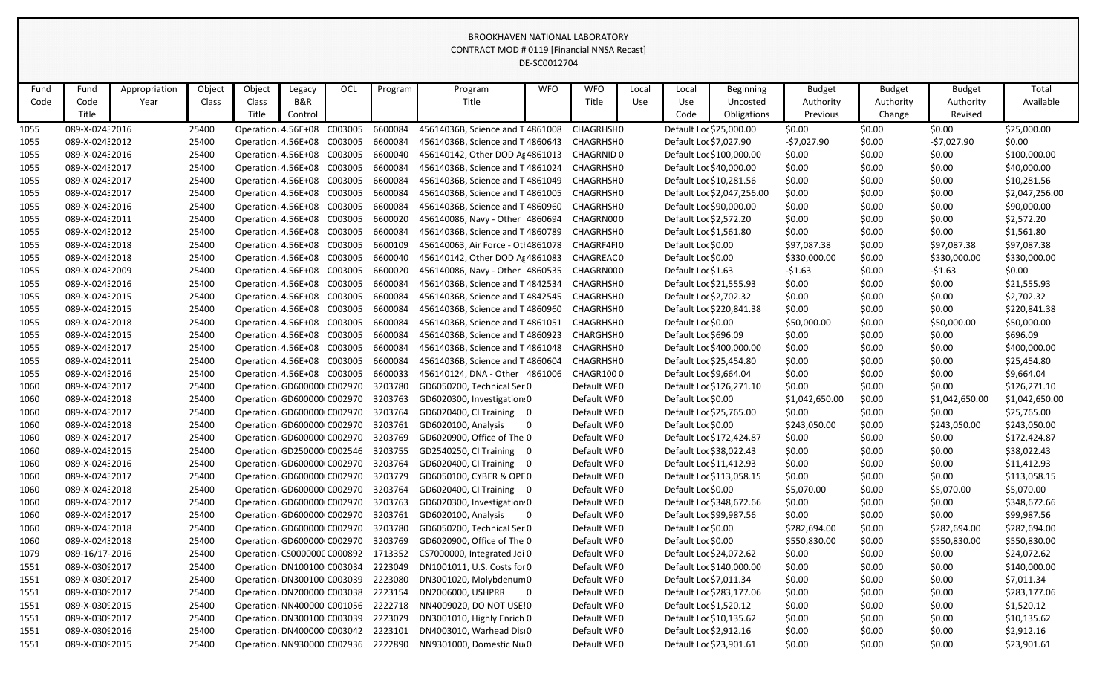|      |                |               |        |                              |         |     |         |                                                | DE-SC0012704 |             |       |                         |                            |                |               |                |                |
|------|----------------|---------------|--------|------------------------------|---------|-----|---------|------------------------------------------------|--------------|-------------|-------|-------------------------|----------------------------|----------------|---------------|----------------|----------------|
| Fund | Fund           | Appropriation | Object | Object                       | Legacy  | OCL | Program | Program                                        | <b>WFO</b>   | <b>WFO</b>  | Local | Local                   | <b>Beginning</b>           | <b>Budget</b>  | <b>Budget</b> | <b>Budget</b>  | Total          |
| Code | Code           | Year          | Class  | Class                        | B&R     |     |         | Title                                          |              | Title       | Use   | Use                     | Uncosted                   | Authority      | Authority     | Authority      | Available      |
|      | Title          |               |        | Title                        | Control |     |         |                                                |              |             |       | Code                    | Obligations                | Previous       | Change        | Revised        |                |
| 1055 | 089-X-024:2016 |               | 25400  | Operation 4.56E+08 C003005   |         |     | 6600084 | 45614036B, Science and T 4861008               |              | CHAGRHSF0   |       | Default Loc \$25,000.00 |                            | \$0.00         | \$0.00        | \$0.00         | \$25,000.00    |
| 1055 | 089-X-02432012 |               | 25400  | Operation 4.56E+08 C003005   |         |     | 6600084 | 45614036B, Science and T 4860643               |              | CHAGRHSI 0  |       | Default Loc \$7,027.90  |                            | $-57,027.90$   | \$0.00        | $-57,027.90$   | \$0.00         |
| 1055 | 089-X-02432016 |               | 25400  | Operation 4.56E+08 C003005   |         |     | 6600040 | 456140142, Other DOD A 4861013                 |              | CHAGRNID 0  |       |                         | Default Loc \$100,000.00   | \$0.00         | \$0.00        | \$0.00         | \$100,000.00   |
| 1055 | 089-X-02432017 |               | 25400  | Operation 4.56E+08 C003005   |         |     | 6600084 | 45614036B, Science and T4861024                |              | CHAGRHSF0   |       | Default Loc \$40,000.00 |                            | \$0.00         | \$0.00        | \$0.00         | \$40,000.00    |
| 1055 | 089-X-02432017 |               | 25400  | Operation 4.56E+08 C003005   |         |     | 6600084 | 45614036B, Science and T 4861049               |              | CHAGRHSI 0  |       | Default Loc \$10,281.56 |                            | \$0.00         | \$0.00        | \$0.00         | \$10,281.56    |
| 1055 | 089-X-02432017 |               | 25400  | Operation 4.56E+08 C003005   |         |     | 6600084 | 45614036B, Science and T 4861005               |              | CHAGRHSH0   |       |                         | Default Loc \$2,047,256.00 | \$0.00         | \$0.00        | \$0.00         | \$2,047,256.00 |
| 1055 | 089-X-02432016 |               | 25400  | Operation 4.56E+08 C003005   |         |     | 6600084 | 45614036B, Science and T4860960                |              | CHAGRHSH0   |       | Default Loc \$90,000.00 |                            | \$0.00         | \$0.00        | \$0.00         | \$90,000.00    |
| 1055 | 089-X-02432011 |               | 25400  | Operation 4.56E+08 C003005   |         |     | 6600020 | 456140086, Navy - Other 4860694                |              | CHAGRN0CO   |       | Default Loc \$2,572.20  |                            | \$0.00         | \$0.00        | \$0.00         | \$2,572.20     |
| 1055 | 089-X-02432012 |               | 25400  | Operation 4.56E+08 C003005   |         |     | 6600084 | 45614036B, Science and T 4860789               |              | CHAGRHSI 0  |       | Default Loc \$1,561.80  |                            | \$0.00         | \$0.00        | \$0.00         | \$1,561.80     |
| 1055 | 089-X-02432018 |               | 25400  | Operation 4.56E+08 C003005   |         |     | 6600109 | 456140063, Air Force - Otl 4861078             |              | CHAGRF4FI0  |       | Default Loc \$0.00      |                            | \$97,087.38    | \$0.00        | \$97,087.38    | \$97,087.38    |
| 1055 | 089-X-02432018 |               | 25400  | Operation 4.56E+08 C003005   |         |     | 6600040 | 456140142, Other DOD Ag 4861083                |              | CHAGREAC 0  |       | Default Loc \$0.00      |                            | \$330,000.00   | \$0.00        | \$330,000.00   | \$330,000.00   |
| 1055 | 089-X-02432009 |               | 25400  | Operation 4.56E+08 C003005   |         |     | 6600020 | 456140086, Navy - Other 4860535                |              | CHAGRN0CO   |       | Default Loc \$1.63      |                            | $-51.63$       | \$0.00        | $-51.63$       | \$0.00         |
| 1055 | 089-X-02432016 |               | 25400  | Operation 4.56E+08 C003005   |         |     | 6600084 | 45614036B, Science and T 4842534               |              | CHAGRHSI 0  |       | Default Loc \$21,555.93 |                            | \$0.00         | \$0.00        | \$0.00         | \$21,555.93    |
| 1055 | 089-X-02432015 |               | 25400  | Operation 4.56E+08 C003005   |         |     | 6600084 | 45614036B, Science and T 4842545               |              | CHAGRHSH0   |       | Default Loc \$2,702.32  |                            | \$0.00         | \$0.00        | \$0.00         | \$2,702.32     |
| 1055 | 089-X-02432015 |               | 25400  | Operation: 4.56E+08 C003005  |         |     | 6600084 | 45614036B, Science and T 4860960               |              | CHAGRHSF0   |       |                         | Default Loc \$220,841.38   | \$0.00         | \$0.00        | \$0.00         | \$220,841.38   |
| 1055 | 089-X-02432018 |               | 25400  | Operation 4.56E+08 C003005   |         |     | 6600084 | 45614036B, Science and T 4861051               |              | CHAGRHSH0   |       | Default Loc \$0.00      |                            | \$50,000.00    | \$0.00        | \$50,000.00    | \$50,000.00    |
| 1055 | 089-X-024:2015 |               | 25400  | Operation 4.56E+08 C003005   |         |     | 6600084 | 45614036B, Science and T 4860923               |              | CHARGHSH0   |       | Default Loc \$696.09    |                            | \$0.00         | \$0.00        | \$0.00         | \$696.09       |
| 1055 | 089-X-02432017 |               | 25400  | Operation 4.56E+08 C003005   |         |     | 6600084 | 45614036B, Science and T 4861048               |              | CHAGRHSH0   |       |                         | Default Loc \$400,000.00   | \$0.00         | \$0.00        | \$0.00         | \$400,000.00   |
| 1055 | 089-X-02432011 |               | 25400  | Operation 4.56E+08 C003005   |         |     | 6600084 | 45614036B, Science and T 4860604               |              | CHAGRHSF0   |       | Default Loc \$25,454.80 |                            | \$0.00         | \$0.00        | \$0.00         | \$25,454.80    |
| 1055 | 089-X-02432016 |               | 25400  | Operation 4.56E+08 C003005   |         |     | 6600033 | 456140124, DNA - Other 4861006                 |              | CHAGR1000   |       | Default Loc \$9,664.04  |                            | \$0.00         | \$0.00        | \$0.00         | \$9,664.04     |
| 1060 | 089-X-02432017 |               | 25400  | Operation GD600000 C002970   |         |     | 3203780 | GD6050200, Technical Ser 0                     |              | Default WF0 |       |                         | Default Loc \$126,271.10   | \$0.00         | \$0.00        | \$0.00         | \$126,271.10   |
| 1060 | 089-X-02432018 |               | 25400  | Operation GD600000 C002970   |         |     | 3203763 | GD6020300, Investigation: 0                    |              | Default WF0 |       | Default Loc \$0.00      |                            | \$1,042,650.00 | \$0.00        | \$1,042,650.00 | \$1,042,650.00 |
| 1060 | 089-X-02432017 |               | 25400  | Operation GD600000(C002970   |         |     | 3203764 | GD6020400, CI Training 0                       |              | Default WF0 |       | Default Loc \$25,765.00 |                            | \$0.00         | \$0.00        | \$0.00         | \$25,765.00    |
| 1060 | 089-X-024:2018 |               | 25400  | Operation GD600000(C002970   |         |     | 3203761 | GD6020100, Analysis                            |              | Default WF0 |       | Default Loc \$0.00      |                            | \$243,050.00   | \$0.00        | \$243,050.00   | \$243,050.00   |
| 1060 | 089-X-02432017 |               | 25400  | Operation GD600000 C002970   |         |     | 3203769 | GD6020900, Office of The 0                     |              | Default WF0 |       |                         | Default Loc \$172,424.87   | \$0.00         | \$0.00        | \$0.00         | \$172,424.87   |
| 1060 | 089-X-02432015 |               | 25400  | Operation GD250000(C002546   |         |     | 3203755 | GD2540250, CI Training                         |              | Default WF0 |       | Default Loc \$38,022.43 |                            | \$0.00         | \$0.00        | \$0.00         | \$38,022.43    |
| 1060 | 089-X-024:2016 |               | 25400  | Operation GD600000 C002970   |         |     | 3203764 | GD6020400, CI Training 0                       |              | Default WF0 |       | Default Loc \$11,412.93 |                            | \$0.00         | \$0.00        | \$0.00         | \$11,412.93    |
| 1060 | 089-X-02432017 |               | 25400  | Operation GD600000 C002970   |         |     |         | 3203779 GD6050100, CYBER & OPEO                |              | Default WF0 |       |                         | Default Loc \$113,058.15   | \$0.00         | \$0.00        | \$0.00         | \$113,058.15   |
| 1060 | 089-X-02432018 |               | 25400  | Operation: GD600000(C002970  |         |     | 3203764 | GD6020400, CI Training 0                       |              | Default WF0 |       | Default Loc \$0.00      |                            | \$5,070.00     | \$0.00        | \$5,070.00     | \$5,070.00     |
| 1060 | 089-X-02432017 |               | 25400  | Operation GD600000 C002970   |         |     | 3203763 | GD6020300, Investigation: 0                    |              | Default WF0 |       |                         | Default Loc \$348,672.66   | \$0.00         | \$0.00        | \$0.00         | \$348,672.66   |
| 1060 | 089-X-024:2017 |               | 25400  | Operation GD600000(C002970   |         |     | 3203761 | GD6020100, Analysis<br>$\overline{\mathbf{0}}$ |              | Default WF0 |       | Default Loc \$99,987.56 |                            | \$0.00         | \$0.00        | \$0.00         | \$99,987.56    |
| 1060 | 089-X-02432018 |               | 25400  | Operation: GD600000(C002970  |         |     | 3203780 | GD6050200, Technical Ser 0                     |              | Default WF0 |       | Default Loc \$0.00      |                            | \$282,694.00   | \$0.00        | \$282,694.00   | \$282,694.00   |
| 1060 | 089-X-02432018 |               | 25400  | Operation GD600000(C002970   |         |     | 3203769 | GD6020900, Office of The 0                     |              | Default WF0 |       | Default Loc \$0.00      |                            | \$550,830.00   | \$0.00        | \$550,830.00   | \$550,830.00   |
| 1079 | 089-16/17-2016 |               | 25400  | Operation: CS0000000 C000892 |         |     | 1713352 | CS7000000, Integrated Joi 0                    |              | Default WF0 |       | Default Loc \$24,072.62 |                            | \$0.00         | \$0.00        | \$0.00         | \$24,072.62    |
| 1551 | 089-X-03092017 |               | 25400  | Operation DN100100 C003034   |         |     | 2223049 | DN1001011, U.S. Costs for 0                    |              | Default WF0 |       |                         | Default Loc \$140,000.00   | \$0.00         | \$0.00        | \$0.00         | \$140,000.00   |
| 1551 | 089-X-03092017 |               | 25400  | Operation DN300100(C003039   |         |     | 2223080 | DN3001020, Molybdenum 0                        |              | Default WF0 |       | Default Loc \$7,011.34  |                            | \$0.00         | \$0.00        | \$0.00         | \$7,011.34     |
| 1551 | 089-X-03092017 |               | 25400  | Operation: DN2000001 C003038 |         |     | 2223154 | DN2006000, USHPRR 0                            |              | Default WF0 |       |                         | Default Loc \$283,177.06   | \$0.00         | \$0.00        | \$0.00         | \$283,177.06   |
| 1551 | 089-X-03092015 |               | 25400  | Operation : NN400000 C001056 |         |     | 2222718 | NN4009020, DO NOT USE 0                        |              | Default WF0 |       | Default Loc \$1,520.12  |                            | \$0.00         | \$0.00        | \$0.00         | \$1,520.12     |
| 1551 | 089-X-03092017 |               | 25400  | Operation DN300100 C003039   |         |     | 2223079 | DN3001010, Highly Enrich 0                     |              | Default WF0 |       | Default Loc \$10,135.62 |                            | \$0.00         | \$0.00        | \$0.00         | \$10,135.62    |
| 1551 | 089-X-03092016 |               | 25400  | Operation DN400000 C003042   |         |     | 2223101 | DN4003010, Warhead Disi0                       |              | Default WF0 |       | Default Loc \$2,912.16  |                            | \$0.00         | \$0.00        | \$0.00         | \$2,912.16     |
| 1551 | 089-X-03092015 |               | 25400  | Operation: NN930000 C002936  |         |     | 2222890 | NN9301000, Domestic Nu 0                       |              | Default WF0 |       | Default Loc \$23,901.61 |                            | \$0.00         | \$0.00        | \$0.00         | \$23,901.61    |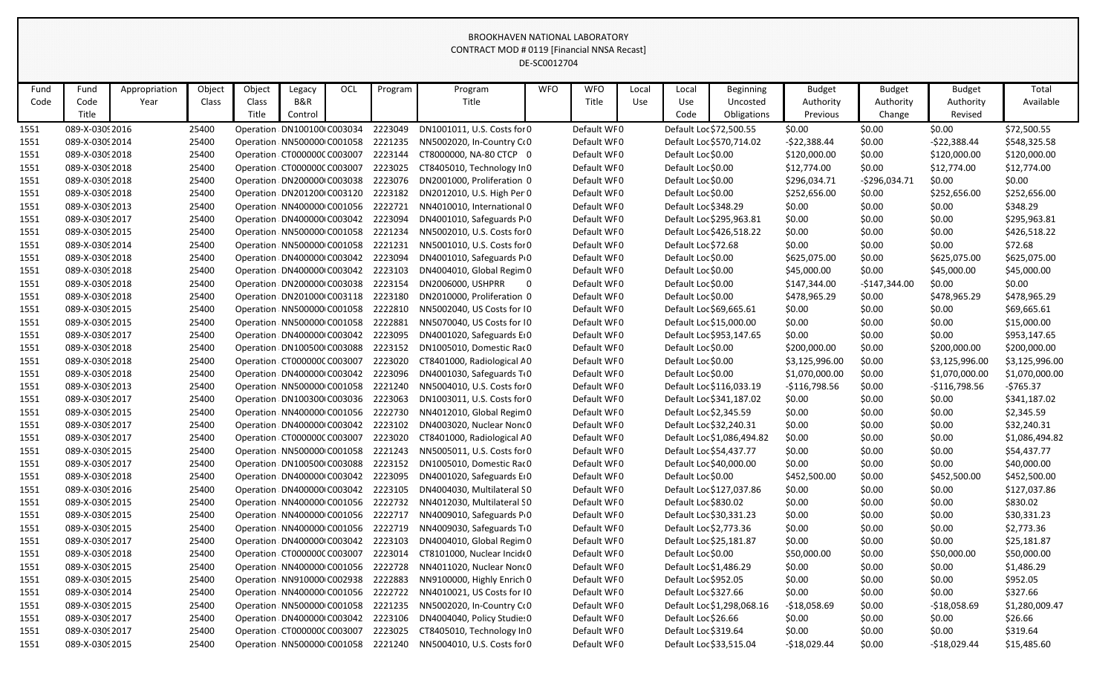|              | DE-SC0012704                     |               |                |        |                                                           |     |                    |                                                              |            |                            |       |                         |                            |                         |                  |                  |                           |
|--------------|----------------------------------|---------------|----------------|--------|-----------------------------------------------------------|-----|--------------------|--------------------------------------------------------------|------------|----------------------------|-------|-------------------------|----------------------------|-------------------------|------------------|------------------|---------------------------|
| Fund         | Fund                             | Appropriation | Object         | Object | Legacy                                                    | OCL | Program            | Program                                                      | <b>WFO</b> | <b>WFO</b>                 | Local | Local                   | Beginning                  | <b>Budget</b>           | <b>Budget</b>    | <b>Budget</b>    | Total                     |
| Code         | Code                             | Year          | Class          | Class  | B&R                                                       |     |                    | Title                                                        |            | Title                      | Use   | Use                     | Uncosted                   | Authority               | Authority        | Authority        | Available                 |
|              | Title                            |               |                | Title  | Control                                                   |     |                    |                                                              |            |                            |       | Code                    | Obligations                | Previous                | Change           | Revised          |                           |
| 1551         | 089-X-03092016                   |               | 25400          |        | Operation DN100100 C003034                                |     | 2223049            | DN1001011, U.S. Costs for 0                                  |            | Default WF0                |       | Default Loc \$72,500.55 |                            | \$0.00                  | \$0.00           | \$0.00           | \$72,500.55               |
| 1551         | 089-X-03092014                   |               | 25400          |        | Operation NN500000 C001058                                |     | 2221235            | NN5002020, In-Country C(0                                    |            | Default WF0                |       |                         | Default Loc \$570,714.02   | $-$22,388.44$           | \$0.00           | $-$22,388.44$    | \$548,325.58              |
| 1551         | 089-X-03092018                   |               | 25400          |        | Operation CT000000CC003007                                |     | 2223144            | CT8000000, NA-80 CTCP 0                                      |            | Default WF0                |       | Default Loc \$0.00      |                            | \$120,000.00            | \$0.00           | \$120,000.00     | \$120,000.00              |
| 1551         | 089-X-03092018                   |               | 25400          |        | Operation CT000000CC003007                                |     | 2223025            | CT8405010, Technology In 0                                   |            | Default WF0                |       | Default Loc \$0.00      |                            | \$12,774.00             | \$0.00           | \$12,774.00      | \$12,774.00               |
| 1551         | 089-X-03092018                   |               | 25400          |        | Operation DN200000 C003038                                |     | 2223076            | DN2001000, Proliferation 0                                   |            | Default WF0                |       | Default Loc \$0.00      |                            | \$296,034.71            | -\$296,034.71    | \$0.00           | \$0.00                    |
| 1551         | 089-X-03092018                   |               | 25400          |        | Operation DN201200(C003120                                |     | 2223182            | DN2012010, U.S. High Per 0                                   |            | Default WF0                |       | Default Loc \$0.00      |                            | \$252,656.00            | \$0.00           | \$252,656.00     | \$252,656.00              |
| 1551         | 089-X-03092013                   |               | 25400          |        | Operation NN400000 C001056                                |     | 2222721            | NN4010010, International 0                                   |            | Default WF0                |       | Default Loc \$348.29    |                            | \$0.00                  | \$0.00           | \$0.00           | \$348.29                  |
| 1551         | 089-X-03092017                   |               | 25400          |        | Operation DN400000 C003042                                |     | 2223094            | DN4001010, Safeguards PO                                     |            | Default WF0                |       |                         | Default Loc \$295,963.81   | \$0.00                  | \$0.00           | \$0.00           | \$295,963.81              |
| 1551         | 089-X-03092015                   |               | 25400          |        | Operation NN500000 C001058                                |     | 2221234            | NN5002010, U.S. Costs for 0                                  |            | Default WF0                |       |                         | Default Loc \$426,518.22   | \$0.00                  | \$0.00           | \$0.00           | \$426,518.22              |
| 1551         | 089-X-03092014                   |               | 25400          |        | Operation NN500000 C001058                                |     | 2221231            | NN5001010, U.S. Costs for 0                                  |            | Default WF0                |       | Default Loc \$72.68     |                            | \$0.00                  | \$0.00           | \$0.00           | \$72.68                   |
| 1551         | 089-X-03092018                   |               | 25400          |        | Operation DN400000 C003042                                |     | 2223094            | DN4001010, Safeguards PO                                     |            | Default WF0                |       | Default Loc \$0.00      |                            | \$625,075.00            | \$0.00           | \$625,075.00     | \$625,075.00              |
| 1551         | 089-X-03092018                   |               | 25400          |        | Operation DN400000 C003042                                |     | 2223103            | DN4004010, Global Regim 0                                    |            | Default WF0                |       | Default Loc \$0.00      |                            | \$45,000.00             | \$0.00           | \$45,000.00      | \$45,000.00               |
| 1551         | 089-X-03092018                   |               | 25400          |        | Operation DN200000 C003038                                |     | 2223154            | DN2006000, USHPRR<br>$\overline{\mathbf{0}}$                 |            | Default WF0                |       | Default Loc \$0.00      |                            | \$147,344.00            | $-$147,344.00$   | \$0.00           | \$0.00                    |
| 1551         | 089-X-03092018                   |               | 25400          |        | Operation DN201000(C003118                                |     | 2223180            | DN2010000, Proliferation 0                                   |            | Default WF0                |       | Default Loc \$0.00      |                            | \$478,965.29            | \$0.00           | \$478,965.29     | \$478,965.29              |
| 1551         | 089-X-03092015                   |               | 25400          |        | Operation NN500000 C001058                                |     | 2222810            | NN5002040, US Costs for 10                                   |            | Default WF0                |       | Default Loc \$69,665.61 |                            | \$0.00                  | \$0.00           | \$0.00           | \$69,665.61               |
| 1551         | 089-X-03092015                   |               | 25400          |        | Operation NN500000 C001058                                |     | 2222881            | NN5070040, US Costs for IO                                   |            | Default WF0                |       | Default Loc \$15,000.00 |                            | \$0.00                  | \$0.00           | \$0.00           | \$15,000.00               |
| 1551         | 089-X-03092017                   |               | 25400          |        | Operation DN400000 C003042                                |     | 2223095            | DN4001020, Safeguards EIO                                    |            | Default WF0                |       |                         | Default Loc \$953,147.65   | \$0.00                  | \$0.00           | \$0.00           | \$953,147.65              |
| 1551         | 089-X-03092018                   |               | 25400          |        | Operation DN100500 C003088                                |     | 2223152            | DN1005010, Domestic Rac 0                                    |            | Default WF0                |       | Default Loc \$0.00      |                            | \$200,000.00            | \$0.00           | \$200,000.00     | \$200,000.00              |
| 1551         | 089-X-03092018                   |               | 25400          |        | Operation CT000000CC003007                                |     | 2223020            | CT8401000, Radiological A0                                   |            | Default WF0                |       | Default Loc \$0.00      |                            | \$3,125,996.00          | \$0.00           | \$3,125,996.00   | \$3,125,996.00            |
| 1551         | 089-X-03092018                   |               | 25400          |        | Operation DN400000 C003042                                |     | 2223096            | DN4001030, Safeguards T <sub>0</sub>                         |            | Default WF0                |       | Default Loc \$0.00      |                            | \$1,070,000.00          | \$0.00           | \$1,070,000.00   | \$1,070,000.00            |
| 1551         | 089-X-03092013                   |               | 25400          |        | Operation NN500000 C001058                                |     | 2221240            | NN5004010, U.S. Costs for 0                                  |            | Default WF0                |       |                         | Default Loc \$116,033.19   | $-$116,798.56$          | \$0.00           | $-$116,798.56$   | $-5765.37$                |
| 1551         | 089-X-03092017                   |               | 25400          |        | Operation DN100300 C003036                                |     | 2223063            | DN1003011, U.S. Costs for 0                                  |            | Default WF0                |       |                         | Default Loc \$341,187.02   | \$0.00                  | \$0.00           | \$0.00           | \$341,187.02              |
| 1551         | 089-X-03092015                   |               | 25400          |        | Operation: NN400000 C001056                               |     | 2222730            | NN4012010, Global Regim 0                                    |            | Default WF0                |       | Default Loc \$2,345.59  |                            | \$0.00                  | \$0.00           | \$0.00           | \$2,345.59                |
| 1551         | 089-X-03092017                   |               | 25400          |        | Operation DN400000 C003042                                |     | 2223102            | DN4003020, Nuclear Nonc0                                     |            | Default WF0                |       | Default Loc \$32,240.31 |                            | \$0.00                  | \$0.00           | \$0.00           | \$32,240.31               |
| 1551         | 089-X-03092017                   |               | 25400          |        | Operation CT000000CC003007                                |     | 2223020            | CT8401000, Radiological A0                                   |            | Default WF0                |       |                         | Default Loc \$1,086,494.82 | \$0.00                  | \$0.00           | \$0.00           | \$1,086,494.82            |
| 1551         | 089-X-03092015                   |               | 25400          |        | Operation NN500000 C001058                                |     | 2221243            | NN5005011, U.S. Costs for 0                                  |            | Default WF0                |       |                         | Default Loc \$54,437.77    | \$0.00                  | \$0.00           | \$0.00           | \$54,437.77               |
| 1551         | 089-X-0309 2017                  |               | 25400          |        | Operation: DN100500(C003088                               |     | 2223152            | DN1005010, Domestic Rac0                                     |            | Default WF0                |       |                         | Default Loc \$40,000.00    | \$0.00                  | \$0.00           | \$0.00           | \$40,000.00               |
| 1551         | 089-X-03092018                   |               | 25400          |        |                                                           |     |                    | Operation DN400000 C003042 2223095 DN4001020, Safeguards EIO |            | Default WF0                |       | Default Loc \$0.00      |                            | \$452,500.00            | \$0.00           | \$452,500.00     | \$452,500.00              |
| 1551         | 089-X-03092016                   |               | 25400          |        | Operation DN400000 C003042                                |     | 2223105            | DN4004030, Multilateral SO                                   |            | Default WF0                |       |                         | Default Loc \$127,037.86   | \$0.00                  | \$0.00           | \$0.00           | \$127,037.86              |
| 1551         | 089-X-03092015                   |               | 25400          |        | Operation NN400000 C001056                                |     | 2222732            | NN4012030, Multilateral SO                                   |            | Default WF0                |       | Default Loc \$830.02    |                            | \$0.00                  | \$0.00           | \$0.00           | \$830.02                  |
| 1551         | 089-X-03092015                   |               | 25400          |        | Operation NN400000 C001056                                |     | 2222717            | NN4009010, Safeguards PO                                     |            | Default WF0                |       | Default Loc \$30,331.23 |                            | \$0.00                  | \$0.00           | \$0.00           | \$30,331.23               |
| 1551         | 089-X-03092015                   |               | 25400          |        | Operation: NN400000 C001056                               |     | 2222719            | NN4009030, Safeguards T <sub>1</sub> 0                       |            | Default WF0                |       | Default Loc \$2,773.36  |                            | \$0.00                  | \$0.00           | \$0.00           | \$2,773.36                |
| 1551         | 089-X-03092017                   |               | 25400          |        | Operation DN400000 C003042                                |     | 2223103            | DN4004010, Global Regim 0                                    |            | Default WF0                |       | Default Loc \$25,181.87 |                            | \$0.00                  | \$0.00           | \$0.00           | \$25,181.87               |
| 1551         | 089-X-03092018                   |               | 25400          |        | Operation CT000000CC003007                                |     | 2223014            | CT8101000, Nuclear Incide0                                   |            | Default WF0                |       | Default Loc \$0.00      |                            | \$50,000.00             | \$0.00           | \$50,000.00      | \$50,000.00               |
| 1551         | 089-X-03092015                   |               | 25400          |        | Operation NN400000 C001056<br>Operation NN910000 C002938  |     | 2222728            | NN4011020, Nuclear Non(0<br>NN9100000, Highly Enrich 0       |            | Default WF0<br>Default WF0 |       | Default Loc \$1,486.29  |                            | \$0.00                  | \$0.00           | \$0.00           | \$1,486.29                |
| 1551         | 089-X-03092015                   |               | 25400          |        |                                                           |     | 2222883<br>2222722 |                                                              |            |                            |       | Default Loc \$952.05    |                            | \$0.00                  | \$0.00           | \$0.00<br>\$0.00 | \$952.05<br>\$327.66      |
| 1551         | 089-X-03092014<br>089-X-03092015 |               | 25400<br>25400 |        | Operation NN400000 C001056<br>Operation: NN500000 C001058 |     | 2221235            | NN4010021, US Costs for 10<br>NN5002020, In-Country C(0      |            | Default WF0<br>Default WF0 |       | Default Loc \$327.66    | Default Loc \$1,298,068.16 | \$0.00<br>$-518,058.69$ | \$0.00<br>\$0.00 | $-$18,058.69$    |                           |
| 1551<br>1551 | 089-X-03092017                   |               | 25400          |        | Operation DN400000 C003042                                |     | 2223106            | DN4004040, Policy Studie: 0                                  |            | Default WF0                |       | Default Loc \$26.66     |                            | \$0.00                  | \$0.00           | \$0.00           | \$1,280,009.47<br>\$26.66 |
| 1551         | 089-X-03092017                   |               | 25400          |        | Operation CT000000CC003007                                |     | 2223025            | CT8405010, Technology In 0                                   |            | Default WF0                |       | Default Loc \$319.64    |                            | \$0.00                  | \$0.00           | \$0.00           | \$319.64                  |
| 1551         | 089-X-03092015                   |               | 25400          |        | Operation: NN500000 C001058                               |     | 2221240            | NN5004010, U.S. Costs for 0                                  |            | Default WF0                |       |                         | Default Loc \$33,515.04    | $-$18,029.44$           | \$0.00           | $-$18,029.44$    | \$15,485.60               |
|              |                                  |               |                |        |                                                           |     |                    |                                                              |            |                            |       |                         |                            |                         |                  |                  |                           |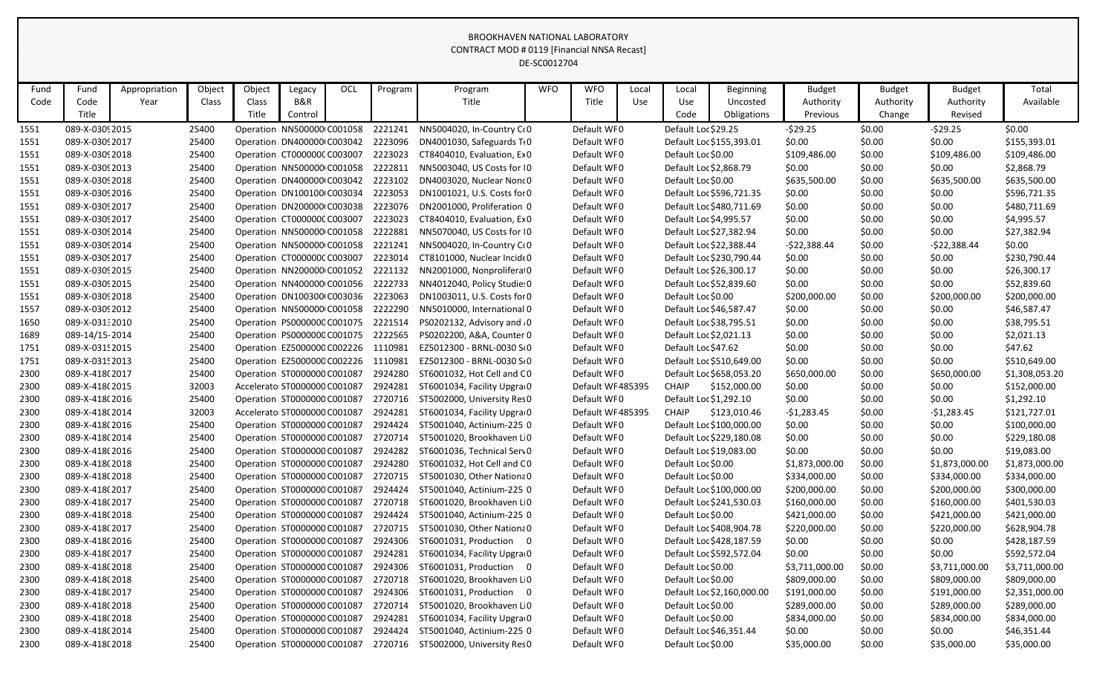|      | DE-SC0012704    |               |        |        |                               |     |         |                                     |            |                   |       |                         |                            |                |               |                |                |
|------|-----------------|---------------|--------|--------|-------------------------------|-----|---------|-------------------------------------|------------|-------------------|-------|-------------------------|----------------------------|----------------|---------------|----------------|----------------|
| Fund | Fund            | Appropriation | Object | Object | Legacy                        | OCL | Program | Program                             | <b>WFO</b> | <b>WFO</b>        | Local | Local                   | Beginning                  | <b>Budget</b>  | <b>Budget</b> | <b>Budget</b>  | Total          |
| Code | Code            | Year          | Class  | Class  | B&R                           |     |         | Title                               |            | Title             | Use   | Use                     | Uncosted                   | Authority      | Authority     | Authority      | Available      |
|      | Title           |               |        | Title  | Control                       |     |         |                                     |            |                   |       | Code                    | Obligations                | Previous       | Change        | Revised        |                |
| 1551 | 089-X-03092015  |               | 25400  |        | Operation : NN500000 C001058  |     | 2221241 | NN5004020, In-Country C(0           |            | Default WF0       |       | Default Loc \$29.25     |                            | $-529.25$      | \$0.00        | $-529.25$      | \$0.00         |
| 1551 | 089-X-03092017  |               | 25400  |        | Operation DN400000 C003042    |     | 2223096 | DN4001030, Safeguards TO            |            | Default WF0       |       |                         | Default Loc \$155,393.01   | \$0.00         | \$0.00        | \$0.00         | \$155,393.01   |
| 1551 | 089-X-03092018  |               | 25400  |        | Operation CT000000CC003007    |     | 2223023 | CT8404010, Evaluation, Ex 0         |            | Default WF0       |       | Default Loc \$0.00      |                            | \$109,486.00   | \$0.00        | \$109,486.00   | \$109,486.00   |
| 1551 | 089-X-03092013  |               | 25400  |        | Operation : NN500000 C001058  |     | 2222811 | NN5003040, US Costs for 10          |            | Default WF0       |       | Default Loc \$2,868.79  |                            | \$0.00         | \$0.00        | \$0.00         | \$2,868.79     |
| 1551 | 089-X-03092018  |               | 25400  |        | Operation DN400000 C003042    |     | 2223102 | DN4003020, Nuclear Nonc0            |            | Default WF0       |       | Default Loc \$0.00      |                            | \$635,500.00   | \$0.00        | \$635,500.00   | \$635,500.00   |
| 1551 | 089-X-03092016  |               | 25400  |        | Operation DN100100 C003034    |     | 2223053 | DN1001021, U.S. Costs for 0         |            | Default WF0       |       |                         | Default Loc \$596,721.35   | \$0.00         | \$0.00        | \$0.00         | \$596,721.35   |
| 1551 | 089-X-03092017  |               | 25400  |        | Operation DN200000 C003038    |     | 2223076 | DN2001000, Proliferation 0          |            | Default WF0       |       |                         | Default Loc \$480,711.69   | \$0.00         | \$0.00        | \$0.00         | \$480,711.69   |
| 1551 | 089-X-03092017  |               | 25400  |        | Operation CT000000CC003007    |     | 2223023 | CT8404010, Evaluation, Ex0          |            | Default WF0       |       | Default Loc \$4,995.57  |                            | \$0.00         | \$0.00        | \$0.00         | \$4,995.57     |
| 1551 | 089-X-03092014  |               | 25400  |        | Operation NN500000 C001058    |     | 2222881 | NN5070040, US Costs for 10          |            | Default WF0       |       | Default Loc \$27,382.94 |                            | \$0.00         | \$0.00        | \$0.00         | \$27,382.94    |
| 1551 | 089-X-03092014  |               | 25400  |        | Operation : NN500000 C001058  |     | 2221241 | NN5004020, In-Country C(0           |            | Default WF0       |       | Default Loc \$22,388.44 |                            | $-522,388.44$  | \$0.00        | $-522,388.44$  | \$0.00         |
| 1551 | 089-X-03092017  |               | 25400  |        | Operation CT000000CC003007    |     | 2223014 | CT8101000, Nuclear Incide0          |            | Default WF0       |       |                         | Default Loc \$230,790.44   | \$0.00         | \$0.00        | \$0.00         | \$230,790.44   |
| 1551 | 089-X-03092015  |               | 25400  |        | Operation : NN200000 C001052  |     | 2221132 | NN2001000, Nonprolifera 0           |            | Default WF0       |       | Default Loc \$26,300.17 |                            | \$0.00         | \$0.00        | \$0.00         | \$26,300.17    |
| 1551 | 089-X-03092015  |               | 25400  |        | Operation : NN400000 C001056  |     | 2222733 | NN4012040, Policy Studie: 0         |            | Default WF0       |       | Default Loc \$52,839.60 |                            | \$0.00         | \$0.00        | \$0.00         | \$52,839.60    |
| 1551 | 089-X-03092018  |               | 25400  |        | Operation DN100300(C003036    |     | 2223063 | DN1003011, U.S. Costs for 0         |            | Default WF0       |       | Default Loc \$0.00      |                            | \$200,000.00   | \$0.00        | \$200,000.00   | \$200,000.00   |
| 1557 | 089-X-03092012  |               | 25400  |        | Operation : NN500000 C001058  |     | 2222290 | NN5010000, International 0          |            | Default WF0       |       | Default Loc \$46,587.47 |                            | \$0.00         | \$0.00        | \$0.00         | \$46,587.47    |
| 1650 | 089-X-03132010  |               | 25400  |        | Operation: PS0000000 C001075  |     | 2221514 | PS0202132, Advisory and .0          |            | Default WF0       |       | Default Loc \$38,795.51 |                            | \$0.00         | \$0.00        | \$0.00         | \$38,795.51    |
| 1689 | 089-14/15-2014  |               | 25400  |        | Operation: PS0000000 C001075  |     | 2222565 | PS0202200, A&A, Counter 0           |            | Default WF0       |       | Default Loc \$2,021.13  |                            | \$0.00         | \$0.00        | \$0.00         | \$2,021.13     |
| 1751 | 089-X-031! 2015 |               | 25400  |        | Operation: EZ5000000 C002226  |     | 1110981 | EZ5012300 - BRNL-0030 St0           |            | Default WF0       |       | Default Loc \$47.62     |                            | \$0.00         | \$0.00        | \$0.00         | \$47.62        |
| 1751 | 089-X-031! 2013 |               | 25400  |        | Operation: EZ5000000 C002226  |     | 1110981 | EZ5012300 - BRNL-0030 St0           |            | Default WF0       |       |                         | Default Loc \$510,649.00   | \$0.00         | \$0.00        | \$0.00         | \$510,649.00   |
| 2300 | 089-X-418(2017  |               | 25400  |        | Operation : ST0000000 C001087 |     | 2924280 | ST6001032, Hot Cell and CO          |            | Default WF0       |       |                         | Default Loc \$658,053.20   | \$650,000.00   | \$0.00        | \$650,000.00   | \$1,308,053.20 |
| 2300 | 089-X-418(2015  |               | 32003  |        | Accelerato ST0000000 C001087  |     | 2924281 | ST6001034, Facility Upgra 0         |            | Default WF 485395 |       | <b>CHAIP</b>            | \$152,000.00               | \$0.00         | \$0.00        | \$0.00         | \$152,000.00   |
| 2300 | 089-X-418(2016  |               | 25400  |        | Operation ST0000000 C001087   |     | 2720716 | ST5002000, University Res 0         |            | Default WF0       |       | Default Loc \$1,292.10  |                            | \$0.00         | \$0.00        | \$0.00         | \$1,292.10     |
| 2300 | 089-X-418(2014  |               | 32003  |        | Accelerato ST0000000 C001087  |     | 2924281 | ST6001034, Facility Upgra 0         |            | Default WF485395  |       | CHAIP                   | \$123,010.46               | $-51,283.45$   | \$0.00        | $-51,283.45$   | \$121,727.01   |
| 2300 | 089-X-418(2016  |               | 25400  |        | Operation ST0000000 C001087   |     | 2924424 | ST5001040, Actinium-225 0           |            | Default WF0       |       |                         | Default Loc \$100,000.00   | \$0.00         | \$0.00        | \$0.00         | \$100,000.00   |
| 2300 | 089-X-418(2014  |               | 25400  |        | Operation ST0000000 C001087   |     | 2720714 | ST5001020, Brookhaven LO            |            | Default WF0       |       |                         | Default Loc \$229,180.08   | \$0.00         | \$0.00        | \$0.00         | \$229,180.08   |
| 2300 | 089-X-418(2016  |               | 25400  |        | Operation : ST0000000 C001087 |     | 2924282 | ST6001036, Technical Serv0          |            | Default WF0       |       | Default Loc \$19,083.00 |                            | \$0.00         | \$0.00        | \$0.00         | \$19,083.00    |
| 2300 | 089-X-418(2018  |               | 25400  |        | Operation : ST0000000 C001087 |     | 2924280 | ST6001032, Hot Cell and CO          |            | Default WF0       |       | Default Loc \$0.00      |                            | \$1,873,000.00 | \$0.00        | \$1,873,000.00 | \$1,873,000.00 |
| 2300 | 089-X-418(2018  |               | 25400  |        | Operation ST0000000 C001087   |     |         | 2720715 ST5001030, Other Nationa 0  |            | Default WF0       |       | Default Loc \$0.00      |                            | \$334,000.00   | \$0.00        | \$334,000.00   | \$334,000.00   |
| 2300 | 089-X-418(2017  |               | 25400  |        | Operation: ST0000000 C001087  |     | 2924424 | ST5001040, Actinium-225 0           |            | Default WF0       |       |                         | Default Loc \$100,000.00   | \$200,000.00   | \$0.00        | \$200,000.00   | \$300,000.00   |
| 2300 | 089-X-418(2017  |               | 25400  |        | Operation : ST0000000 C001087 |     |         | 2720718 ST6001020, Brookhaven L 0   |            | Default WF0       |       |                         | Default Loc \$241,530.03   | \$160,000.00   | \$0.00        | \$160,000.00   | \$401,530.03   |
| 2300 | 089-X-418(2018  |               | 25400  |        | Operation : ST0000000 C001087 |     | 2924424 | ST5001040, Actinium-225 0           |            | Default WF0       |       | Default Loc \$0.00      |                            | \$421,000.00   | \$0.00        | \$421,000.00   | \$421,000.00   |
| 2300 | 089-X-418(2017  |               | 25400  |        | Operation : ST0000000 C001087 |     |         | 2720715 ST5001030, Other Nationa 0  |            | Default WF0       |       |                         | Default Loc \$408,904.78   | \$220,000.00   | \$0.00        | \$220,000.00   | \$628,904.78   |
| 2300 | 089-X-418(2016  |               | 25400  |        | Operation: ST0000000 C001087  |     |         | 2924306 ST6001031, Production 0     |            | Default WF0       |       |                         | Default Loc \$428,187.59   | \$0.00         | \$0.00        | \$0.00         | \$428,187.59   |
| 2300 | 089-X-418(2017  |               | 25400  |        | Operation: ST0000000 C001087  |     | 2924281 | ST6001034, Facility Upgra 0         |            | Default WF0       |       |                         | Default Loc \$592,572.04   | \$0.00         | \$0.00        | \$0.00         | \$592,572.04   |
| 2300 | 089-X-418(2018  |               | 25400  |        | Operation : ST0000000 C001087 |     | 2924306 | ST6001031, Production 0             |            | Default WF0       |       | Default Loc \$0.00      |                            | \$3,711,000.00 | \$0.00        | \$3,711,000.00 | \$3,711,000.00 |
| 2300 | 089-X-418(2018  |               | 25400  |        | Operation ST0000000 C001087   |     | 2720718 | ST6001020, Brookhaven L 0           |            | Default WF0       |       | Default Loc \$0.00      |                            | \$809,000.00   | \$0.00        | \$809,000.00   | \$809,000.00   |
| 2300 | 089-X-418(2017  |               | 25400  |        | Operation: ST0000000 C001087  |     |         | 2924306 ST6001031, Production 0     |            | Default WF0       |       |                         | Default Loc \$2,160,000.00 | \$191,000.00   | \$0.00        | \$191,000.00   | \$2,351,000.00 |
| 2300 | 089-X-418(2018  |               | 25400  |        | Operation ST0000000 C001087   |     | 2720714 | ST5001020, Brookhaven L 0           |            | Default WF0       |       | Default Loc \$0.00      |                            | \$289,000.00   | \$0.00        | \$289,000.00   | \$289,000.00   |
| 2300 | 089-X-418(2018  |               | 25400  |        | Operation: ST0000000 C001087  |     | 2924281 | ST6001034, Facility Upgra 0         |            | Default WF0       |       | Default Loc \$0.00      |                            | \$834,000.00   | \$0.00        | \$834,000.00   | \$834,000.00   |
| 2300 | 089-X-418(2014  |               | 25400  |        | Operation: ST0000000 C001087  |     |         | 2924424 ST5001040, Actinium-225 0   |            | Default WF0       |       | Default Loc \$46,351.44 |                            | \$0.00         | \$0.00        | \$0.00         | \$46,351.44    |
| 2300 | 089-X-418(2018  |               | 25400  |        | Operation: ST0000000 C001087  |     |         | 2720716 ST5002000, University Res 0 |            | Default WF0       |       | Default Loc \$0.00      |                            | \$35,000.00    | \$0.00        | \$35,000.00    | \$35,000.00    |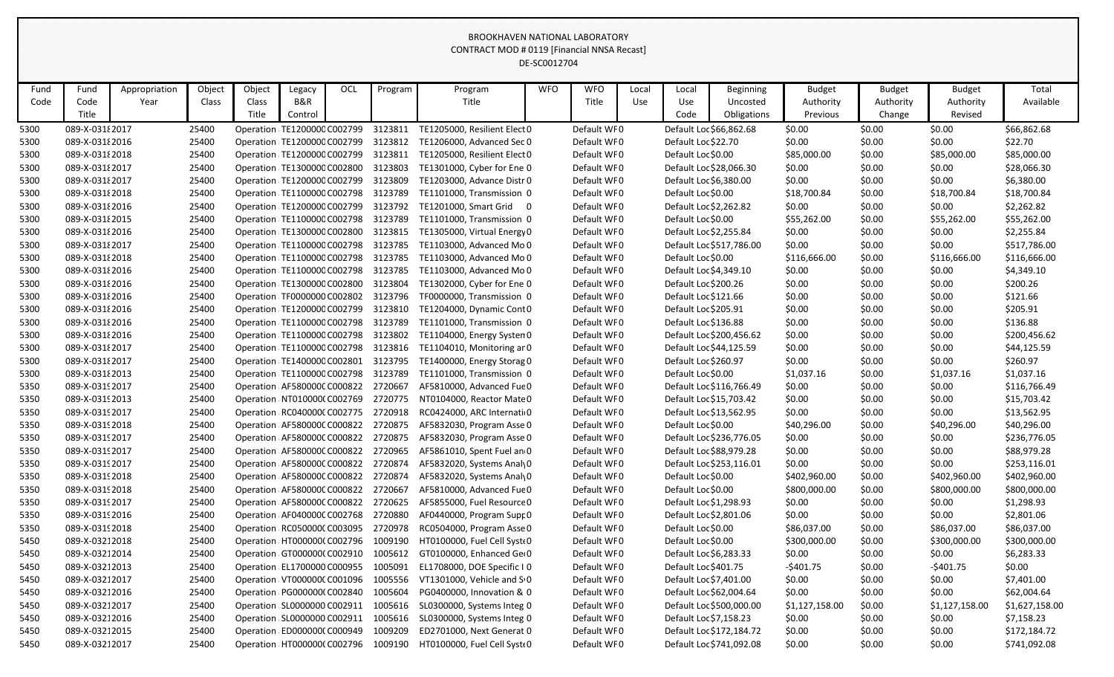|      | DE-SC0012704    |               |        |        |                               |     |         |                              |            |             |       |                         |                          |                |               |                |                |
|------|-----------------|---------------|--------|--------|-------------------------------|-----|---------|------------------------------|------------|-------------|-------|-------------------------|--------------------------|----------------|---------------|----------------|----------------|
| Fund | Fund            | Appropriation | Object | Object | Legacy                        | OCL | Program | Program                      | <b>WFO</b> | <b>WFO</b>  | Local | Local                   | <b>Beginning</b>         | <b>Budget</b>  | <b>Budget</b> | <b>Budget</b>  | Total          |
| Code | Code            | Year          | Class  | Class  | B&R                           |     |         | Title                        |            | Title       | Use   | Use                     | Uncosted                 | Authority      | Authority     | Authority      | Available      |
|      | Title           |               |        | Title  | Control                       |     |         |                              |            |             |       | Code                    | Obligations              | Previous       | Change        | Revised        |                |
| 5300 | 089-X-031 {2017 |               | 25400  |        | Operation TE1200000 C002799   |     | 3123811 | TE1205000, Resilient Elect 0 |            | Default WF0 |       |                         | Default Loc \$66,862.68  | \$0.00         | \$0.00        | \$0.00         | \$66,862.68    |
| 5300 | 089-X-03182016  |               | 25400  |        | Operation TE1200000 C002799   |     | 3123812 | TE1206000, Advanced Sec 0    |            | Default WF0 |       | Default Loc \$22.70     |                          | \$0.00         | \$0.00        | \$0.00         | \$22.70        |
| 5300 | 089-X-031 {2018 |               | 25400  |        | Operation TE1200000 C002799   |     | 3123811 | TE1205000, Resilient Elect 0 |            | Default WF0 |       | Default Loc \$0.00      |                          | \$85,000.00    | \$0.00        | \$85,000.00    | \$85,000.00    |
| 5300 | 089-X-031 {2017 |               | 25400  |        | Operation TE1300000 C002800   |     | 3123803 | TE1301000, Cyber for Ene 0   |            | Default WF0 |       | Default Loc \$28,066.30 |                          | \$0.00         | \$0.00        | \$0.00         | \$28,066.30    |
| 5300 | 089-X-03182017  |               | 25400  |        | Operation TE1200000 C002799   |     | 3123809 | TE1203000, Advance Distr 0   |            | Default WF0 |       | Default Loc \$6,380.00  |                          | \$0.00         | \$0.00        | \$0.00         | \$6,380.00     |
| 5300 | 089-X-031 {2018 |               | 25400  |        | Operation TE1100000 C002798   |     | 3123789 | TE1101000, Transmission 0    |            | Default WF0 |       | Default Loc \$0.00      |                          | \$18,700.84    | \$0.00        | \$18,700.84    | \$18,700.84    |
| 5300 | 089-X-03182016  |               | 25400  |        | Operation TE1200000 C002799   |     | 3123792 | TE1201000, Smart Grid 0      |            | Default WF0 |       | Default Loc \$2,262.82  |                          | \$0.00         | \$0.00        | \$0.00         | \$2,262.82     |
| 5300 | 089-X-03182015  |               | 25400  |        | Operation TE1100000 C002798   |     | 3123789 | TE1101000, Transmission 0    |            | Default WF0 |       | Default Loc \$0.00      |                          | \$55,262.00    | \$0.00        | \$55,262.00    | \$55,262.00    |
| 5300 | 089-X-03182016  |               | 25400  |        | Operation TE1300000 C002800   |     | 3123815 | TE1305000, Virtual Energy 0  |            | Default WF0 |       | Default Loc \$2,255.84  |                          | \$0.00         | \$0.00        | \$0.00         | \$2,255.84     |
| 5300 | 089-X-03182017  |               | 25400  |        | Operation TE1100000 C002798   |     | 3123785 | TE1103000, Advanced Mo 0     |            | Default WF0 |       |                         | Default Loc \$517,786.00 | \$0.00         | \$0.00        | \$0.00         | \$517,786.00   |
| 5300 | 089-X-031 {2018 |               | 25400  |        | Operation TE1100000 C002798   |     | 3123785 | TE1103000, Advanced Mo 0     |            | Default WF0 |       | Default Loc \$0.00      |                          | \$116,666.00   | \$0.00        | \$116,666.00   | \$116,666.00   |
| 5300 | 089-X-03182016  |               | 25400  |        | Operation TE1100000 C002798   |     | 3123785 | TE1103000, Advanced Mo 0     |            | Default WF0 |       | Default Loc \$4,349.10  |                          | \$0.00         | \$0.00        | \$0.00         | \$4,349.10     |
| 5300 | 089-X-03182016  |               | 25400  |        | Operation TE1300000 C002800   |     | 3123804 | TE1302000, Cyber for Ene 0   |            | Default WF0 |       | Default Loc \$200.26    |                          | \$0.00         | \$0.00        | \$0.00         | \$200.26       |
| 5300 | 089-X-03182016  |               | 25400  |        | Operation TF0000000 C002802   |     | 3123796 | TF0000000, Transmission 0    |            | Default WF0 |       | Default Loc \$121.66    |                          | \$0.00         | \$0.00        | \$0.00         | \$121.66       |
| 5300 | 089-X-03182016  |               | 25400  |        | Operation TE1200000 C002799   |     | 3123810 | TE1204000, Dynamic Cont 0    |            | Default WF0 |       | Default Loc \$205.91    |                          | \$0.00         | \$0.00        | \$0.00         | \$205.91       |
| 5300 | 089-X-03182016  |               | 25400  |        | Operation : TE1100000 C002798 |     | 3123789 | TE1101000, Transmission 0    |            | Default WF0 |       | Default Loc \$136.88    |                          | \$0.00         | \$0.00        | \$0.00         | \$136.88       |
| 5300 | 089-X-03182016  |               | 25400  |        | Operation TE1100000 C002798   |     | 3123802 | TE1104000, Energy Systen 0   |            | Default WF0 |       |                         | Default Loc \$200,456.62 | \$0.00         | \$0.00        | \$0.00         | \$200,456.62   |
| 5300 | 089-X-03182017  |               | 25400  |        | Operation TE1100000 C002798   |     | 3123816 | TE1104010, Monitoring ar 0   |            | Default WF0 |       |                         | Default Loc \$44,125.59  | \$0.00         | \$0.00        | \$0.00         | \$44,125.59    |
| 5300 | 089-X-03182017  |               | 25400  |        | Operation TE1400000 C002801   |     | 3123795 | TE1400000, Energy Storag 0   |            | Default WF0 |       | Default Loc \$260.97    |                          | \$0.00         | \$0.00        | \$0.00         | \$260.97       |
| 5300 | 089-X-03182013  |               | 25400  |        | Operation : TE1100000 C002798 |     | 3123789 | TE1101000, Transmission 0    |            | Default WF0 |       | Default Loc \$0.00      |                          | \$1,037.16     | \$0.00        | \$1,037.16     | \$1,037.16     |
| 5350 | 089-X-03192017  |               | 25400  |        | Operation AF580000CC000822    |     | 2720667 | AF5810000, Advanced Fue 0    |            | Default WF0 |       |                         | Default Loc \$116,766.49 | \$0.00         | \$0.00        | \$0.00         | \$116,766.49   |
| 5350 | 089-X-03192013  |               | 25400  |        | Operation NT010000(C002769    |     | 2720775 | NT0104000, Reactor Mate 0    |            | Default WF0 |       |                         | Default Loc \$15,703.42  | \$0.00         | \$0.00        | \$0.00         | \$15,703.42    |
| 5350 | 089-X-03192017  |               | 25400  |        | Operation RC040000CC002775    |     | 2720918 | RC0424000, ARC Internati 0   |            | Default WF0 |       | Default Loc \$13,562.95 |                          | \$0.00         | \$0.00        | \$0.00         | \$13,562.95    |
| 5350 | 089-X-03192018  |               | 25400  |        | Operation AF5800000 C000822   |     | 2720875 | AF5832030, Program Asse 0    |            | Default WF0 |       | Default Loc \$0.00      |                          | \$40,296.00    | \$0.00        | \$40,296.00    | \$40,296.00    |
| 5350 | 089-X-03192017  |               | 25400  |        | Operation: AF580000CC000822   |     | 2720875 | AF5832030, Program Asse 0    |            | Default WF0 |       |                         | Default Loc \$236,776.05 | \$0.00         | \$0.00        | \$0.00         | \$236,776.05   |
| 5350 | 089-X-03192017  |               | 25400  |        | Operation AF5800000 C000822   |     | 2720965 | AF5861010, Spent Fuel an 0   |            | Default WF0 |       | Default Loc \$88,979.28 |                          | \$0.00         | \$0.00        | \$0.00         | \$88,979.28    |
| 5350 | 089-X-03192017  |               | 25400  |        | Operation: AF5800000 C000822  |     | 2720874 | AF5832020, Systems AnalyO    |            | Default WF0 |       |                         | Default Loc \$253,116.01 | \$0.00         | \$0.00        | \$0.00         | \$253,116.01   |
| 5350 | 089-X-03192018  |               | 25400  |        | Operation: AF580000C C000822  |     | 2720874 | AF5832020, Systems AnalyO    |            | Default WF0 |       | Default Loc \$0.00      |                          | \$402,960.00   | \$0.00        | \$402,960.00   | \$402,960.00   |
| 5350 | 089-X-03192018  |               | 25400  |        | Operation: AF580000CC000822   |     | 2720667 | AF5810000, Advanced Fue 0    |            | Default WF0 |       | Default Loc \$0.00      |                          | \$800,000.00   | \$0.00        | \$800,000.00   | \$800,000.00   |
| 5350 | 089-X-0319 2017 |               | 25400  |        | Operation: AF580000CC000822   |     | 2720625 | AF5855000, Fuel Resource 0   |            | Default WF0 |       | Default Loc \$1,298.93  |                          | \$0.00         | \$0.00        | \$0.00         | \$1,298.93     |
| 5350 | 089-X-03192016  |               | 25400  |        | Operation AF040000CC002768    |     | 2720880 | AF0440000, Program Supr 0    |            | Default WF0 |       | Default Loc \$2,801.06  |                          | \$0.00         | \$0.00        | \$0.00         | \$2,801.06     |
| 5350 | 089-X-03192018  |               | 25400  |        | Operation: RC050000CC003095   |     | 2720978 | RC0504000, Program Asse 0    |            | Default WF0 |       | Default Loc \$0.00      |                          | \$86,037.00    | \$0.00        | \$86,037.00    | \$86,037.00    |
| 5450 | 089-X-03212018  |               | 25400  |        | Operation HT0000000 C002796   |     | 1009190 | HT0100000, Fuel Cell Syst(0  |            | Default WF0 |       | Default Loc \$0.00      |                          | \$300,000.00   | \$0.00        | \$300,000.00   | \$300,000.00   |
| 5450 | 089-X-03212014  |               | 25400  |        | Operation GT0000000 C002910   |     | 1005612 | GT0100000, Enhanced Ge(0     |            | Default WF0 |       | Default Loc \$6,283.33  |                          | \$0.00         | \$0.00        | \$0.00         | \$6,283.33     |
| 5450 | 089-X-03212013  |               | 25400  |        | Operation: EL1700000 C000955  |     | 1005091 | EL1708000, DOE Specific I 0  |            | Default WF0 |       | Default Loc \$401.75    |                          | $-5401.75$     | \$0.00        | $-5401.75$     | \$0.00         |
| 5450 | 089-X-03212017  |               | 25400  |        | Operation: VT000000C C001096  |     | 1005556 | VT1301000, Vehicle and SO    |            | Default WF0 |       | Default Loc \$7,401.00  |                          | \$0.00         | \$0.00        | \$0.00         | \$7,401.00     |
| 5450 | 089-X-03212016  |               | 25400  |        | Operation PG000000(C002840    |     | 1005604 | PG0400000, Innovation & 0    |            | Default WF0 |       | Default Loc \$62,004.64 |                          | \$0.00         | \$0.00        | \$0.00         | \$62,004.64    |
| 5450 | 089-X-03212017  |               | 25400  |        | Operation : SL0000000 C002911 |     | 1005616 | SL0300000, Systems Integ 0   |            | Default WF0 |       |                         | Default Loc \$500,000.00 | \$1,127,158.00 | \$0.00        | \$1,127,158.00 | \$1,627,158.00 |
| 5450 | 089-X-03212016  |               | 25400  |        | Operation SL0000000 C002911   |     | 1005616 | SL0300000, Systems Integ 0   |            | Default WF0 |       | Default Loc \$7,158.23  |                          | \$0.00         | \$0.00        | \$0.00         | \$7,158.23     |
| 5450 | 089-X-03212015  |               | 25400  |        | Operation ED000000CC000949    |     | 1009209 | ED2701000, Next Generat 0    |            | Default WF0 |       |                         | Default Loc \$172,184.72 | \$0.00         | \$0.00        | \$0.00         | \$172,184.72   |
| 5450 | 089-X-03212017  |               | 25400  |        | Operation HT0000000 C002796   |     | 1009190 | HT0100000, Fuel Cell Syst(0  |            | Default WF0 |       |                         | Default Loc \$741,092.08 | \$0.00         | \$0.00        | \$0.00         | \$741,092.08   |